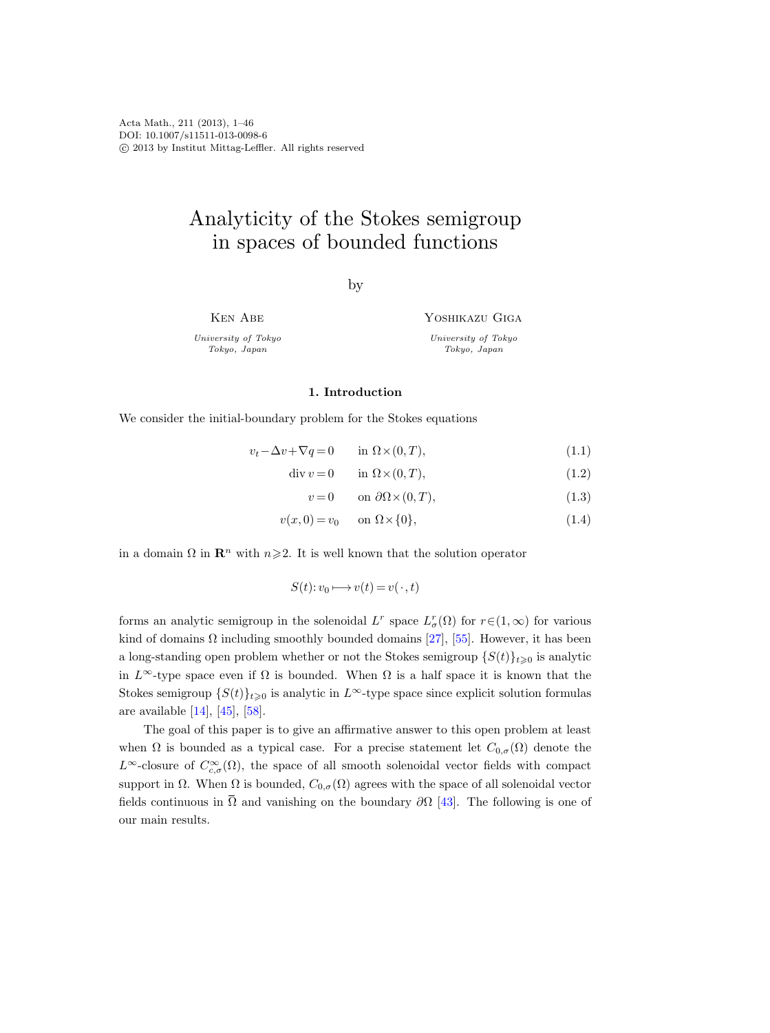Acta Math., 211 (2013), 1–46 DOI: 10.1007/s11511-013-0098-6 c 2013 by Institut Mittag-Leffler. All rights reserved

# Analyticity of the Stokes semigroup in spaces of bounded functions

by

Ken Abe

University of Tokyo Tokyo, Japan

Yoshikazu Giga

<span id="page-0-4"></span><span id="page-0-3"></span><span id="page-0-1"></span><span id="page-0-0"></span>University of Tokyo Tokyo, Japan

#### 1. Introduction

We consider the initial-boundary problem for the Stokes equations

$$
v_t - \Delta v + \nabla q = 0 \qquad \text{in } \Omega \times (0, T), \tag{1.1}
$$

$$
\operatorname{div} v = 0 \qquad \text{in } \Omega \times (0, T), \tag{1.2}
$$

$$
v = 0 \qquad \text{on } \partial\Omega \times (0, T), \tag{1.3}
$$

$$
v(x,0) = v_0 \qquad \text{on } \Omega \times \{0\},\tag{1.4}
$$

in a domain  $\Omega$  in  $\mathbb{R}^n$  with  $n\geq 2$ . It is well known that the solution operator

$$
S(t): v_0 \longmapsto v(t) = v(\cdot, t)
$$

forms an analytic semigroup in the solenoidal  $L^r$  space  $L^r_{\sigma}(\Omega)$  for  $r \in (1,\infty)$  for various kind of domains  $\Omega$  including smoothly bounded domains [\[27\]](#page-43-0), [\[55\]](#page-44-0). However, it has been a long-standing open problem whether or not the Stokes semigroup  $\{S(t)\}_{t\geqslant0}$  is analytic in  $L^{\infty}$ -type space even if  $\Omega$  is bounded. When  $\Omega$  is a half space it is known that the Stokes semigroup  $\{S(t)\}_{t\geq0}$  is analytic in L<sup>∞</sup>-type space since explicit solution formulas are available  $[14]$ ,  $[45]$ ,  $[58]$ .

<span id="page-0-2"></span>The goal of this paper is to give an affirmative answer to this open problem at least when  $\Omega$  is bounded as a typical case. For a precise statement let  $C_{0,\sigma}(\Omega)$  denote the L<sup>∞</sup>-closure of  $C^{\infty}_{c,\sigma}(\Omega)$ , the space of all smooth solenoidal vector fields with compact support in  $\Omega$ . When  $\Omega$  is bounded,  $C_{0,\sigma}(\Omega)$  agrees with the space of all solenoidal vector fields continuous in  $\Omega$  and vanishing on the boundary  $\partial\Omega$  [\[43\]](#page-43-1). The following is one of our main results.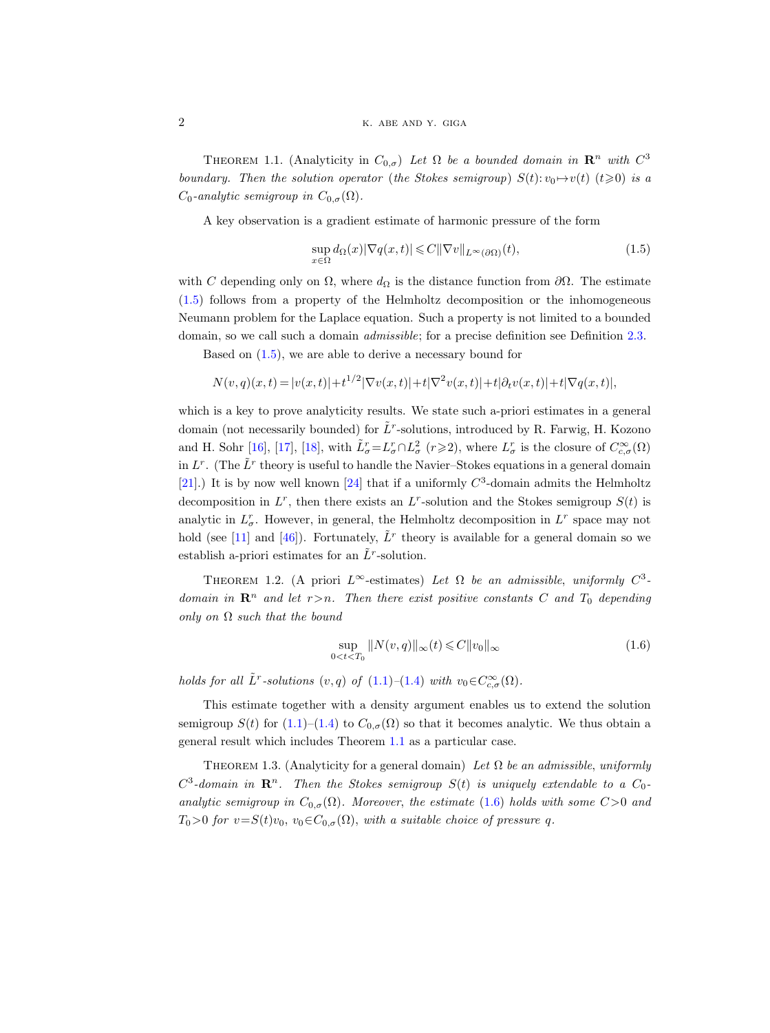THEOREM 1.1. (Analyticity in  $C_{0,\sigma}$ ) Let  $\Omega$  be a bounded domain in  $\mathbb{R}^n$  with  $C^3$ boundary. Then the solution operator (the Stokes semigroup)  $S(t): v_0 \mapsto v(t)$  ( $t \ge 0$ ) is a  $C_0$ -analytic semigroup in  $C_{0,\sigma}(\Omega)$ .

A key observation is a gradient estimate of harmonic pressure of the form

<span id="page-1-0"></span>
$$
\sup_{x \in \Omega} d_{\Omega}(x) |\nabla q(x, t)| \leq C ||\nabla v||_{L^{\infty}(\partial \Omega)}(t),
$$
\n(1.5)

with C depending only on  $\Omega$ , where  $d_{\Omega}$  is the distance function from  $\partial\Omega$ . The estimate [\(1.5\)](#page-1-0) follows from a property of the Helmholtz decomposition or the inhomogeneous Neumann problem for the Laplace equation. Such a property is not limited to a bounded domain, so we call such a domain *admissible*; for a precise definition see Definition [2.3.](#page-7-0)

Based on [\(1.5\)](#page-1-0), we are able to derive a necessary bound for

$$
N(v,q)(x,t) = |v(x,t)| + t^{1/2} |\nabla v(x,t)| + t |\nabla^2 v(x,t)| + t |\partial_t v(x,t)| + t |\nabla q(x,t)|,
$$

which is a key to prove analyticity results. We state such a-priori estimates in a general domain (not necessarily bounded) for  $\tilde{L}^r$ -solutions, introduced by R. Farwig, H. Kozono and H. Sohr [\[16\]](#page-42-1), [\[17\]](#page-42-2), [\[18\]](#page-42-3), with  $\tilde{L}^r_\sigma = L^r_\sigma \cap L^2_\sigma$   $(r \geqslant 2)$ , where  $L^r_\sigma$  is the closure of  $C^{\infty}_{c,\sigma}(\Omega)$ in  $L^r$ . (The  $\tilde{L}^r$  theory is useful to handle the Navier–Stokes equations in a general domain [\[21\]](#page-42-4).) It is by now well known [\[24\]](#page-43-2) that if a uniformly  $C^3$ -domain admits the Helmholtz decomposition in  $L^r$ , then there exists an  $L^r$ -solution and the Stokes semigroup  $S(t)$  is analytic in  $L^r_\sigma$ . However, in general, the Helmholtz decomposition in  $L^r$  space may not hold (see [\[11\]](#page-42-5) and [\[46\]](#page-44-3)). Fortunately,  $\tilde{L}^r$  theory is available for a general domain so we establish a-priori estimates for an  $\tilde{L}^r$ -solution.

<span id="page-1-3"></span>THEOREM 1.2. (A priori  $L^{\infty}$ -estimates) Let  $\Omega$  be an admissible, uniformly  $C^3$ domain in  $\mathbb{R}^n$  and let  $r > n$ . Then there exist positive constants C and T<sub>0</sub> depending only on  $\Omega$  such that the bound

<span id="page-1-1"></span>
$$
\sup_{0 < t < T_0} \|N(v, q)\|_{\infty}(t) \leq C \|v_0\|_{\infty}
$$
\n(1.6)

holds for all  $\tilde{L}^r$ -solutions  $(v, q)$  of  $(1.1)$ - $(1.4)$  with  $v_0 \in C_{c,\sigma}^{\infty}(\Omega)$ .

This estimate together with a density argument enables us to extend the solution semigroup  $S(t)$  for [\(1.1\)](#page-0-0)–[\(1.4\)](#page-0-1) to  $C_{0,\sigma}(\Omega)$  so that it becomes analytic. We thus obtain a general result which includes Theorem [1.1](#page-0-2) as a particular case.

<span id="page-1-2"></span>THEOREM 1.3. (Analyticity for a general domain) Let  $\Omega$  be an admissible, uniformly  $C^3$ -domain in  $\mathbf{R}^n$ . Then the Stokes semigroup  $S(t)$  is uniquely extendable to a  $C_0$ analytic semigroup in  $C_{0,\sigma}(\Omega)$ . Moreover, the estimate [\(1.6\)](#page-1-1) holds with some  $C>0$  and  $T_0>0$  for  $v=S(t)v_0$ ,  $v_0\in C_{0,\sigma}(\Omega)$ , with a suitable choice of pressure q.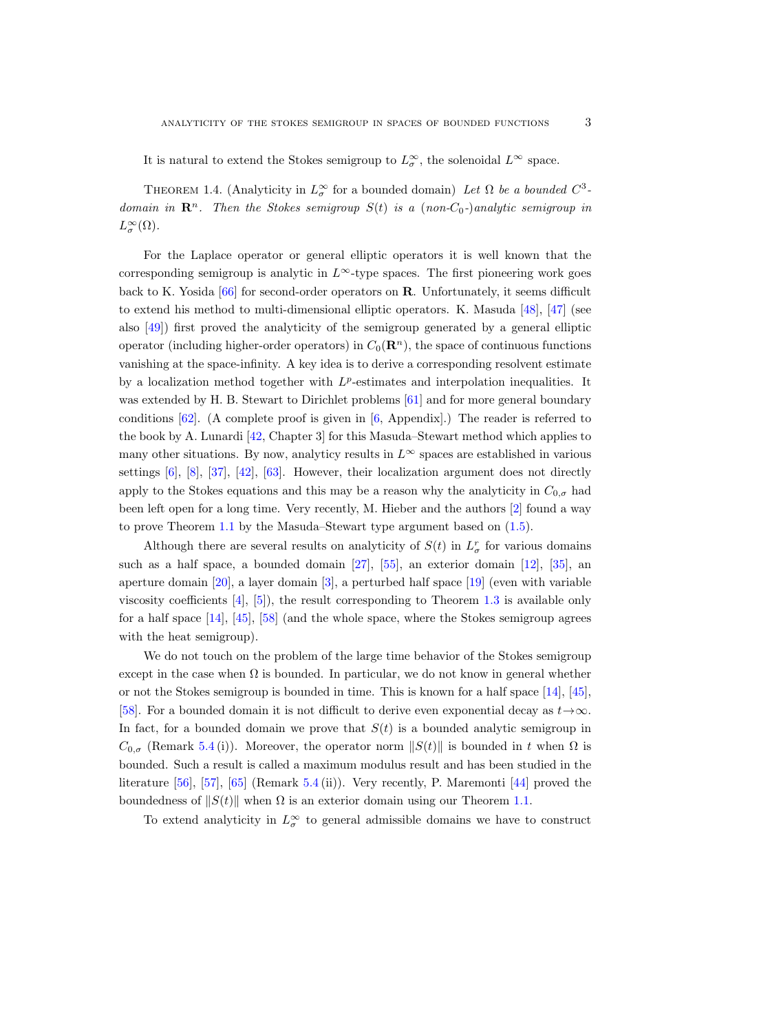It is natural to extend the Stokes semigroup to  $L^{\infty}_{\sigma}$ , the solenoidal  $L^{\infty}$  space.

<span id="page-2-0"></span>THEOREM 1.4. (Analyticity in  $L^{\infty}_{\sigma}$  for a bounded domain) Let  $\Omega$  be a bounded  $C^3$ domain in  $\mathbb{R}^n$ . Then the Stokes semigroup  $S(t)$  is a (non-C<sub>0</sub>-)analytic semigroup in  $L^{\infty}_{\sigma}(\Omega)$ .

For the Laplace operator or general elliptic operators it is well known that the corresponding semigroup is analytic in  $L^{\infty}$ -type spaces. The first pioneering work goes back to K. Yosida [\[66\]](#page-45-0) for second-order operators on R. Unfortunately, it seems difficult to extend his method to multi-dimensional elliptic operators. K. Masuda [\[48\]](#page-44-4), [\[47\]](#page-44-5) (see also [\[49\]](#page-44-6)) first proved the analyticity of the semigroup generated by a general elliptic operator (including higher-order operators) in  $C_0(\mathbf{R}^n)$ , the space of continuous functions vanishing at the space-infinity. A key idea is to derive a corresponding resolvent estimate by a localization method together with  $L^p$ -estimates and interpolation inequalities. It was extended by H. B. Stewart to Dirichlet problems [\[61\]](#page-44-7) and for more general boundary conditions  $[62]$ . (A complete proof is given in  $[6,$  Appendix.) The reader is referred to the book by A. Lunardi [\[42,](#page-43-3) Chapter 3] for this Masuda–Stewart method which applies to many other situations. By now, analyticy results in  $L^{\infty}$  spaces are established in various settings  $[6]$ ,  $[8]$ ,  $[37]$ ,  $[42]$ ,  $[63]$ . However, their localization argument does not directly apply to the Stokes equations and this may be a reason why the analyticity in  $C_{0,\sigma}$  had been left open for a long time. Very recently, M. Hieber and the authors [\[2\]](#page-42-8) found a way to prove Theorem [1.1](#page-0-2) by the Masuda–Stewart type argument based on [\(1.5\)](#page-1-0).

Although there are several results on analyticity of  $S(t)$  in  $L^r_\sigma$  for various domains such as a half space, a bounded domain [\[27\]](#page-43-0), [\[55\]](#page-44-0), an exterior domain [\[12\]](#page-42-9), [\[35\]](#page-43-5), an aperture domain [\[20\]](#page-42-10), a layer domain [\[3\]](#page-42-11), a perturbed half space [\[19\]](#page-42-12) (even with variable viscosity coefficients [\[4\]](#page-42-13), [\[5\]](#page-42-14)), the result corresponding to Theorem [1.3](#page-1-2) is available only for a half space [\[14\]](#page-42-0), [\[45\]](#page-44-1), [\[58\]](#page-44-2) (and the whole space, where the Stokes semigroup agrees with the heat semigroup).

We do not touch on the problem of the large time behavior of the Stokes semigroup except in the case when  $\Omega$  is bounded. In particular, we do not know in general whether or not the Stokes semigroup is bounded in time. This is known for a half space [\[14\]](#page-42-0), [\[45\]](#page-44-1), [\[58\]](#page-44-2). For a bounded domain it is not difficult to derive even exponential decay as  $t \rightarrow \infty$ . In fact, for a bounded domain we prove that  $S(t)$  is a bounded analytic semigroup in  $C_{0,\sigma}$  (Remark [5.4](#page-35-0)(i)). Moreover, the operator norm  $||S(t)||$  is bounded in t when  $\Omega$  is bounded. Such a result is called a maximum modulus result and has been studied in the literature [\[56\]](#page-44-10), [\[57\]](#page-44-11), [\[65\]](#page-45-1) (Remark [5.4](#page-35-0) (ii)). Very recently, P. Maremonti [\[44\]](#page-43-6) proved the boundedness of  $||S(t)||$  when  $\Omega$  is an exterior domain using our Theorem [1.1.](#page-0-2)

To extend analyticity in  $L^{\infty}_{\sigma}$  to general admissible domains we have to construct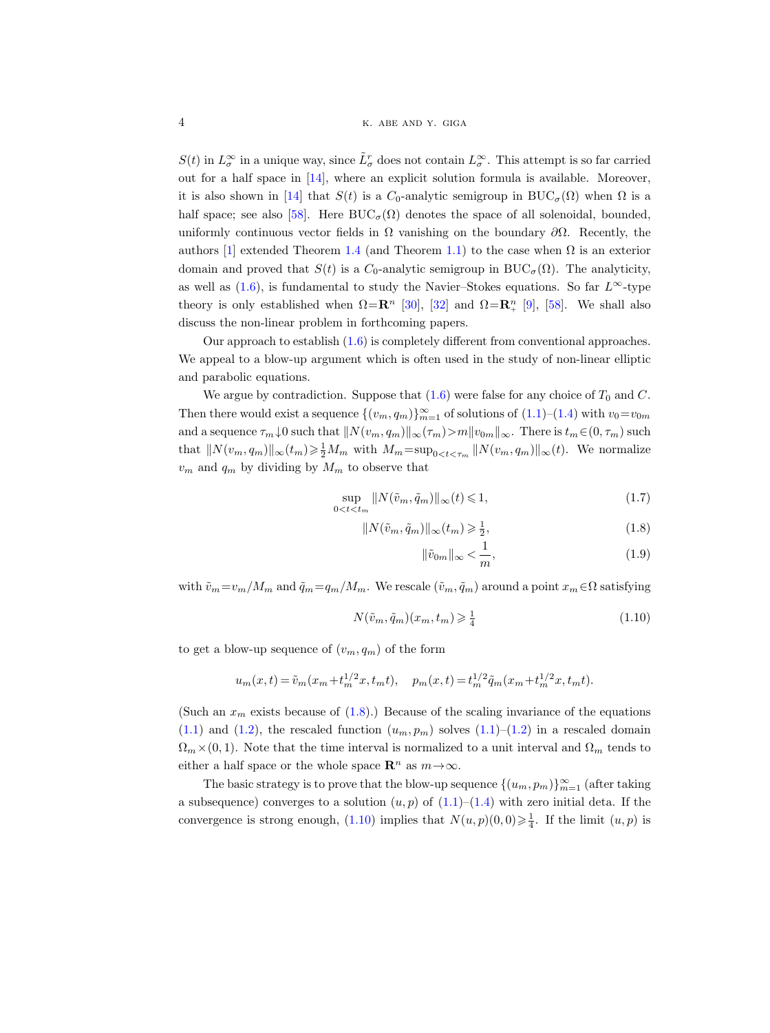$S(t)$  in  $L^{\infty}_{\sigma}$  in a unique way, since  $\tilde{L}^r_{\sigma}$  does not contain  $L^{\infty}_{\sigma}$ . This attempt is so far carried out for a half space in [\[14\]](#page-42-0), where an explicit solution formula is available. Moreover, it is also shown in [\[14\]](#page-42-0) that  $S(t)$  is a  $C_0$ -analytic semigroup in  $BUC_{\sigma}(\Omega)$  when  $\Omega$  is a half space; see also [\[58\]](#page-44-2). Here  $BUC_{\sigma}(\Omega)$  denotes the space of all solenoidal, bounded, uniformly continuous vector fields in  $\Omega$  vanishing on the boundary  $\partial\Omega$ . Recently, the authors [\[1\]](#page-42-15) extended Theorem [1.4](#page-2-0) (and Theorem [1.1\)](#page-0-2) to the case when  $\Omega$  is an exterior domain and proved that  $S(t)$  is a  $C_0$ -analytic semigroup in BUC<sub> $\sigma$ </sub>( $\Omega$ ). The analyticity, as well as [\(1.6\)](#page-1-1), is fundamental to study the Navier–Stokes equations. So far  $L^{\infty}$ -type theory is only established when  $\Omega = \mathbb{R}^n$  [\[30\]](#page-43-7), [\[32\]](#page-43-8) and  $\Omega = \mathbb{R}^n_+$  [\[9\]](#page-42-16), [\[58\]](#page-44-2). We shall also discuss the non-linear problem in forthcoming papers.

Our approach to establish [\(1.6\)](#page-1-1) is completely different from conventional approaches. We appeal to a blow-up argument which is often used in the study of non-linear elliptic and parabolic equations.

We argue by contradiction. Suppose that  $(1.6)$  were false for any choice of  $T_0$  and C. Then there would exist a sequence  $\{(v_m, q_m)\}_{m=1}^{\infty}$  of solutions of  $(1.1)$ – $(1.4)$  with  $v_0 = v_{0m}$ and a sequence  $\tau_m\downarrow 0$  such that  $||N(v_m, q_m)||_{\infty}(\tau_m)>m||v_{0m}||_{\infty}$ . There is  $t_m\in(0, \tau_m)$  such that  $||N(v_m, q_m)||_{\infty}(t_m) \ge \frac{1}{2}M_m$  with  $M_m = \sup_{0 \le t \le \tau_m} ||N(v_m, q_m)||_{\infty}(t)$ . We normalize  $v_m$  and  $q_m$  by dividing by  $M_m$  to observe that

$$
\sup_{0 < t < t_m} \|N(\tilde{v}_m, \tilde{q}_m)\|_{\infty}(t) \leq 1,\tag{1.7}
$$

$$
||N(\tilde{v}_m, \tilde{q}_m)||_{\infty}(t_m) \geq \frac{1}{2},\tag{1.8}
$$

<span id="page-3-3"></span><span id="page-3-2"></span><span id="page-3-0"></span>
$$
\|\tilde{v}_{0m}\|_{\infty} < \frac{1}{m},\tag{1.9}
$$

with  $\tilde{v}_m=v_m/M_m$  and  $\tilde{q}_m=q_m/M_m$ . We rescale  $(\tilde{v}_m, \tilde{q}_m)$  around a point  $x_m \in \Omega$  satisfying

<span id="page-3-1"></span>
$$
N(\tilde{v}_m, \tilde{q}_m)(x_m, t_m) \geq \frac{1}{4} \tag{1.10}
$$

to get a blow-up sequence of  $(v_m, q_m)$  of the form

$$
u_m(x,t) = \tilde{v}_m(x_m + t_m^{1/2}x, t_mt), \quad p_m(x,t) = t_m^{1/2} \tilde{q}_m(x_m + t_m^{1/2}x, t_mt).
$$

(Such an  $x_m$  exists because of  $(1.8)$ .) Because of the scaling invariance of the equations  $(1.1)$  and  $(1.2)$ , the rescaled function  $(u_m, p_m)$  solves  $(1.1)$ – $(1.2)$  in a rescaled domain  $\Omega_m\times(0,1)$ . Note that the time interval is normalized to a unit interval and  $\Omega_m$  tends to either a half space or the whole space  $\mathbb{R}^n$  as  $m \to \infty$ .

The basic strategy is to prove that the blow-up sequence  $\{(u_m, p_m)\}_{m=1}^{\infty}$  (after taking a subsequence) converges to a solution  $(u, p)$  of  $(1.1)$ – $(1.4)$  with zero initial deta. If the convergence is strong enough,  $(1.10)$  implies that  $N(u, p)(0, 0) \geq \frac{1}{4}$ . If the limit  $(u, p)$  is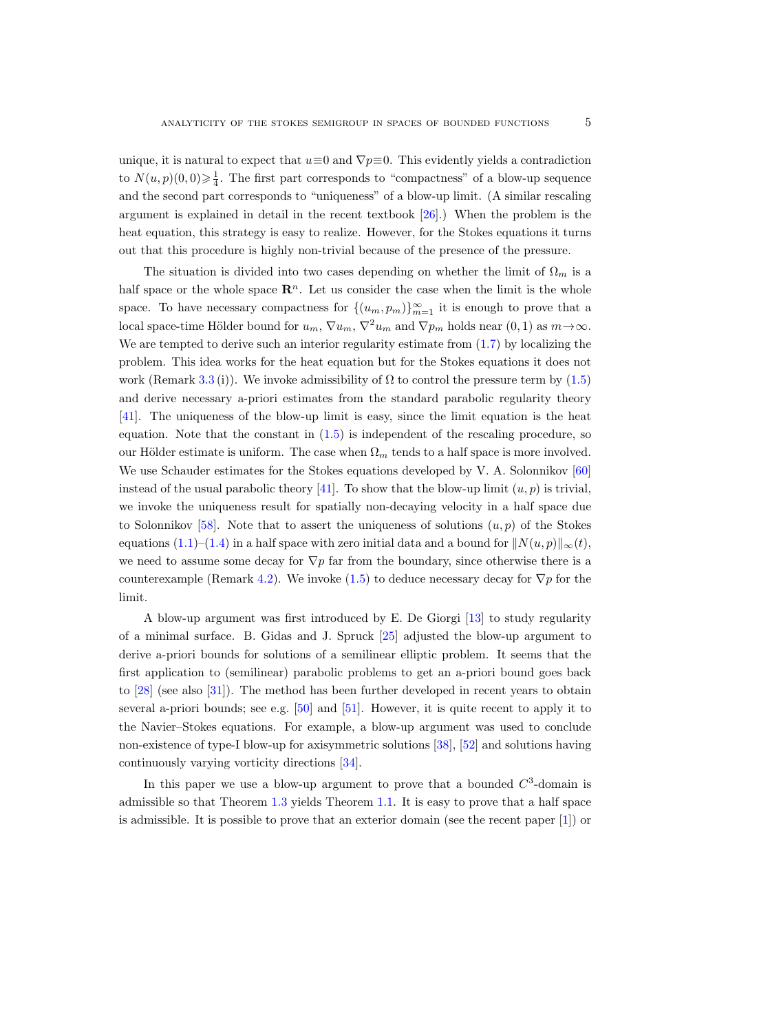unique, it is natural to expect that  $u \equiv 0$  and  $\nabla p \equiv 0$ . This evidently yields a contradiction to  $N(u, p)(0, 0) \geq \frac{1}{4}$ . The first part corresponds to "compactness" of a blow-up sequence and the second part corresponds to "uniqueness" of a blow-up limit. (A similar rescaling argument is explained in detail in the recent textbook [\[26\]](#page-43-9).) When the problem is the heat equation, this strategy is easy to realize. However, for the Stokes equations it turns out that this procedure is highly non-trivial because of the presence of the pressure.

The situation is divided into two cases depending on whether the limit of  $\Omega_m$  is a half space or the whole space  $\mathbb{R}^n$ . Let us consider the case when the limit is the whole space. To have necessary compactness for  $\{(u_m, p_m)\}_{m=1}^{\infty}$  it is enough to prove that a local space-time Hölder bound for  $u_m$ ,  $\nabla u_m$ ,  $\nabla^2 u_m$  and  $\nabla p_m$  holds near  $(0, 1)$  as  $m \rightarrow \infty$ . We are tempted to derive such an interior regularity estimate from [\(1.7\)](#page-3-2) by localizing the problem. This idea works for the heat equation but for the Stokes equations it does not work (Remark [3.3](#page-17-0) (i)). We invoke admissibility of  $\Omega$  to control the pressure term by [\(1.5\)](#page-1-0) and derive necessary a-priori estimates from the standard parabolic regularity theory [\[41\]](#page-43-10). The uniqueness of the blow-up limit is easy, since the limit equation is the heat equation. Note that the constant in  $(1.5)$  is independent of the rescaling procedure, so our Hölder estimate is uniform. The case when  $\Omega_m$  tends to a half space is more involved. We use Schauder estimates for the Stokes equations developed by V. A. Solonnikov [\[60\]](#page-44-12) instead of the usual parabolic theory [\[41\]](#page-43-10). To show that the blow-up limit  $(u, p)$  is trivial, we invoke the uniqueness result for spatially non-decaying velocity in a half space due to Solonnikov [\[58\]](#page-44-2). Note that to assert the uniqueness of solutions  $(u, p)$  of the Stokes equations [\(1.1\)](#page-0-0)–[\(1.4\)](#page-0-1) in a half space with zero initial data and a bound for  $||N(u, p)||_{\infty}(t)$ , we need to assume some decay for  $\nabla p$  far from the boundary, since otherwise there is a counterexample (Remark [4.2\)](#page-26-0). We invoke [\(1.5\)](#page-1-0) to deduce necessary decay for  $\nabla p$  for the limit.

A blow-up argument was first introduced by E. De Giorgi [\[13\]](#page-42-17) to study regularity of a minimal surface. B. Gidas and J. Spruck [\[25\]](#page-43-11) adjusted the blow-up argument to derive a-priori bounds for solutions of a semilinear elliptic problem. It seems that the first application to (semilinear) parabolic problems to get an a-priori bound goes back to [\[28\]](#page-43-12) (see also [\[31\]](#page-43-13)). The method has been further developed in recent years to obtain several a-priori bounds; see e.g. [\[50\]](#page-44-13) and [\[51\]](#page-44-14). However, it is quite recent to apply it to the Navier–Stokes equations. For example, a blow-up argument was used to conclude non-existence of type-I blow-up for axisymmetric solutions [\[38\]](#page-43-14), [\[52\]](#page-44-15) and solutions having continuously varying vorticity directions [\[34\]](#page-43-15).

In this paper we use a blow-up argument to prove that a bounded  $C<sup>3</sup>$ -domain is admissible so that Theorem [1.3](#page-1-2) yields Theorem [1.1.](#page-0-2) It is easy to prove that a half space is admissible. It is possible to prove that an exterior domain (see the recent paper [\[1\]](#page-42-15)) or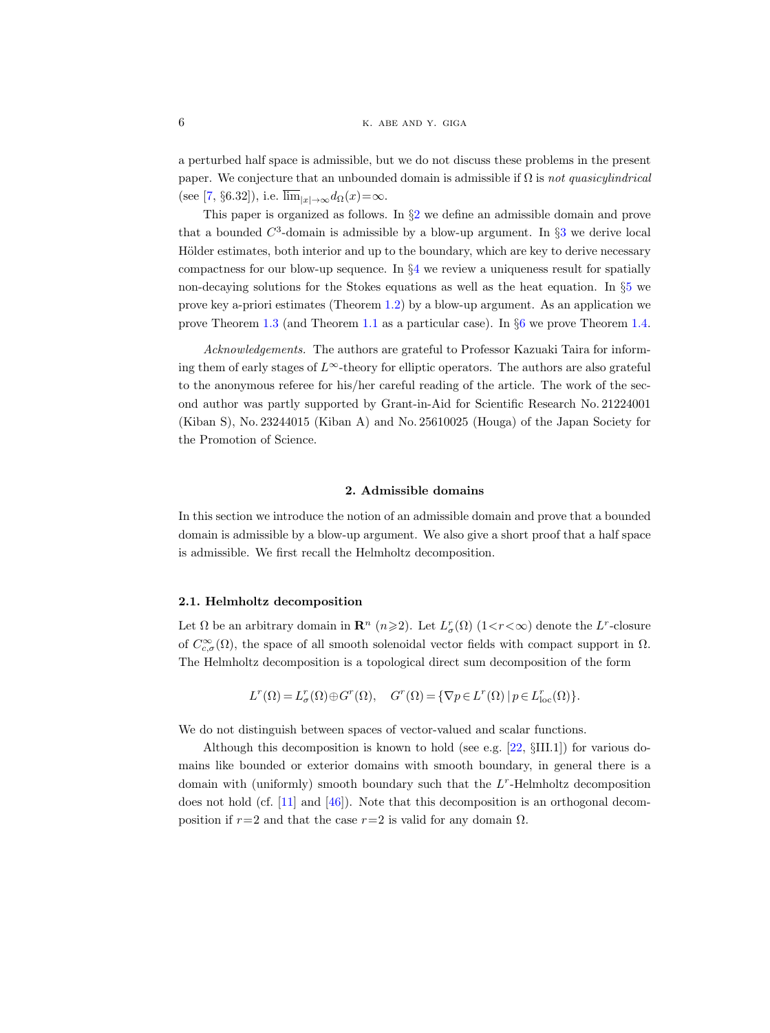a perturbed half space is admissible, but we do not discuss these problems in the present paper. We conjecture that an unbounded domain is admissible if  $\Omega$  is not quasicylindrical (see [\[7,](#page-42-18) §6.32]), i.e.  $\overline{\lim}_{|x| \to \infty} d_{\Omega}(x) = \infty$ .

This paper is organized as follows. In §[2](#page-5-0) we define an admissible domain and prove that a bounded  $C^3$  $C^3$ -domain is admissible by a blow-up argument. In  $\S3$  we derive local Hölder estimates, both interior and up to the boundary, which are key to derive necessary compactness for our blow-up sequence. In  $\S 4$  $\S 4$  we review a uniqueness result for spatially non-decaying solutions for the Stokes equations as well as the heat equation. In §[5](#page-29-0) we prove key a-priori estimates (Theorem [1.2\)](#page-1-3) by a blow-up argument. As an application we prove Theorem [1.3](#page-1-2) (and Theorem [1.1](#page-0-2) as a particular case). In §[6](#page-37-0) we prove Theorem [1.4.](#page-2-0)

Acknowledgements. The authors are grateful to Professor Kazuaki Taira for informing them of early stages of  $L^{\infty}$ -theory for elliptic operators. The authors are also grateful to the anonymous referee for his/her careful reading of the article. The work of the second author was partly supported by Grant-in-Aid for Scientific Research No. 21224001 (Kiban S), No. 23244015 (Kiban A) and No. 25610025 (Houga) of the Japan Society for the Promotion of Science.

#### 2. Admissible domains

<span id="page-5-0"></span>In this section we introduce the notion of an admissible domain and prove that a bounded domain is admissible by a blow-up argument. We also give a short proof that a half space is admissible. We first recall the Helmholtz decomposition.

#### 2.1. Helmholtz decomposition

Let  $\Omega$  be an arbitrary domain in  $\mathbb{R}^n$  ( $n \geqslant 2$ ). Let  $L^r_{\sigma}(\Omega)$  (1<*r*< $\infty$ ) denote the  $L^r$ -closure of  $C_{c,\sigma}^{\infty}(\Omega)$ , the space of all smooth solenoidal vector fields with compact support in  $\Omega$ . The Helmholtz decomposition is a topological direct sum decomposition of the form

$$
L^r(\Omega)=L^r_\sigma(\Omega)\oplus G^r(\Omega),\quad G^r(\Omega)=\{\nabla p\in L^r(\Omega)\,|\,p\in L^r_{\rm loc}(\Omega)\}.
$$

We do not distinguish between spaces of vector-valued and scalar functions.

Although this decomposition is known to hold (see e.g. [\[22,](#page-42-19) §III.1]) for various domains like bounded or exterior domains with smooth boundary, in general there is a domain with (uniformly) smooth boundary such that the  $L<sup>r</sup>$ -Helmholtz decomposition does not hold (cf. [\[11\]](#page-42-5) and [\[46\]](#page-44-3)). Note that this decomposition is an orthogonal decomposition if  $r=2$  and that the case  $r=2$  is valid for any domain  $\Omega$ .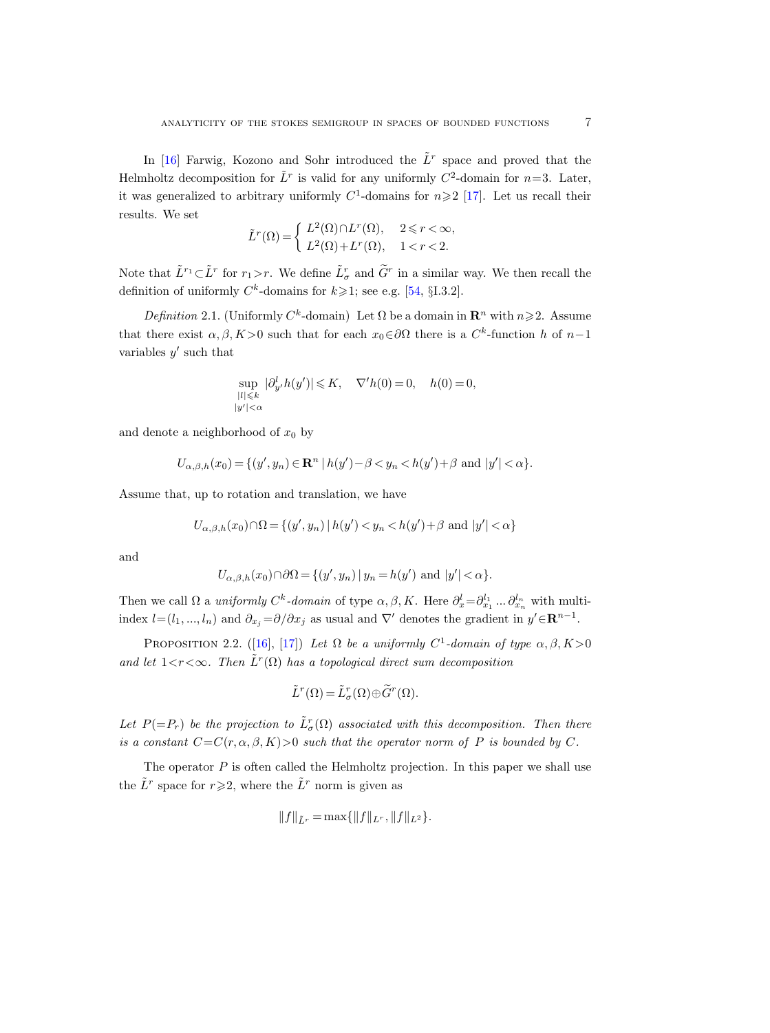In [\[16\]](#page-42-1) Farwig, Kozono and Sohr introduced the  $\tilde{L}^r$  space and proved that the Helmholtz decomposition for  $\tilde{L}^r$  is valid for any uniformly  $C^2$ -domain for  $n=3$ . Later, it was generalized to arbitrary uniformly  $C^1$ -domains for  $n \geq 2$  [\[17\]](#page-42-2). Let us recall their results. We set

$$
\tilde{L}^r(\Omega) = \begin{cases} L^2(\Omega) \cap L^r(\Omega), & 2 \leq r < \infty, \\ L^2(\Omega) + L^r(\Omega), & 1 < r < 2. \end{cases}
$$

Note that  $\tilde{L}^{r_1}\subset \tilde{L}^r$  for  $r_1>r$ . We define  $\tilde{L}^r_{\sigma}$  and  $\tilde{G}^r$  in a similar way. We then recall the definition of uniformly  $C^k$ -domains for  $k \geq 1$ ; see e.g. [\[54,](#page-44-16) §I.3.2].

Definition 2.1. (Uniformly  $C^k$ -domain) Let  $\Omega$  be a domain in  $\mathbb{R}^n$  with  $n \geq 2$ . Assume that there exist  $\alpha, \beta, K > 0$  such that for each  $x_0 \in \partial\Omega$  there is a  $C^k$ -function h of  $n-1$ variables  $y'$  such that

$$
\sup_{\substack{|l|\leqslant k\\|y'|<\alpha}}|\partial_{y'}^l h(y')|\leqslant K,\quad \nabla'h(0)=0,\quad h(0)=0,
$$

and denote a neighborhood of  $x_0$  by

$$
U_{\alpha,\beta,h}(x_0) = \{(y',y_n) \in \mathbf{R}^n \mid h(y') - \beta < y_n < h(y') + \beta \text{ and } |y'| < \alpha\}.
$$

Assume that, up to rotation and translation, we have

$$
U_{\alpha,\beta,h}(x_0) \cap \Omega = \{(y',y_n) \mid h(y') < y_n < h(y') + \beta \text{ and } |y'| < \alpha\}
$$

and

$$
U_{\alpha,\beta,h}(x_0) \cap \partial \Omega = \{(y',y_n) \mid y_n = h(y') \text{ and } |y'| < \alpha\}.
$$

Then we call  $\Omega$  a *uniformly C<sup>k</sup>*-domain of type  $\alpha, \beta, K$ . Here  $\partial_x^l = \partial_{x_1}^{l_1} \dots \partial_{x_n}^{l_n}$  with multiindex  $l = (l_1, ..., l_n)$  and  $\partial_{x_j} = \partial/\partial x_j$  as usual and  $\nabla'$  denotes the gradient in  $y' \in \mathbb{R}^{n-1}$ .

<span id="page-6-0"></span>PROPOSITION2.2. ([\[16\]](#page-42-1), [\[17\]](#page-42-2)) Let  $\Omega$  be a uniformly  $C^1$ -domain of type  $\alpha, \beta, K > 0$ and let  $1 < r < \infty$ . Then  $\tilde{L}^r(\Omega)$  has a topological direct sum decomposition

$$
\tilde{L}^r(\Omega) = \tilde{L}^r_{\sigma}(\Omega) \oplus \tilde{G}^r(\Omega).
$$

Let  $P(=P_r)$  be the projection to  $\tilde{L}^r_{\sigma}(\Omega)$  associated with this decomposition. Then there is a constant  $C=C(r, \alpha, \beta, K)>0$  such that the operator norm of P is bounded by C.

The operator  $P$  is often called the Helmholtz projection. In this paper we shall use the  $\tilde{L}^r$  space for  $r \geqslant 2$ , where the  $\tilde{L}^r$  norm is given as

$$
||f||_{\tilde{L}^r} = \max\{||f||_{L^r}, ||f||_{L^2}\}.
$$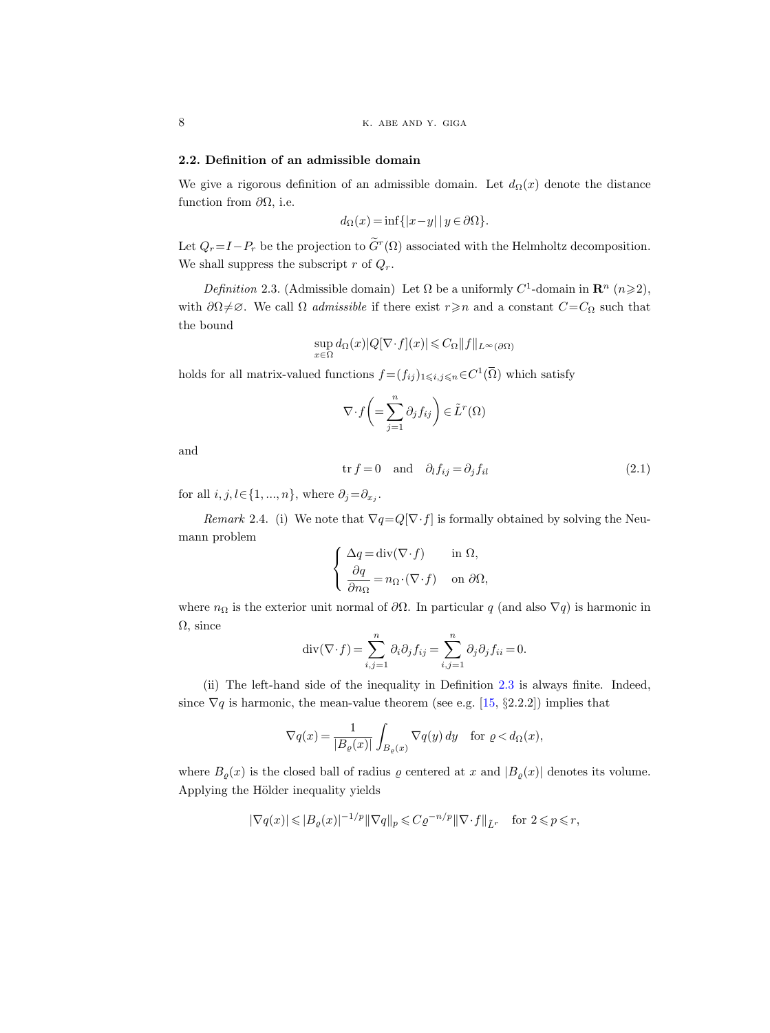#### 2.2. Definition of an admissible domain

We give a rigorous definition of an admissible domain. Let  $d_{\Omega}(x)$  denote the distance function from  $\partial\Omega$ , i.e.

$$
d_{\Omega}(x) = \inf\{|x - y| \mid y \in \partial\Omega\}.
$$

Let  $Q_r = I - P_r$  be the projection to  $G^r(\Omega)$  associated with the Helmholtz decomposition. We shall suppress the subscript r of  $Q_r$ .

<span id="page-7-0"></span>Definition 2.3. (Admissible domain) Let  $\Omega$  be a uniformly  $C^1$ -domain in  $\mathbb{R}^n$  ( $n \geq 2$ ), with  $\partial\Omega \neq \emptyset$ . We call  $\Omega$  *admissible* if there exist  $r \geq n$  and a constant  $C=C_{\Omega}$  such that the bound

$$
\sup_{x\in\Omega} d_{\Omega}(x)|Q[\nabla\cdot f](x)|{\,\leqslant\,} C_{\Omega}\|f\|_{L^{\infty}(\partial\Omega)}
$$

holds for all matrix-valued functions  $f = (f_{ij})_{1 \leq i,j \leq n} \in C^1(\overline{\Omega})$  which satisfy

$$
\nabla \cdot f\left( = \sum_{j=1}^n \partial_j f_{ij} \right) \in \tilde{L}^r(\Omega)
$$

and

<span id="page-7-1"></span>
$$
\text{tr } f = 0 \quad \text{and} \quad \partial_l f_{ij} = \partial_j f_{il} \tag{2.1}
$$

for all  $i, j, l \in \{1, ..., n\}$ , where  $\partial_j = \partial_{x_j}$ .

<span id="page-7-2"></span>Remark 2.4. (i) We note that  $\nabla q = Q[\nabla \cdot f]$  is formally obtained by solving the Neumann problem

$$
\begin{cases} \Delta q = \text{div}(\nabla \cdot f) & \text{in } \Omega, \\ \frac{\partial q}{\partial n_{\Omega}} = n_{\Omega} \cdot (\nabla \cdot f) & \text{on } \partial \Omega, \end{cases}
$$

where  $n_{\Omega}$  is the exterior unit normal of  $\partial\Omega$ . In particular q (and also  $\nabla q$ ) is harmonic in  $\Omega$ , since

$$
\operatorname{div}(\nabla \cdot f) = \sum_{i,j=1}^{n} \partial_i \partial_j f_{ij} = \sum_{i,j=1}^{n} \partial_j \partial_j f_{ii} = 0.
$$

(ii) The left-hand side of the inequality in Definition [2.3](#page-7-0) is always finite. Indeed, since  $\nabla q$  is harmonic, the mean-value theorem (see e.g. [\[15,](#page-42-20) §2.2.2]) implies that

$$
\nabla q(x) = \frac{1}{|B_{\varrho}(x)|} \int_{B_{\varrho}(x)} \nabla q(y) \, dy \quad \text{for } \varrho < d_{\Omega}(x),
$$

where  $B_{\varrho}(x)$  is the closed ball of radius  $\varrho$  centered at x and  $|B_{\varrho}(x)|$  denotes its volume. Applying the Hölder inequality yields

$$
|\nabla q(x)| \leqslant |B_{\varrho}(x)|^{-1/p} \|\nabla q\|_{p} \leqslant C\varrho^{-n/p} \|\nabla \cdot f\|_{\tilde{L}^r} \quad \text{for } 2 \leqslant p \leqslant r,
$$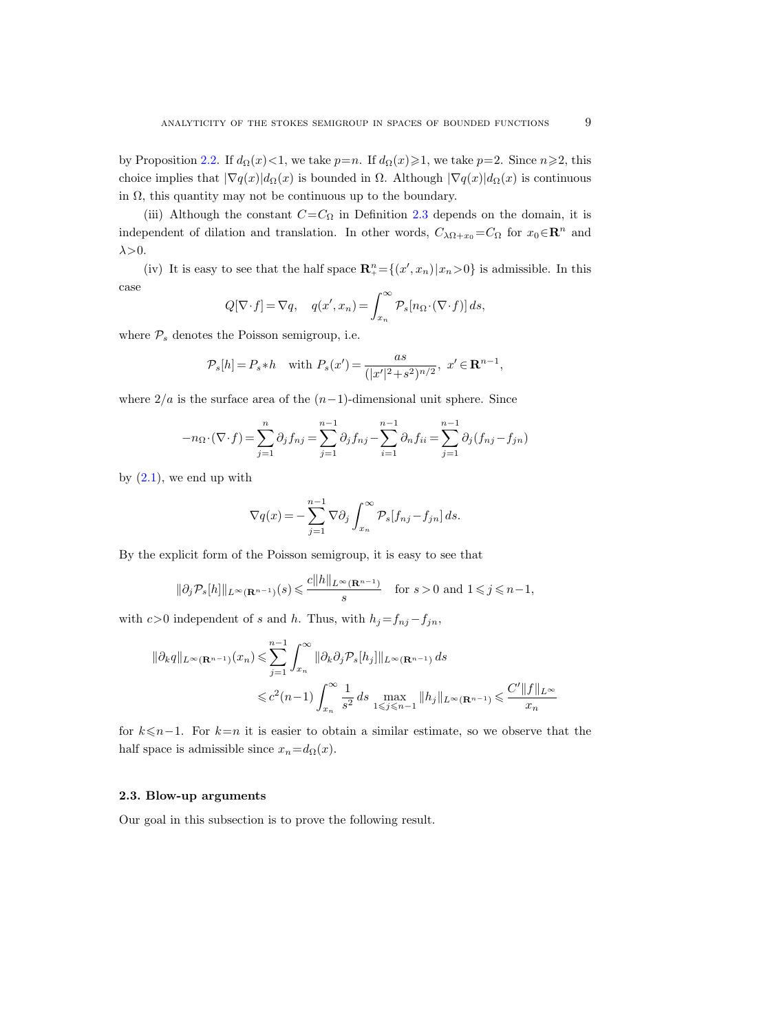by Proposition [2.2.](#page-6-0) If  $d_{\Omega}(x) < 1$ , we take  $p=n$ . If  $d_{\Omega}(x) \ge 1$ , we take  $p=2$ . Since  $n \ge 2$ , this choice implies that  $|\nabla q(x)|d_{\Omega}(x)$  is bounded in  $\Omega$ . Although  $|\nabla q(x)|d_{\Omega}(x)$  is continuous in  $\Omega$ , this quantity may not be continuous up to the boundary.

(iii) Although the constant  $C=C_{\Omega}$  in Definition [2.3](#page-7-0) depends on the domain, it is independent of dilation and translation. In other words,  $C_{\lambda\Omega+x_0}=C_{\Omega}$  for  $x_0\in\mathbb{R}^n$  and  $\lambda$  > 0.

(iv) It is easy to see that the half space  $\mathbb{R}^n_+ = \{(x', x_n) | x_n > 0\}$  is admissible. In this case

$$
Q[\nabla \cdot f] = \nabla q, \quad q(x', x_n) = \int_{x_n}^{\infty} \mathcal{P}_s[n_{\Omega} \cdot (\nabla \cdot f)] ds,
$$

where  $P_s$  denotes the Poisson semigroup, i.e.

$$
\mathcal{P}_s[h] = P_s * h \quad \text{with } P_s(x') = \frac{as}{(|x'|^2 + s^2)^{n/2}}, \ x' \in \mathbf{R}^{n-1},
$$

where  $2/a$  is the surface area of the  $(n-1)$ -dimensional unit sphere. Since

$$
-n_{\Omega} \cdot (\nabla \cdot f) = \sum_{j=1}^{n} \partial_j f_{nj} = \sum_{j=1}^{n-1} \partial_j f_{nj} - \sum_{i=1}^{n-1} \partial_n f_{ii} = \sum_{j=1}^{n-1} \partial_j (f_{nj} - f_{jn})
$$

by  $(2.1)$ , we end up with

$$
\nabla q(x) = -\sum_{j=1}^{n-1} \nabla \partial_j \int_{x_n}^{\infty} \mathcal{P}_s[f_{nj} - f_{jn}] ds.
$$

By the explicit form of the Poisson semigroup, it is easy to see that

$$
\|\partial_j \mathcal{P}_s[h]\|_{L^\infty(\mathbf{R}^{n-1})}(s) \leqslant \frac{c\|h\|_{L^\infty(\mathbf{R}^{n-1})}}{s} \quad \text{for } s > 0 \text{ and } 1 \leqslant j \leqslant n-1,
$$

with  $c>0$  independent of s and h. Thus, with  $h_j=f_{nj}-f_{jn}$ ,

$$
\|\partial_k q\|_{L^{\infty}(\mathbf{R}^{n-1})}(x_n) \leq \sum_{j=1}^{n-1} \int_{x_n}^{\infty} \|\partial_k \partial_j \mathcal{P}_s[h_j]\|_{L^{\infty}(\mathbf{R}^{n-1})} ds
$$
  

$$
\leq c^2 (n-1) \int_{x_n}^{\infty} \frac{1}{s^2} ds \max_{1 \leq j \leq n-1} \|h_j\|_{L^{\infty}(\mathbf{R}^{n-1})} \leq \frac{C' \|f\|_{L^{\infty}}}{x_n}
$$

for  $k \leq n-1$ . For  $k=n$  it is easier to obtain a similar estimate, so we observe that the half space is admissible since  $x_n = d_{\Omega}(x)$ .

# 2.3. Blow-up arguments

<span id="page-8-0"></span>Our goal in this subsection is to prove the following result.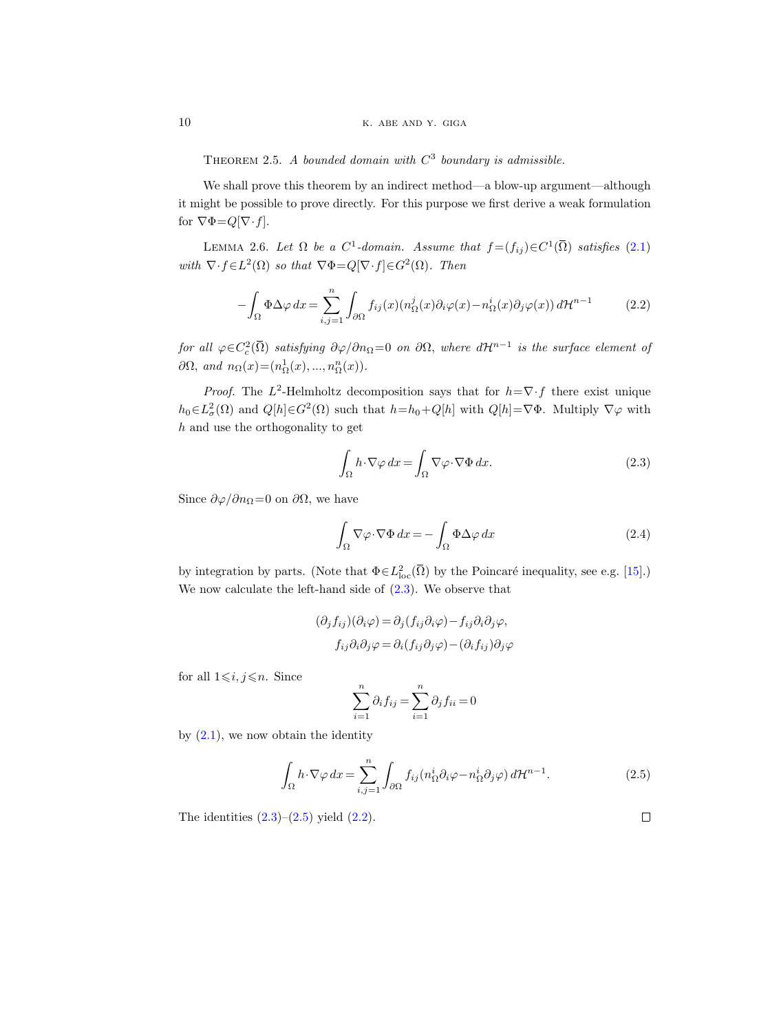THEOREM 2.5. A bounded domain with  $C^3$  boundary is admissible.

We shall prove this theorem by an indirect method—a blow-up argument—although it might be possible to prove directly. For this purpose we first derive a weak formulation for  $\nabla \Phi = Q[\nabla \cdot f]$ .

<span id="page-9-3"></span>LEMMA 2.6. Let  $\Omega$  be a  $C^1$ -domain. Assume that  $f = (f_{ij}) \in C^1(\overline{\Omega})$  satisfies [\(2.1\)](#page-7-1) with  $\nabla \cdot f \in L^2(\Omega)$  so that  $\nabla \Phi = Q[\nabla \cdot f] \in G^2(\Omega)$ . Then

<span id="page-9-2"></span>
$$
-\int_{\Omega} \Phi \Delta \varphi \, dx = \sum_{i,j=1}^{n} \int_{\partial \Omega} f_{ij}(x) (n_{\Omega}^{j}(x)\partial_{i}\varphi(x) - n_{\Omega}^{i}(x)\partial_{j}\varphi(x)) \, d\mathcal{H}^{n-1} \tag{2.2}
$$

for all  $\varphi \in C^2_c(\bar\Omega)$  satisfying  $\partial \varphi/\partial n_\Omega = 0$  on  $\partial \Omega$ , where  $d{\cal H}^{n-1}$  is the surface element of  $\partial\Omega$ , and  $n_{\Omega}(x) = (n_{\Omega}^1(x), ..., n_{\Omega}^n(x)).$ 

*Proof.* The  $L^2$ -Helmholtz decomposition says that for  $h=\nabla \cdot f$  there exist unique  $h_0 \in L^2_\sigma(\Omega)$  and  $Q[h] \in G^2(\Omega)$  such that  $h=h_0+Q[h]$  with  $Q[h]=\nabla \Phi$ . Multiply  $\nabla \varphi$  with h and use the orthogonality to get

<span id="page-9-0"></span>
$$
\int_{\Omega} h \cdot \nabla \varphi \, dx = \int_{\Omega} \nabla \varphi \cdot \nabla \Phi \, dx. \tag{2.3}
$$

Since  $\partial \varphi / \partial n_{\Omega} = 0$  on  $\partial \Omega$ , we have

$$
\int_{\Omega} \nabla \varphi \cdot \nabla \Phi \, dx = -\int_{\Omega} \Phi \Delta \varphi \, dx \tag{2.4}
$$

by integration by parts. (Note that  $\Phi \in L^2_{loc}(\bar{\Omega})$  by the Poincaré inequality, see e.g. [[15\]](#page-42-20).) We now calculate the left-hand side of [\(2.3\)](#page-9-0). We observe that

$$
(\partial_j f_{ij})(\partial_i \varphi) = \partial_j (f_{ij}\partial_i \varphi) - f_{ij}\partial_i \partial_j \varphi,
$$
  

$$
f_{ij}\partial_i \partial_j \varphi = \partial_i (f_{ij}\partial_j \varphi) - (\partial_i f_{ij})\partial_j \varphi
$$

for all  $1\leq i, j\leq n$ . Since

$$
\sum_{i=1}^{n} \partial_i f_{ij} = \sum_{i=1}^{n} \partial_j f_{ii} = 0
$$

by  $(2.1)$ , we now obtain the identity

<span id="page-9-1"></span>
$$
\int_{\Omega} h \cdot \nabla \varphi \, dx = \sum_{i,j=1}^{n} \int_{\partial \Omega} f_{ij} (n_{\Omega}^{i} \partial_{i} \varphi - n_{\Omega}^{i} \partial_{j} \varphi) \, d\mathcal{H}^{n-1}.
$$
\n(2.5)

The identities  $(2.3)$ – $(2.5)$  yield  $(2.2)$ .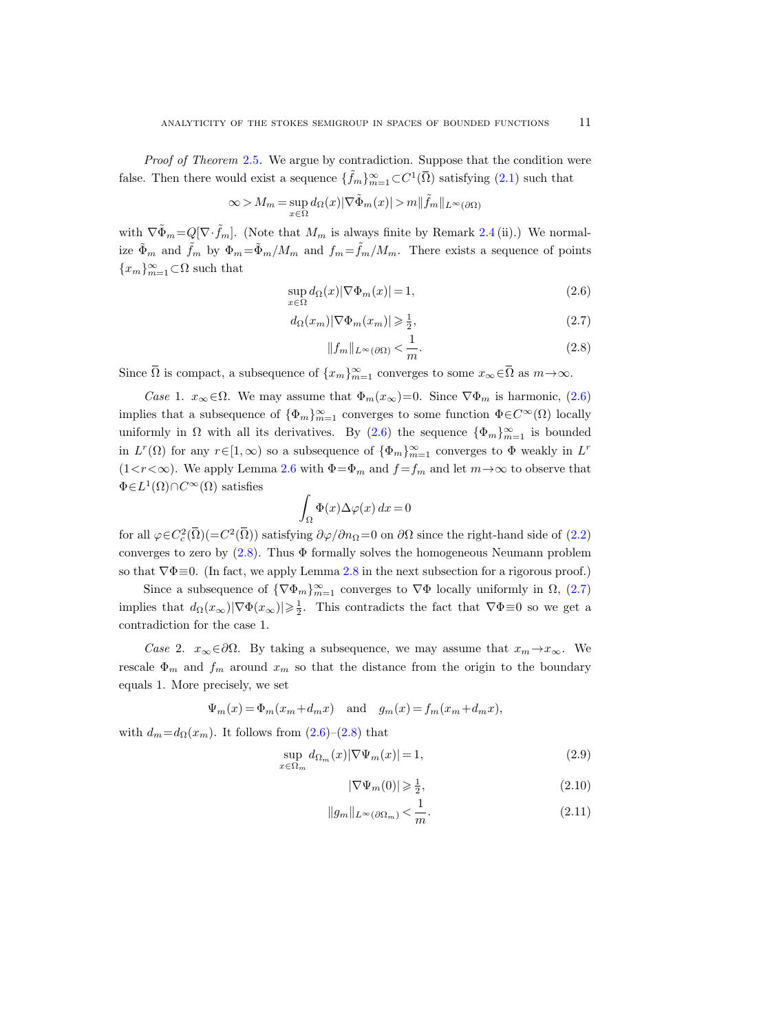Proof of Theorem [2.5](#page-8-0). We argue by contradiction. Suppose that the condition were false. Then there would exist a sequence  $\{\tilde{f}_m\}_{m=1}^{\infty} \subset C^1(\overline{\Omega})$  satisfying  $(2.1)$  $(2.1)$  such that

$$
\infty > M_m = \sup_{x \in \Omega} d_{\Omega}(x) |\nabla \tilde{\Phi}_m(x)| > m ||\tilde{f}_m||_{L^{\infty}(\partial \Omega)}
$$

with  $\nabla \tilde{\Phi}_m = Q[\nabla \cdot \tilde{f}_m]$ . (Note that  $M_m$  is always finite by Remark [2.4](#page-7-2) (ii).) We normalize  $\tilde{\Phi}_m$  and  $\tilde{f}_m$  by  $\Phi_m = \tilde{\Phi}_m / M_m$  and  $f_m = \tilde{f}_m / M_m$ . There exists a sequence of points  $\{x_m\}_{m=1}^\infty\!\subset\!\Omega$  such that

$$
\sup_{x \in \Omega} d_{\Omega}(x) |\nabla \Phi_m(x)| = 1,
$$
\n(2.6)

$$
d_{\Omega}(x_m)|\nabla\Phi_m(x_m)| \geqslant \frac{1}{2},\tag{2.7}
$$

<span id="page-10-2"></span><span id="page-10-1"></span><span id="page-10-0"></span>
$$
||f_m||_{L^{\infty}(\partial\Omega)} < \frac{1}{m}.
$$
\n(2.8)

Since  $\overline{\Omega}$  is compact, a subsequence of  $\{x_m\}_{m=1}^{\infty}$  converges to some  $x_{\infty} \in \overline{\Omega}$  as  $m \to \infty$ .

*Case* 1.  $x_{\infty} \in \Omega$ . We may assume that  $\Phi_m(x_{\infty})=0$ . Since  $\nabla \Phi_m$  is harmonic, [\(2.6\)](#page-10-0) implies that a subsequence of  $\{\Phi_m\}_{m=1}^{\infty}$  converges to some function  $\Phi \in C^{\infty}(\Omega)$  locally uniformly in  $\Omega$  with all its derivatives. By  $(2.6)$  the sequence  $\{\Phi_m\}_{m=1}^{\infty}$  is bounded in  $L^r(\Omega)$  for any  $r \in [1,\infty)$  so a subsequence of  $\{\Phi_m\}_{m=1}^{\infty}$  converges to  $\Phi$  weakly in  $L^r$ (1< $r$ < $\infty$ ). We apply Lemma [2.6](#page-9-3) with  $\Phi = \Phi_m$  and  $f = f_m$  and let  $m \to \infty$  to observe that  $\Phi \in L^1(\Omega) \cap C^{\infty}(\Omega)$  satisfies

$$
\int_{\Omega} \Phi(x) \Delta \varphi(x) \, dx = 0
$$

for all  $\varphi \in C_c^2(\overline{\Omega}) (-C^2(\overline{\Omega}))$  satisfying  $\partial \varphi / \partial n_{\Omega} = 0$  on  $\partial \Omega$  since the right-hand side of [\(2.2\)](#page-9-2) converges to zero by  $(2.8)$ . Thus  $\Phi$  formally solves the homogeneous Neumann problem so that  $\nabla \Phi \equiv 0$ . (In fact, we apply Lemma [2.8](#page-13-0) in the next subsection for a rigorous proof.)

Since a subsequence of  $\{\nabla \Phi_m\}_{m=1}^{\infty}$  converges to  $\nabla \Phi$  locally uniformly in  $\Omega$ , [\(2.7\)](#page-10-2) implies that  $d_{\Omega}(x_{\infty})|\nabla \Phi(x_{\infty})| \geq \frac{1}{2}$ . This contradicts the fact that  $\nabla \Phi \equiv 0$  so we get a contradiction for the case 1.

Case 2.  $x_{\infty} \in \partial \Omega$ . By taking a subsequence, we may assume that  $x_m \to x_{\infty}$ . We rescale  $\Phi_m$  and  $f_m$  around  $x_m$  so that the distance from the origin to the boundary equals 1. More precisely, we set

$$
\Psi_m(x) = \Phi_m(x_m + d_m x)
$$
 and  $g_m(x) = f_m(x_m + d_m x)$ ,

with  $d_m = d_{\Omega}(x_m)$ . It follows from  $(2.6)-(2.8)$  $(2.6)-(2.8)$  that

$$
\sup_{x \in \Omega_m} d_{\Omega_m}(x) |\nabla \Psi_m(x)| = 1,
$$
\n(2.9)

<span id="page-10-5"></span><span id="page-10-4"></span><span id="page-10-3"></span>
$$
|\nabla \Psi_m(0)| \geqslant \frac{1}{2},\tag{2.10}
$$

$$
||g_m||_{L^{\infty}(\partial\Omega_m)} < \frac{1}{m}.
$$
\n(2.11)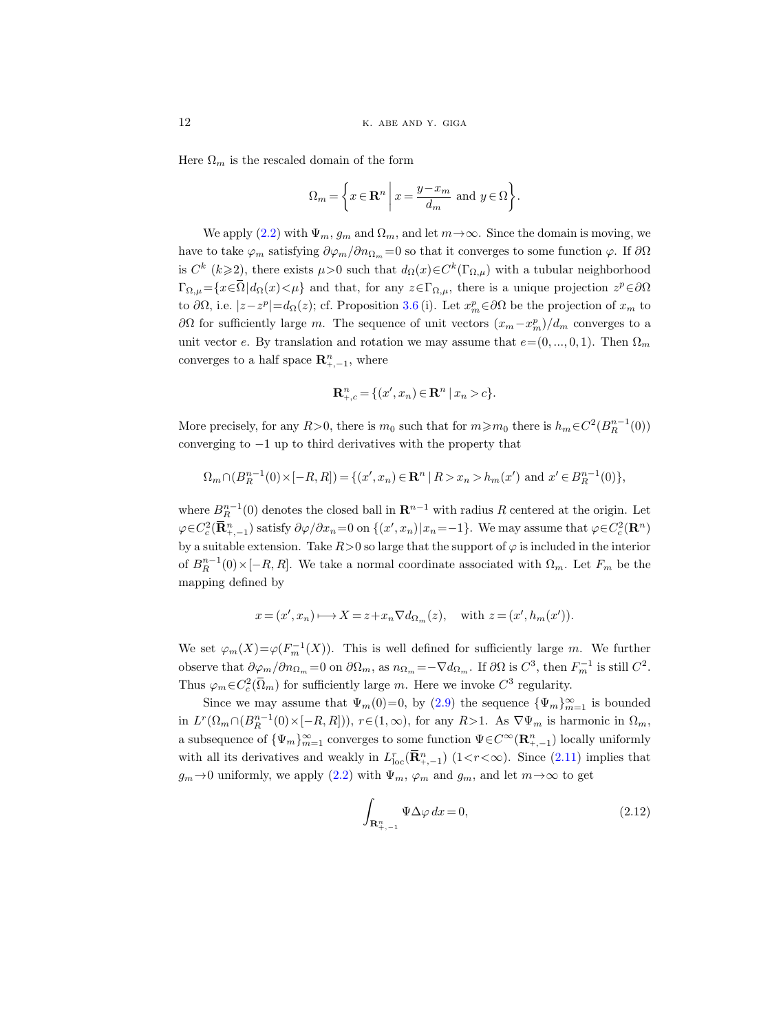Here  $\Omega_m$  is the rescaled domain of the form

$$
\Omega_m = \left\{ x \in \mathbf{R}^n \mid x = \frac{y - x_m}{d_m} \text{ and } y \in \Omega \right\}.
$$

We apply [\(2.2\)](#page-9-2) with  $\Psi_m$ ,  $g_m$  and  $\Omega_m$ , and let  $m \to \infty$ . Since the domain is moving, we have to take  $\varphi_m$  satisfying  $\partial \varphi_m / \partial n_{\Omega_m} = 0$  so that it converges to some function  $\varphi$ . If  $\partial \Omega$ is  $C^k$  ( $k \geq 2$ ), there exists  $\mu > 0$  such that  $d_{\Omega}(x) \in C^k(\Gamma_{\Omega,\mu})$  with a tubular neighborhood  $\Gamma_{\Omega,\mu} = \{x \in \overline{\Omega} \mid d_{\Omega}(x) < \mu\}$  and that, for any  $z \in \Gamma_{\Omega,\mu}$ , there is a unique projection  $z^p \in \partial\Omega$ to  $\partial\Omega$ , i.e.  $|z-z^p|=d_{\Omega}(z)$ ; cf. Proposition [3.6](#page-18-0) (i). Let  $x_m^p \in \partial\Omega$  be the projection of  $x_m$  to  $∂Ω$  for sufficiently large m. The sequence of unit vectors  $(x_m - x_m^p)/d_m$  converges to a unit vector e. By translation and rotation we may assume that  $e=(0, ..., 0, 1)$ . Then  $\Omega_m$ converges to a half space  $\mathbf{R}_{+,-1}^n$ , where

$$
\mathbf{R}_{+,c}^{n} = \{ (x', x_n) \in \mathbf{R}^{n} \mid x_n > c \}.
$$

More precisely, for any  $R > 0$ , there is  $m_0$  such that for  $m \ge m_0$  there is  $h_m \in C^2(B_R^{n-1}(0))$ converging to  $-1$  up to third derivatives with the property that

$$
\Omega_m \cap (B_R^{n-1}(0) \times [-R, R]) = \{ (x', x_n) \in \mathbf{R}^n \mid R > x_n > h_m(x') \text{ and } x' \in B_R^{n-1}(0) \},
$$

where  $B_R^{n-1}(0)$  denotes the closed ball in  $\mathbb{R}^{n-1}$  with radius R centered at the origin. Let  $\varphi \in C_c^2(\mathbf{R}_{++,-1}^n)$  satisfy  $\partial \varphi / \partial x_n = 0$  on  $\{(x', x_n) | x_n = -1\}$ . We may assume that  $\varphi \in C_c^2(\mathbf{R}^n)$ by a suitable extension. Take  $R>0$  so large that the support of  $\varphi$  is included in the interior of  $B_R^{n-1}(0) \times [-R, R]$ . We take a normal coordinate associated with  $\Omega_m$ . Let  $F_m$  be the mapping defined by

$$
x = (x', x_n) \longrightarrow X = z + x_n \nabla d_{\Omega_m}(z), \quad \text{with } z = (x', h_m(x')).
$$

We set  $\varphi_m(X) = \varphi(F_m^{-1}(X))$ . This is well defined for sufficiently large m. We further observe that  $\partial \varphi_m / \partial n_{\Omega_m} = 0$  on  $\partial \Omega_m$ , as  $n_{\Omega_m} = -\nabla d_{\Omega_m}$ . If  $\partial \Omega$  is  $C^3$ , then  $F_m^{-1}$  is still  $C^2$ . Thus  $\varphi_m \in C_c^2(\overline{\Omega}_m)$  for sufficiently large m. Here we invoke  $C^3$  regularity.

Since we may assume that  $\Psi_m(0)=0$ , by  $(2.9)$  the sequence  ${\Psi_m}_{m=1}^{\infty}$  is bounded in  $L^r(\Omega_m \cap (B_R^{n-1}(0) \times [-R, R]))$ ,  $r \in (1, \infty)$ , for any  $R > 1$ . As  $\nabla \Psi_m$  is harmonic in  $\Omega_m$ , a subsequence of  $\{\Psi_m\}_{m=1}^{\infty}$  converges to some function  $\Psi \in C^{\infty}(\mathbf{R}_{+,-1}^n)$  locally uniformly with all its derivatives and weakly in  $L_{\text{loc}}^{r}(\overline{\mathbf{R}}_{+,-1}^{n})$  (1< $r < \infty$ ). Since [\(2.11\)](#page-10-4) implies that  $g_m \to 0$  uniformly, we apply [\(2.2\)](#page-9-2) with  $\Psi_m$ ,  $\varphi_m$  and  $g_m$ , and let  $m \to \infty$  to get

<span id="page-11-0"></span>
$$
\int_{\mathbf{R}_{+,-1}^n} \Psi \Delta \varphi \, dx = 0,\tag{2.12}
$$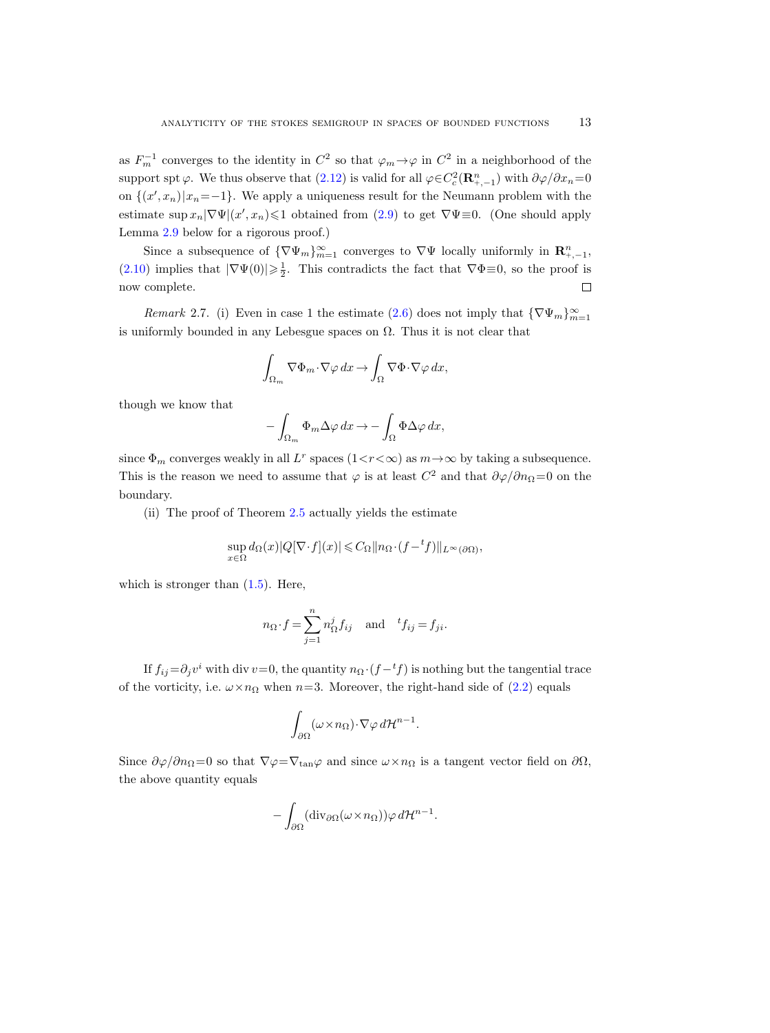as  $F_m^{-1}$  converges to the identity in  $C^2$  so that  $\varphi_m \to \varphi$  in  $C^2$  in a neighborhood of the support spt  $\varphi$ . We thus observe that [\(2.12\)](#page-11-0) is valid for all  $\varphi \in C_c^2(\mathbf{R}_{+,-1}^n)$  with  $\partial \varphi / \partial x_n = 0$ on  $\{(x', x_n)|x_n=-1\}$ . We apply a uniqueness result for the Neumann problem with the estimate  $\sup x_n |\nabla \Psi|(x', x_n) \leq 1$  obtained from [\(2.9\)](#page-10-3) to get  $\nabla \Psi \equiv 0$ . (One should apply Lemma [2.9](#page-13-1) below for a rigorous proof.)

Since a subsequence of  $\{\nabla \Psi_m\}_{m=1}^{\infty}$  converges to  $\nabla \Psi$  locally uniformly in  $\mathbb{R}^n_{+,-1}$ , [\(2.10\)](#page-10-5) implies that  $|\nabla \Psi(0)| \geq \frac{1}{2}$ . This contradicts the fact that  $\nabla \Phi \equiv 0$ , so the proof is now complete.  $\Box$ 

*Remark* 2.7. (i) Even in case 1 the estimate [\(2.6\)](#page-10-0) does not imply that  ${\nabla \Psi_m}_{m=1}^{\infty}$ is uniformly bounded in any Lebesgue spaces on  $\Omega$ . Thus it is not clear that

$$
\int_{\Omega_m} \nabla \Phi_m \cdot \nabla \varphi \, dx \to \int_{\Omega} \nabla \Phi \cdot \nabla \varphi \, dx,
$$

though we know that

$$
-\int_{\Omega_m} \Phi_m \Delta \varphi \, dx \to -\int_{\Omega} \Phi \Delta \varphi \, dx,
$$

since  $\Phi_m$  converges weakly in all  $L^r$  spaces  $(1 \lt r \lt \infty)$  as  $m \to \infty$  by taking a subsequence. This is the reason we need to assume that  $\varphi$  is at least  $C^2$  and that  $\partial \varphi / \partial n_\Omega = 0$  on the boundary.

(ii) The proof of Theorem [2.5](#page-8-0) actually yields the estimate

$$
\sup_{x \in \Omega} d_{\Omega}(x) |Q[\nabla \cdot f](x)| \leqslant C_{\Omega} \|n_{\Omega} \cdot (f - ^t f)\|_{L^{\infty}(\partial \Omega)},
$$

which is stronger than  $(1.5)$ . Here,

$$
n_{\Omega} \cdot f = \sum_{j=1}^{n} n_{\Omega}^{j} f_{ij}
$$
 and  ${}^{t} f_{ij} = f_{ji}$ .

If  $f_{ij} = \partial_j v^i$  with div  $v = 0$ , the quantity  $n_{\Omega} \cdot (f - {}^t f)$  is nothing but the tangential trace of the vorticity, i.e.  $\omega \times n_{\Omega}$  when  $n=3$ . Moreover, the right-hand side of [\(2.2\)](#page-9-2) equals

$$
\int_{\partial\Omega} (\omega \times n_{\Omega}) \cdot \nabla \varphi \, d\mathcal{H}^{n-1}.
$$

Since  $\partial \varphi / \partial n_{\Omega} = 0$  so that  $\nabla \varphi = \nabla_{\tan} \varphi$  and since  $\omega \times n_{\Omega}$  is a tangent vector field on  $\partial \Omega$ , the above quantity equals

$$
-\int_{\partial\Omega}(\mathrm{div}_{\partial\Omega}(\omega \times n_{\Omega}))\varphi\,d\mathcal{H}^{n-1}.
$$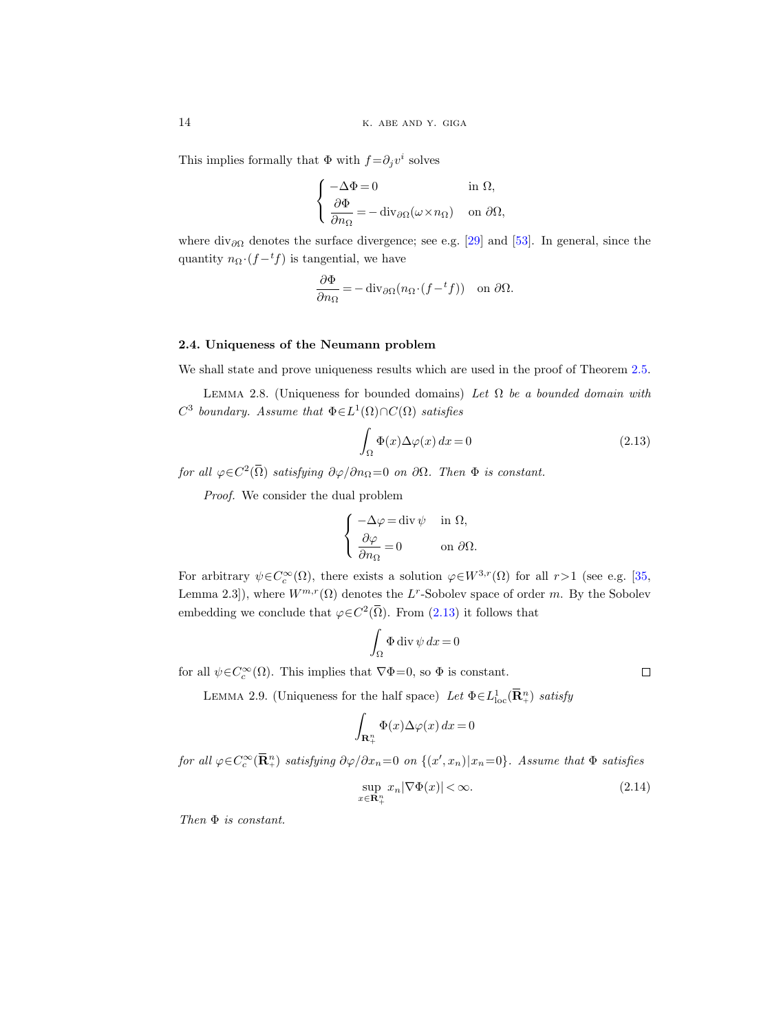This implies formally that  $\Phi$  with  $f = \partial_j v^i$  solves

$$
\begin{cases}\n-\Delta \Phi = 0 & \text{in } \Omega, \\
\frac{\partial \Phi}{\partial n_{\Omega}} = -\operatorname{div}_{\partial \Omega}(\omega \times n_{\Omega}) & \text{on } \partial \Omega,\n\end{cases}
$$

where div $_{\partial\Omega}$  denotes the surface divergence; see e.g. [\[29\]](#page-43-16) and [\[53\]](#page-44-17). In general, since the quantity  $n_{\Omega} \cdot (f - ^t f)$  is tangential, we have

$$
\frac{\partial \Phi}{\partial n_{\Omega}} = -\operatorname{div}_{\partial \Omega} (n_{\Omega} \cdot (f - {}^{t}f)) \quad \text{on } \partial \Omega.
$$

## 2.4. Uniqueness of the Neumann problem

We shall state and prove uniqueness results which are used in the proof of Theorem [2.5.](#page-8-0)

<span id="page-13-0"></span>LEMMA 2.8. (Uniqueness for bounded domains) Let  $\Omega$  be a bounded domain with  $C^3$  boundary. Assume that  $\Phi \in L^1(\Omega) \cap C(\Omega)$  satisfies

<span id="page-13-2"></span>
$$
\int_{\Omega} \Phi(x) \Delta \varphi(x) dx = 0 \tag{2.13}
$$

for all  $\varphi \in C^2(\overline{\Omega})$  satisfying  $\partial \varphi / \partial n_{\Omega} = 0$  on  $\partial \Omega$ . Then  $\Phi$  is constant.

Proof. We consider the dual problem

$$
\left\{ \begin{aligned} -\Delta \varphi &= \operatorname{div} \psi &\quad \text{in } \Omega, \\ \frac{\partial \varphi}{\partial n_{\Omega}} &= 0 &\quad \text{on } \partial \Omega. \end{aligned} \right.
$$

For arbitrary  $\psi \in C_c^{\infty}(\Omega)$ , there exists a solution  $\varphi \in W^{3,r}(\Omega)$  for all  $r>1$  (see e.g. [\[35,](#page-43-5) Lemma 2.3]), where  $W^{m,r}(\Omega)$  denotes the L<sup>r</sup>-Sobolev space of order m. By the Sobolev embedding we conclude that  $\varphi \in C^2(\overline{\Omega})$ . From ([2.13\)](#page-13-2) it follows that

$$
\int_{\Omega} \Phi \operatorname{div} \psi \, dx = 0
$$

<span id="page-13-1"></span>for all  $\psi \in C_c^{\infty}(\Omega)$ . This implies that  $\nabla \Phi = 0$ , so  $\Phi$  is constant.

 $\Box$ 

LEMMA 2.9. (Uniqueness for the half space) Let  $\Phi \in L^1_{loc}(\mathbf{R}^n_+)$  satisfy

$$
\int_{\mathbf{R}^n_+} \Phi(x) \Delta \varphi(x) \, dx = 0
$$

for all  $\varphi \in C_c^{\infty}(\mathbf{R}_+^n)$  satisfying  $\partial \varphi / \partial x_n = 0$  on  $\{(x', x_n) | x_n = 0\}$ . Assume that  $\Phi$  satisfies

<span id="page-13-3"></span>
$$
\sup_{x \in \mathbf{R}_+^n} x_n |\nabla \Phi(x)| < \infty.
$$
\n(2.14)

Then Φ is constant.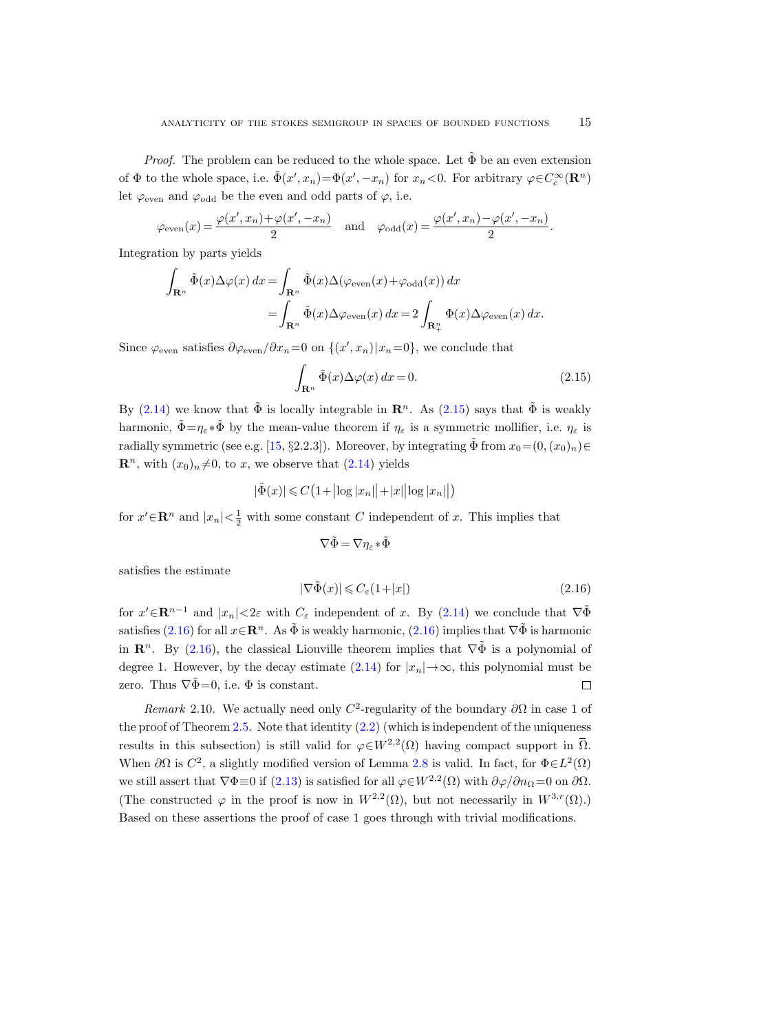*Proof.* The problem can be reduced to the whole space. Let  $\tilde{\Phi}$  be an even extension of  $\Phi$  to the whole space, i.e.  $\tilde{\Phi}(x', x_n) = \Phi(x', -x_n)$  for  $x_n < 0$ . For arbitrary  $\varphi \in C_c^{\infty}(\mathbb{R}^n)$ let  $\varphi_{\text{even}}$  and  $\varphi_{\text{odd}}$  be the even and odd parts of  $\varphi$ , i.e.

$$
\varphi_{\text{even}}(x) = \frac{\varphi(x', x_n) + \varphi(x', -x_n)}{2}
$$
 and  $\varphi_{\text{odd}}(x) = \frac{\varphi(x', x_n) - \varphi(x', -x_n)}{2}$ .

Integration by parts yields

$$
\int_{\mathbf{R}^n} \tilde{\Phi}(x) \Delta \varphi(x) dx = \int_{\mathbf{R}^n} \tilde{\Phi}(x) \Delta (\varphi_{\text{even}}(x) + \varphi_{\text{odd}}(x)) dx
$$
  
= 
$$
\int_{\mathbf{R}^n} \tilde{\Phi}(x) \Delta \varphi_{\text{even}}(x) dx = 2 \int_{\mathbf{R}^n_+} \Phi(x) \Delta \varphi_{\text{even}}(x) dx.
$$

Since  $\varphi_{\text{even}}$  satisfies  $\partial \varphi_{\text{even}}/\partial x_n = 0$  on  $\{(x', x_n) | x_n = 0\}$ , we conclude that

<span id="page-14-0"></span>
$$
\int_{\mathbf{R}^n} \tilde{\Phi}(x) \Delta \varphi(x) dx = 0.
$$
\n(2.15)

By [\(2.14\)](#page-13-3) we know that  $\tilde{\Phi}$  is locally integrable in  $\mathbb{R}^n$ . As [\(2.15\)](#page-14-0) says that  $\tilde{\Phi}$  is weakly harmonic,  $\tilde{\Phi} = \eta_{\varepsilon} * \tilde{\Phi}$  by the mean-value theorem if  $\eta_{\varepsilon}$  is a symmetric mollifier, i.e.  $\eta_{\varepsilon}$  is radially symmetric (see e.g. [\[15,](#page-42-20) §2.2.3]). Moreover, by integrating  $\tilde{\Phi}$  from  $x_0=(0,(x_0)_n)\in$  $\mathbb{R}^n$ , with  $(x_0)_n \neq 0$ , to x, we observe that  $(2.14)$  yields

$$
|\tilde{\Phi}(x)| \leq C\big(1+ \big|\log|x_n|\big|+ |x|\big|\log|x_n|\big|\big)
$$

for  $x' \in \mathbb{R}^n$  and  $|x_n| < \frac{1}{2}$  with some constant C independent of x. This implies that

$$
\nabla\tilde{\Phi}=\nabla\eta_{\varepsilon}\!*\!\tilde{\Phi}
$$

satisfies the estimate

<span id="page-14-1"></span>
$$
|\nabla \tilde{\Phi}(x)| \leqslant C_{\varepsilon} (1+|x|) \tag{2.16}
$$

for  $x' \in \mathbb{R}^{n-1}$  and  $|x_n| < 2\varepsilon$  with  $C_\varepsilon$  independent of x. By [\(2.14\)](#page-13-3) we conclude that  $\nabla \tilde{\Phi}$ satisfies [\(2.16\)](#page-14-1) for all  $x \in \mathbb{R}^n$ . As  $\tilde{\Phi}$  is weakly harmonic, ([2.16\)](#page-14-1) implies that  $\nabla \tilde{\Phi}$  is harmonic in  $\mathbb{R}^n$ . By [\(2.16\)](#page-14-1), the classical Liouville theorem implies that  $\nabla \tilde{\Phi}$  is a polynomial of degree 1. However, by the decay estimate [\(2.14\)](#page-13-3) for  $|x_n| \to \infty$ , this polynomial must be zero. Thus  $\nabla \tilde{\Phi} = 0$ , i.e.  $\Phi$  is constant.  $\Box$ 

Remark 2.10. We actually need only  $C^2$ -regularity of the boundary  $\partial\Omega$  in case 1 of the proof of Theorem [2.5.](#page-8-0) Note that identity  $(2.2)$  (which is independent of the uniqueness results in this subsection) is still valid for  $\varphi \in W^{2,2}(\Omega)$  having compact support in  $\overline{\Omega}$ . When  $\partial\Omega$  is  $C^2$ , a slightly modified version of Lemma [2.8](#page-13-0) is valid. In fact, for  $\Phi \in L^2(\Omega)$ we still assert that  $\nabla \Phi \equiv 0$  if  $(2.13)$  is satisfied for all  $\varphi \in W^{2,2}(\Omega)$  with  $\partial \varphi / \partial n_{\Omega} = 0$  on  $\partial \Omega$ . (The constructed  $\varphi$  in the proof is now in  $W^{2,2}(\Omega)$ , but not necessarily in  $W^{3,r}(\Omega)$ .) Based on these assertions the proof of case 1 goes through with trivial modifications.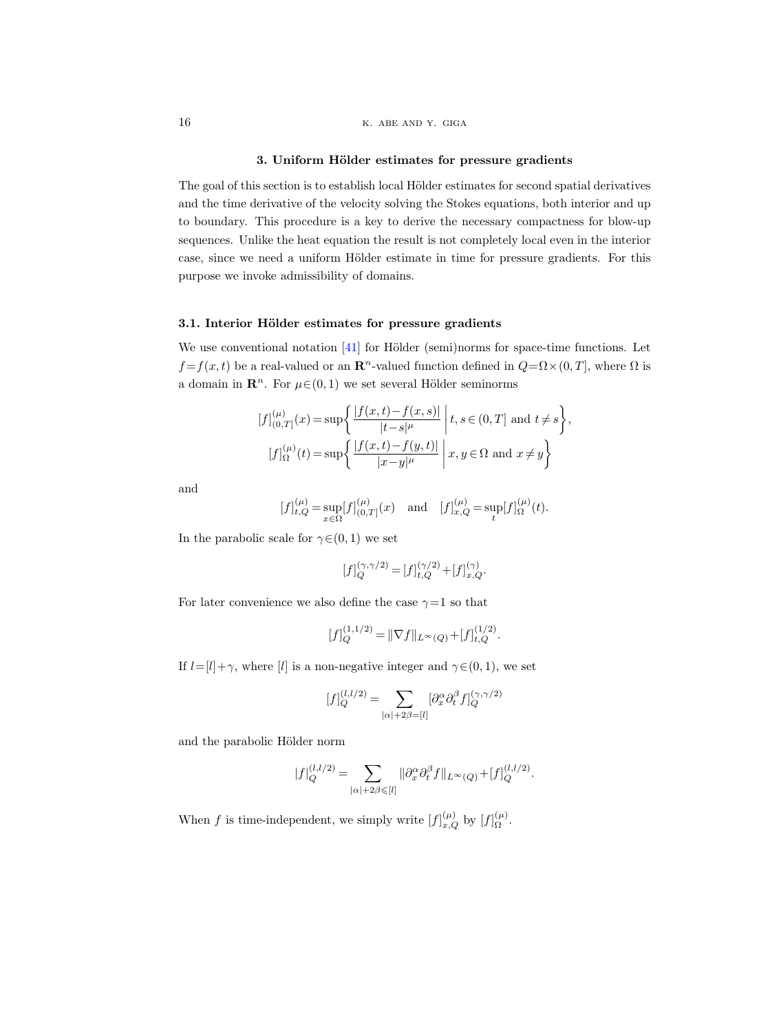#### 3. Uniform Hölder estimates for pressure gradients

<span id="page-15-0"></span>The goal of this section is to establish local Hölder estimates for second spatial derivatives and the time derivative of the velocity solving the Stokes equations, both interior and up to boundary. This procedure is a key to derive the necessary compactness for blow-up sequences. Unlike the heat equation the result is not completely local even in the interior case, since we need a uniform Hölder estimate in time for pressure gradients. For this purpose we invoke admissibility of domains.

# 3.1. Interior Hölder estimates for pressure gradients

We use conventional notation  $[41]$  for Hölder (semi)norms for space-time functions. Let  $f = f(x, t)$  be a real-valued or an  $\mathbb{R}^n$ -valued function defined in  $Q = \Omega \times (0, T]$ , where  $\Omega$  is a domain in  $\mathbb{R}^n$ . For  $\mu \in (0, 1)$  we set several Hölder seminorms

$$
[f]_{(0,T]}^{(\mu)}(x) = \sup \left\{ \frac{|f(x,t) - f(x,s)|}{|t-s|^{\mu}} \; \middle| \; t,s \in (0,T] \text{ and } t \neq s \right\},\
$$

$$
[f]_{\Omega}^{(\mu)}(t) = \sup \left\{ \frac{|f(x,t) - f(y,t)|}{|x-y|^{\mu}} \; \middle| \; x,y \in \Omega \text{ and } x \neq y \right\}
$$

and

$$
[f]_{t,Q}^{(\mu)} = \sup_{x \in \Omega} [f]_{(0,T]}^{(\mu)}(x)
$$
 and  $[f]_{x,Q}^{(\mu)} = \sup_{t} [f]_{\Omega}^{(\mu)}(t)$ .

In the parabolic scale for  $\gamma \in (0, 1)$  we set

$$
[f]_Q^{(\gamma,\gamma/2)} = [f]_{t,Q}^{(\gamma/2)} + [f]_{x,Q}^{(\gamma)}.
$$

For later convenience we also define the case  $\gamma=1$  so that

$$
[f]_{Q}^{(1,1/2)} = ||\nabla f||_{L^{\infty}(Q)} + [f]_{t,Q}^{(1/2)}.
$$

If  $l=[l]+\gamma$ , where  $[l]$  is a non-negative integer and  $\gamma \in (0,1)$ , we set

$$
[f]^{(l,l/2)}_Q=\sum_{|\alpha|+2\beta=[l]}[\partial_x^\alpha\partial_t^\beta f]^{(\gamma,\gamma/2)}_Q
$$

and the parabolic Hölder norm

$$
|f|_{Q}^{(l,l/2)} = \sum_{|\alpha|+2\beta \leqslant [l]} ||\partial_x^{\alpha} \partial_t^{\beta} f||_{L^{\infty}(Q)} + [f]_{Q}^{(l,l/2)}.
$$

When f is time-independent, we simply write  $[f]_{x,Q}^{(\mu)}$  by  $[f]_{\Omega}^{(\mu)}$  $\frac{(\mu)}{\Omega}$ .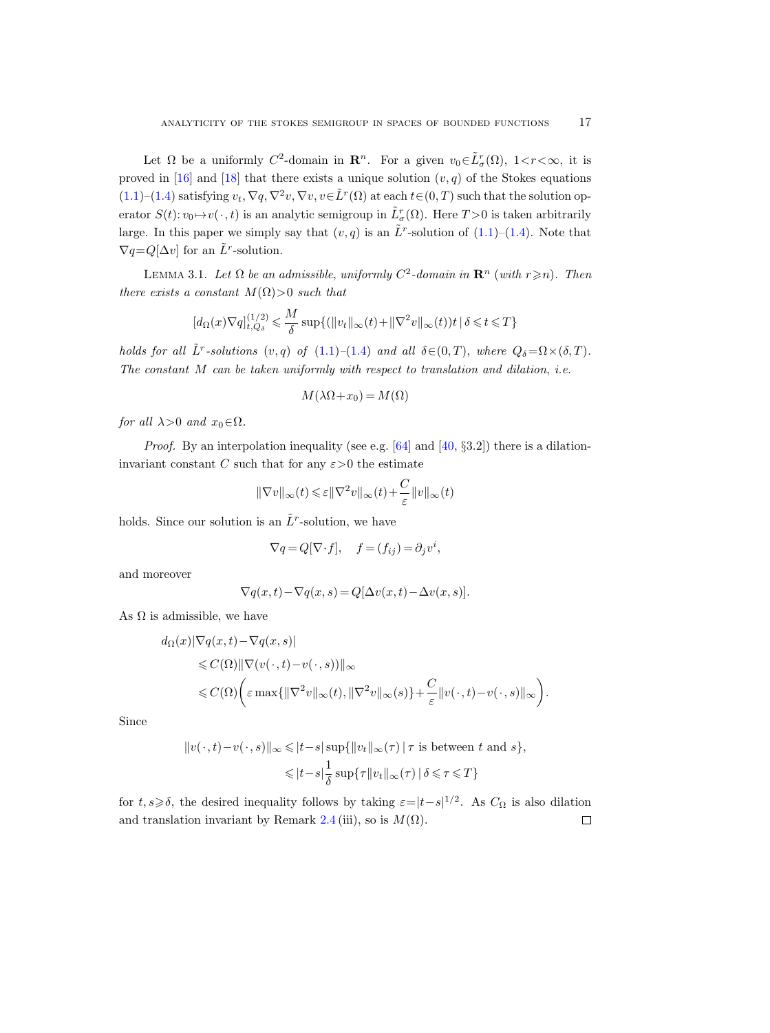Let  $\Omega$  be a uniformly  $C^2$ -domain in  $\mathbb{R}^n$ . For a given  $v_0 \in \tilde{L}^r_{\sigma}(\Omega)$ ,  $1 < r < \infty$ , it is proved in [\[16\]](#page-42-1) and [\[18\]](#page-42-3) that there exists a unique solution  $(v, q)$  of the Stokes equations [\(1.1\)](#page-0-0)–[\(1.4\)](#page-0-1) satisfying  $v_t$ ,  $\nabla q$ ,  $\nabla^2 v$ ,  $\nabla v$ ,  $v \in \tilde{L}^r(\Omega)$  at each  $t \in (0, T)$  such that the solution operator  $S(t): v_0 \mapsto v(\cdot, t)$  is an analytic semigroup in  $\tilde{L}^r_{\sigma}(\Omega)$ . Here  $T > 0$  is taken arbitrarily large. In this paper we simply say that  $(v, q)$  is an  $\tilde{L}^r$ -solution of  $(1.1)$ – $(1.4)$ . Note that  $\nabla q = Q[\Delta v]$  for an  $\tilde{L}^r$ -solution.

<span id="page-16-0"></span>LEMMA 3.1. Let  $\Omega$  be an admissible, uniformly  $C^2$ -domain in  $\mathbb{R}^n$  (with  $r \geq n$ ). Then there exists a constant  $M(\Omega) > 0$  such that

$$
[d_{\Omega}(x)\nabla q]^{(1/2)}_{t,Q_{\delta}}\leqslant \frac{M}{\delta}\sup\{(\|v_t\|_{\infty}(t)+\|\nabla^2 v\|_{\infty}(t))t\,|\,\delta\leqslant t\leqslant T\}
$$

holds for all  $\tilde{L}^r$ -solutions  $(v, q)$  of  $(1.1)$ – $(1.4)$  and all  $\delta \in (0, T)$ , where  $Q_{\delta} = \Omega \times (\delta, T)$ . The constant M can be taken uniformly with respect to translation and dilation, i.e.

$$
M(\lambda\Omega+x_0)=M(\Omega)
$$

for all  $\lambda > 0$  and  $x_0 \in \Omega$ .

*Proof.* By an interpolation inequality (see e.g.  $[64]$  and  $[40, §3.2]$ ) there is a dilationinvariant constant C such that for any  $\varepsilon > 0$  the estimate

$$
\|\nabla v\|_{\infty}(t) \leqslant \varepsilon \|\nabla^2 v\|_{\infty}(t) + \frac{C}{\varepsilon} \|v\|_{\infty}(t)
$$

holds. Since our solution is an  $\tilde{L}^r$ -solution, we have

$$
\nabla q = Q[\nabla \cdot f], \quad f = (f_{ij}) = \partial_j v^i,
$$

and moreover

$$
\nabla q(x,t) - \nabla q(x,s) = Q[\Delta v(x,t) - \Delta v(x,s)].
$$

As  $\Omega$  is admissible, we have

$$
d_{\Omega}(x)|\nabla q(x,t) - \nabla q(x,s)|
$$
  
\n
$$
\leq C(\Omega) \|\nabla (v(\cdot,t) - v(\cdot,s))\|_{\infty}
$$
  
\n
$$
\leq C(\Omega) \bigg(\varepsilon \max\{\|\nabla^2 v\|_{\infty}(t), \|\nabla^2 v\|_{\infty}(s)\} + \frac{C}{\varepsilon} \|v(\cdot,t) - v(\cdot,s)\|_{\infty}\bigg).
$$

Since

$$
||v(\cdot,t)-v(\cdot,s)||_{\infty} \leqslant |t-s| \sup \{||v_t||_{\infty}(\tau) | \tau \text{ is between } t \text{ and } s\},\
$$
  

$$
\leqslant |t-s| \frac{1}{\delta} \sup \{\tau ||v_t||_{\infty}(\tau) | \delta \leqslant \tau \leqslant T\}
$$

for  $t, s \geq \delta$ , the desired inequality follows by taking  $\varepsilon = |t-s|^{1/2}$ . As  $C_{\Omega}$  is also dilation and translation invariant by Remark [2.4](#page-7-2) (iii), so is  $M(\Omega)$ .  $\Box$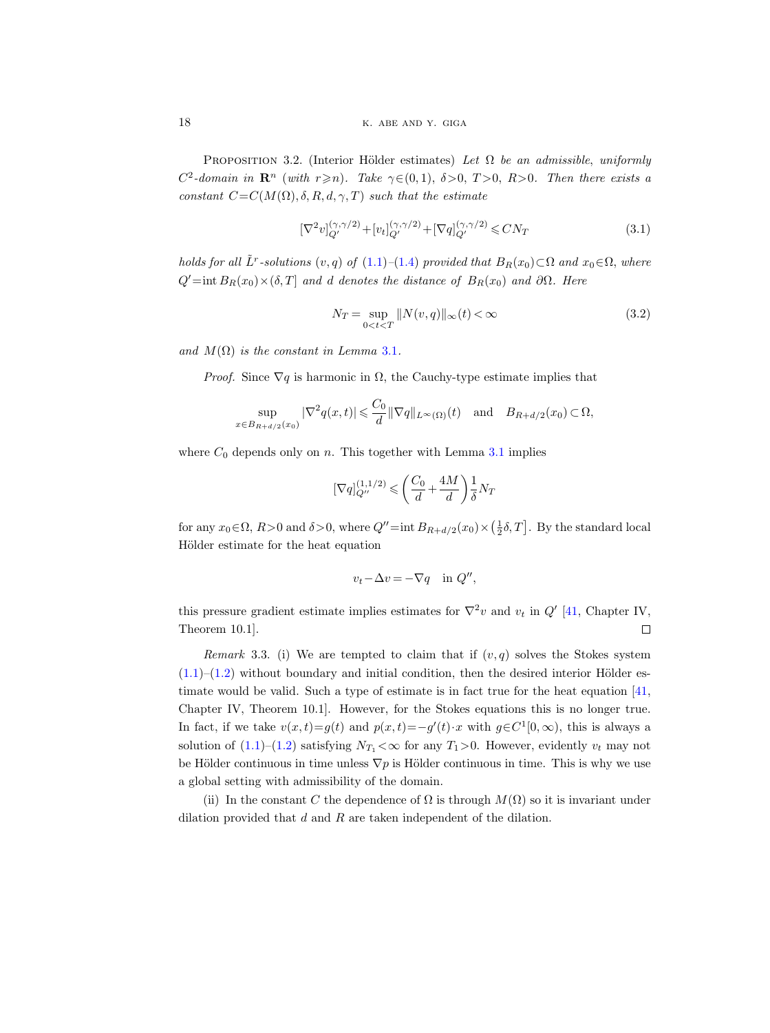<span id="page-17-3"></span>PROPOSITION 3.2. (Interior Hölder estimates) Let  $\Omega$  be an admissible, uniformly  $C^2$ -domain in  $\mathbb{R}^n$  (with  $r \geq n$ ). Take  $\gamma \in (0,1)$ ,  $\delta > 0$ ,  $T > 0$ ,  $R > 0$ . Then there exists a constant  $C=C(M(\Omega), \delta, R, d, \gamma, T)$  such that the estimate

<span id="page-17-1"></span>
$$
[\nabla^2 v]_{Q'}^{(\gamma,\gamma/2)} + [v_t]_{Q'}^{(\gamma,\gamma/2)} + [\nabla q]_{Q'}^{(\gamma,\gamma/2)} \leq CN_T
$$
\n(3.1)

holds for all  $\tilde{L}^r$ -solutions  $(v, q)$  of  $(1.1)$ – $(1.4)$  provided that  $B_R(x_0) \subset \Omega$  and  $x_0 \in \Omega$ , where  $Q'$ =int  $B_R(x_0) \times (\delta, T]$  and d denotes the distance of  $B_R(x_0)$  and ∂Ω. Here

<span id="page-17-2"></span>
$$
N_T = \sup_{0 < t < T} \|N(v, q)\|_{\infty}(t) < \infty \tag{3.2}
$$

and  $M(\Omega)$  is the constant in Lemma [3.1](#page-16-0).

*Proof.* Since  $\nabla q$  is harmonic in  $\Omega$ , the Cauchy-type estimate implies that

$$
\sup_{x \in B_{R+d/2}(x_0)} |\nabla^2 q(x,t)| \leq \frac{C_0}{d} \|\nabla q\|_{L^\infty(\Omega)}(t) \quad \text{and} \quad B_{R+d/2}(x_0) \subset \Omega,
$$

where  $C_0$  depends only on n. This together with Lemma [3.1](#page-16-0) implies

$$
[\nabla q]_{Q''}^{(1,1/2)} \leqslant \left(\frac{C_0}{d} + \frac{4M}{d}\right) \frac{1}{\delta} N_T
$$

for any  $x_0 \in \Omega$ ,  $R > 0$  and  $\delta > 0$ , where  $Q'' = \text{int } B_{R+d/2}(x_0) \times (\frac{1}{2}\delta, T]$ . By the standard local Hölder estimate for the heat equation

$$
v_t - \Delta v = -\nabla q \quad \text{in } Q'',
$$

this pressure gradient estimate implies estimates for  $\nabla^2 v$  and  $v_t$  in  $Q'$  [\[41,](#page-43-10) Chapter IV, Theorem 10.1].  $\Box$ 

<span id="page-17-0"></span>Remark 3.3. (i) We are tempted to claim that if  $(v, q)$  solves the Stokes system  $(1.1)$ – $(1.2)$  without boundary and initial condition, then the desired interior Hölder estimate would be valid. Such a type of estimate is in fact true for the heat equation [\[41,](#page-43-10) Chapter IV, Theorem 10.1]. However, for the Stokes equations this is no longer true. In fact, if we take  $v(x,t)=g(t)$  and  $p(x,t)=-g'(t)\cdot x$  with  $g\in C^1[0,\infty)$ , this is always a solution of [\(1.1\)](#page-0-0)–[\(1.2\)](#page-0-3) satisfying  $N_{T_1} < \infty$  for any  $T_1 > 0$ . However, evidently  $v_t$  may not be Hölder continuous in time unless  $\nabla p$  is Hölder continuous in time. This is why we use a global setting with admissibility of the domain.

(ii) In the constant C the dependence of  $\Omega$  is through  $M(\Omega)$  so it is invariant under dilation provided that  $d$  and  $R$  are taken independent of the dilation.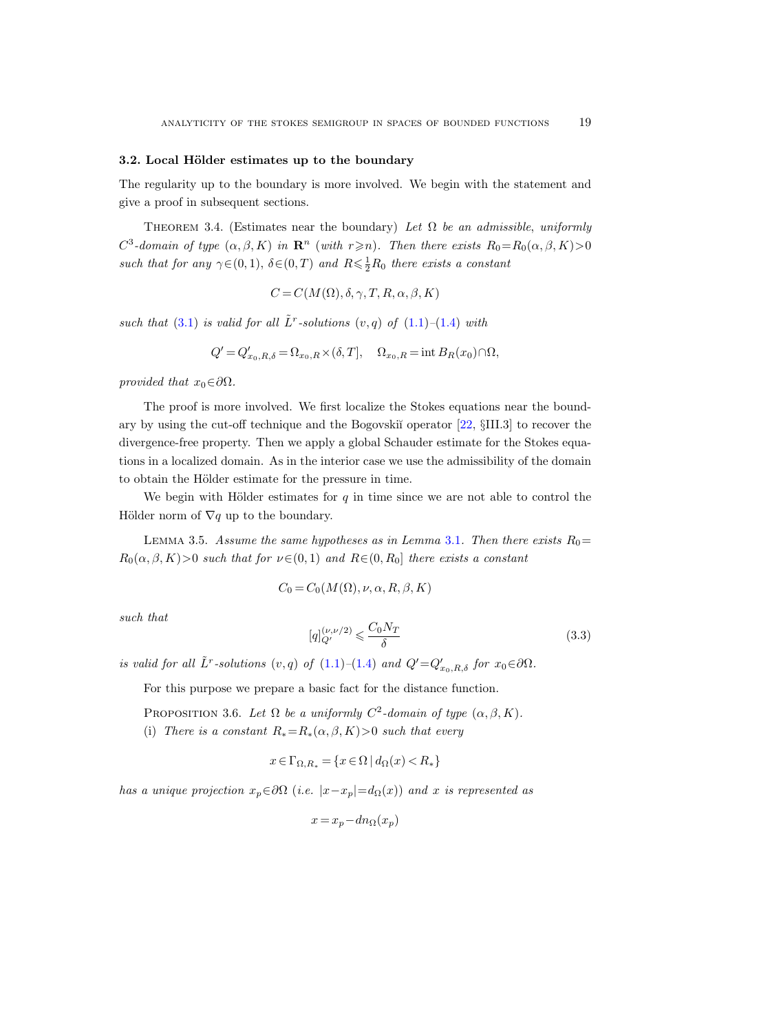#### 3.2. Local Hölder estimates up to the boundary

The regularity up to the boundary is more involved. We begin with the statement and give a proof in subsequent sections.

<span id="page-18-2"></span>THEOREM 3.4. (Estimates near the boundary) Let  $\Omega$  be an admissible, uniformly  $C^3$ -domain of type  $(\alpha, \beta, K)$  in  $\mathbb{R}^n$  (with  $r \geq n$ ). Then there exists  $R_0 = R_0(\alpha, \beta, K) > 0$ such that for any  $\gamma \in (0, 1)$ ,  $\delta \in (0, T)$  and  $R \leq \frac{1}{2}R_0$  there exists a constant

$$
C = C(M(\Omega), \delta, \gamma, T, R, \alpha, \beta, K)
$$

such that [\(3.1\)](#page-17-1) is valid for all  $\tilde{L}^r$ -solutions  $(v, q)$  of  $(1.1)$ - $(1.4)$  with

$$
Q' = Q'_{x_0, R, \delta} = \Omega_{x_0, R} \times (\delta, T], \quad \Omega_{x_0, R} = \text{int } B_R(x_0) \cap \Omega,
$$

provided that  $x_0 \in \partial \Omega$ .

The proof is more involved. We first localize the Stokes equations near the boundary by using the cut-off technique and the Bogovski˘ı operator [\[22,](#page-42-19) §III.3] to recover the divergence-free property. Then we apply a global Schauder estimate for the Stokes equations in a localized domain. As in the interior case we use the admissibility of the domain to obtain the Hölder estimate for the pressure in time.

We begin with Hölder estimates for  $q$  in time since we are not able to control the Hölder norm of  $\nabla q$  up to the boundary.

<span id="page-18-1"></span>LEMMA 3.5. Assume the same hypotheses as in Lemma [3.1](#page-16-0). Then there exists  $R_0=$  $R_0(\alpha, \beta, K) > 0$  such that for  $\nu \in (0, 1)$  and  $R \in (0, R_0]$  there exists a constant

$$
C_0 = C_0(M(\Omega), \nu, \alpha, R, \beta, K)
$$

such that

<span id="page-18-3"></span>
$$
[q]_{Q'}^{(\nu,\nu/2)} \leqslant \frac{C_0 N_T}{\delta} \tag{3.3}
$$

is valid for all  $\tilde{L}^r$ -solutions  $(v, q)$  of  $(1.1)$ – $(1.4)$  and  $Q' = Q'_{x_0, R, \delta}$  for  $x_0 \in \partial \Omega$ .

For this purpose we prepare a basic fact for the distance function.

<span id="page-18-0"></span>PROPOSITION 3.6. Let  $\Omega$  be a uniformly  $C^2$ -domain of type  $(\alpha, \beta, K)$ .

(i) There is a constant  $R_* = R_*(\alpha, \beta, K) > 0$  such that every

$$
x \in \Gamma_{\Omega, R_*} = \{ x \in \Omega \mid d_{\Omega}(x) < R_* \}
$$

has a unique projection  $x_p \in \partial\Omega$  (i.e.  $|x-x_p|=d_{\Omega}(x)$ ) and x is represented as

$$
x = x_p - dn_{\Omega}(x_p)
$$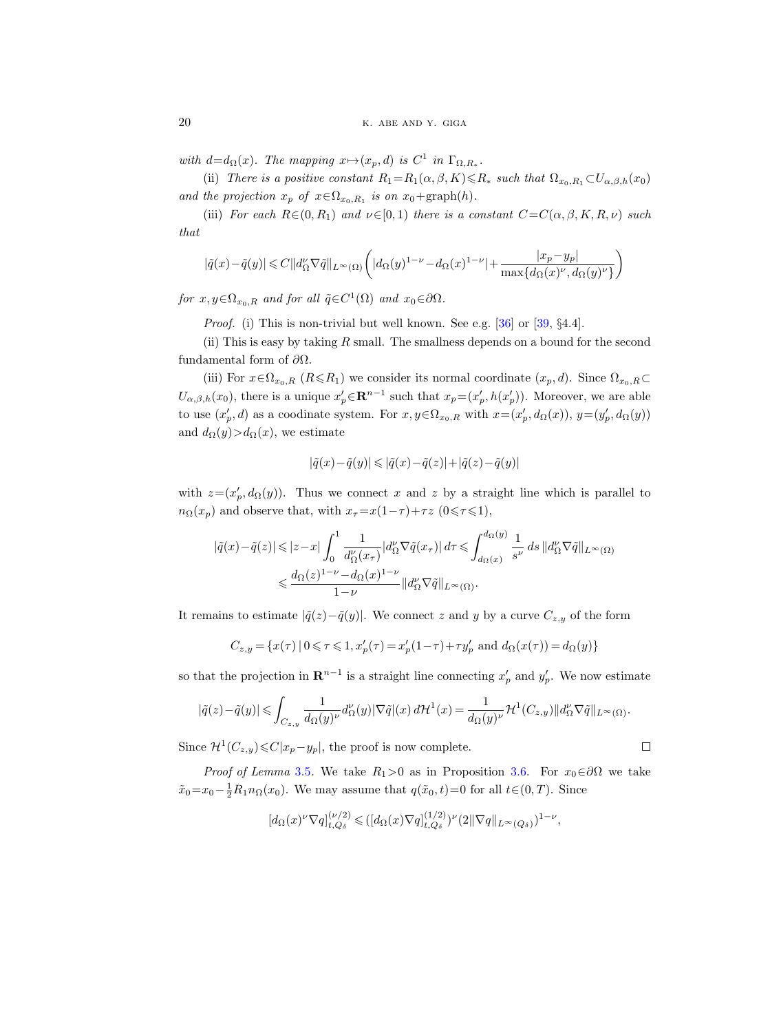with  $d=d_{\Omega}(x)$ . The mapping  $x \mapsto (x_p, d)$  is  $C^1$  in  $\Gamma_{\Omega, R_*}$ .

(ii) There is a positive constant  $R_1=R_1(\alpha,\beta,K)\leq R_*$  such that  $\Omega_{x_0,R_1}\subset U_{\alpha,\beta,h}(x_0)$ and the projection  $x_p$  of  $x \in \Omega_{x_0,R_1}$  is on  $x_0 + \text{graph}(h)$ .

(iii) For each  $R\in(0, R_1)$  and  $\nu\in[0, 1)$  there is a constant  $C=C(\alpha, \beta, K, R, \nu)$  such that

$$
|\tilde{q}(x)-\tilde{q}(y)|\leqslant C\|d_{\Omega}^{\nu}\nabla \tilde{q}\|_{L^{\infty}(\Omega)}\bigg(|d_{\Omega}(y)^{1-\nu}-d_{\Omega}(x)^{1-\nu}|+\frac{|x_p-y_p|}{\max\{d_{\Omega}(x)^{\nu},d_{\Omega}(y)^{\nu}\}}\bigg)
$$

for  $x, y \in \Omega_{x_0, R}$  and for all  $\tilde{q} \in C^1(\Omega)$  and  $x_0 \in \partial \Omega$ .

*Proof.* (i) This is non-trivial but well known. See e.g.  $[36]$  or  $[39, §4.4]$ .

(ii) This is easy by taking  $R$  small. The smallness depends on a bound for the second fundamental form of ∂Ω.

(iii) For  $x \in \Omega_{x_0,R}$   $(R \le R_1)$  we consider its normal coordinate  $(x_p, d)$ . Since  $\Omega_{x_0,R} \subset$  $U_{\alpha,\beta,h}(x_0)$ , there is a unique  $x'_p \in \mathbf{R}^{n-1}$  such that  $x_p = (x'_p, h(x'_p))$ . Moreover, we are able to use  $(x'_p, d)$  as a coodinate system. For  $x, y \in \Omega_{x_0, R}$  with  $x = (x'_p, d_{\Omega}(x)), y = (y'_p, d_{\Omega}(y))$ and  $d_{\Omega}(y) > d_{\Omega}(x)$ , we estimate

$$
|\tilde{q}(x)-\tilde{q}(y)|\leqslant|\tilde{q}(x)-\tilde{q}(z)|+|\tilde{q}(z)-\tilde{q}(y)|
$$

with  $z = (x_p', d_{\Omega}(y))$ . Thus we connect x and z by a straight line which is parallel to  $n_{\Omega}(x_p)$  and observe that, with  $x_{\tau} = x(1-\tau) + \tau z$  (0 $\leq \tau \leq 1$ ),

$$
\begin{aligned} |\tilde{q}(x)-\tilde{q}(z)|&\leqslant |z-x|\int_0^1\frac{1}{d_\Omega^\nu(x_\tau)}|d_\Omega^\nu\nabla\tilde{q}(x_\tau)|\,d\tau\leqslant \int_{d_\Omega(x)}^{d_\Omega(y)}\frac{1}{s^\nu}\,ds\,\|d_\Omega^\nu\nabla\tilde{q}\|_{L^\infty(\Omega)}\\ &\leqslant \frac{d_\Omega(z)^{1-\nu}-d_\Omega(x)^{1-\nu}}{1-\nu}\|d_\Omega^\nu\nabla\tilde{q}\|_{L^\infty(\Omega)}. \end{aligned}
$$

It remains to estimate  $|\tilde{q}(z)-\tilde{q}(y)|$ . We connect z and y by a curve  $C_{z,y}$  of the form

$$
C_{z,y} = \{x(\tau) \mid 0 \le \tau \le 1, x_p'(\tau) = x_p'(1-\tau) + \tau y_p' \text{ and } d_{\Omega}(x(\tau)) = d_{\Omega}(y)\}
$$

so that the projection in  $\mathbf{R}^{n-1}$  is a straight line connecting  $x'_{p}$  and  $y'_{p}$ . We now estimate

$$
|\tilde{q}(z)-\tilde{q}(y)|\leqslant \int_{C_{z,y}}\frac{1}{d_{\Omega}(y)^{\nu}}d_{\Omega}^{\nu}(y)|\nabla \tilde{q}|(x)\,d\mathcal{H}^{1}(x)=\frac{1}{d_{\Omega}(y)^{\nu}}\mathcal{H}^{1}(C_{z,y})\|d_{\Omega}^{\nu}\nabla \tilde{q}\|_{L^{\infty}(\Omega)}.
$$

 $\Box$ 

Since  $\mathcal{H}^1(C_{z,y}) \leq C|x_p - y_p|$ , the proof is now complete.

*Proof of Lemma* [3.5](#page-18-1). We take  $R_1>0$  as in Proposition [3.6.](#page-18-0) For  $x_0 \in \partial\Omega$  we take  $\tilde{x}_0 = x_0 - \frac{1}{2}R_1 n_\Omega(x_0)$ . We may assume that  $q(\tilde{x}_0, t) = 0$  for all  $t \in (0, T)$ . Since

$$
[d_{\Omega}(x)^{\nu} \nabla q]_{t,Q_{\delta}}^{(\nu/2)} \leq ( [d_{\Omega}(x) \nabla q]_{t,Q_{\delta}}^{(1/2)})^{\nu} (2 \|\nabla q\|_{L^{\infty}(Q_{\delta})})^{1-\nu},
$$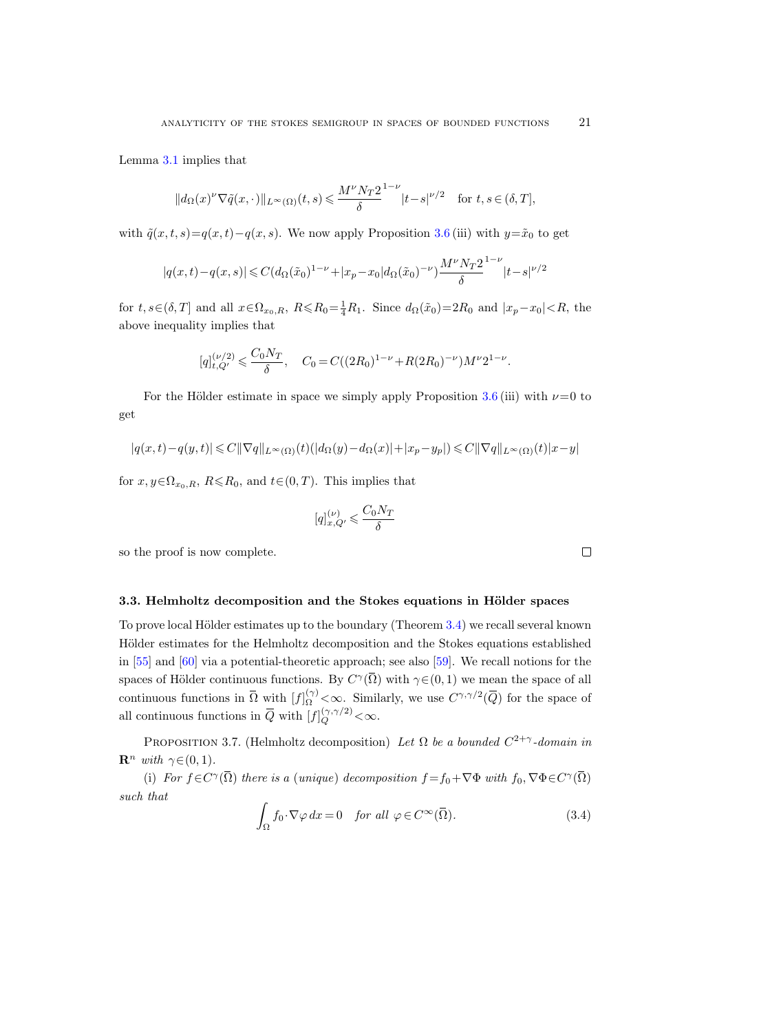Lemma [3.1](#page-16-0) implies that

$$
||d_{\Omega}(x)^{\nu}\nabla \tilde{q}(x,\cdot)||_{L^{\infty}(\Omega)}(t,s) \leqslant \frac{M^{\nu}N_{T}2}{\delta}|t-s|^{\nu/2} \quad \text{for } t,s \in (\delta,T],
$$

with  $\tilde{q}(x, t, s) = q(x, t) - q(x, s)$ . We now apply Proposition [3.6](#page-18-0) (iii) with  $y = \tilde{x}_0$  to get

$$
|q(x,t) - q(x,s)| \leq C(d_{\Omega}(\tilde{x}_0)^{1-\nu} + |x_p - x_0|d_{\Omega}(\tilde{x}_0)^{-\nu})\frac{M^{\nu}N_T2}{\delta}^{1-\nu}|t-s|^{\nu/2}
$$

for  $t, s \in (\delta, T]$  and all  $x \in \Omega_{x_0, R}$ ,  $R \le R_0 = \frac{1}{4}R_1$ . Since  $d_{\Omega}(\tilde{x}_0) = 2R_0$  and  $|x_p - x_0| < R$ , the above inequality implies that

$$
[q]_{t,Q'}^{(\nu/2)} \leqslant \frac{C_0 N_T}{\delta}, \quad C_0 = C((2R_0)^{1-\nu} + R(2R_0)^{-\nu})M^{\nu}2^{1-\nu}.
$$

For the Hölder estimate in space we simply apply Proposition [3.6](#page-18-0) (iii) with  $\nu=0$  to get

$$
|q(x,t)-q(y,t)|\leqslant C\|\nabla q\|_{L^\infty(\Omega)}(t)(|d_\Omega(y)-d_\Omega(x)|+|x_p-y_p|)\leqslant C\|\nabla q\|_{L^\infty(\Omega)}(t)|x-y|
$$

for  $x, y \in \Omega_{x_0,R}$ ,  $R \le R_0$ , and  $t \in (0, T)$ . This implies that

$$
[q]^{(\nu)}_{x, Q'} \leqslant \frac{C_0 N_T}{\delta}
$$

so the proof is now complete.

# 3.3. Helmholtz decomposition and the Stokes equations in Hölder spaces

To prove local Hölder estimates up to the boundary (Theorem [3.4\)](#page-18-2) we recall several known Hölder estimates for the Helmholtz decomposition and the Stokes equations established in [\[55\]](#page-44-0) and [\[60\]](#page-44-12) via a potential-theoretic approach; see also [\[59\]](#page-44-18). We recall notions for the spaces of Hölder continuous functions. By  $C^{\gamma}(\overline{\Omega})$  with  $\gamma \in (0, 1)$  we mean the space of all continuous functions in  $\overline{\Omega}$  with  $[f]_{\Omega}^{(\gamma)} \lt \infty$ . Similarly, we use  $C^{\gamma,\gamma/2}(\overline{Q})$  for the space of all continuous functions in  $\overline{Q}$  with  $[f]_Q^{(\gamma,\gamma/2)} < \infty$ .

<span id="page-20-1"></span>PROPOSITION 3.7. (Helmholtz decomposition) Let  $\Omega$  be a bounded  $C^{2+\gamma}$ -domain in  $\mathbf{R}^n$  with  $\gamma \in (0, 1)$ .

(i) For  $f \in C^{\gamma}(\overline{\Omega})$  there is a (unique) decomposition  $f = f_0 + \nabla \Phi$  with  $f_0, \nabla \Phi \in C^{\gamma}(\overline{\Omega})$ such that

<span id="page-20-0"></span>
$$
\int_{\Omega} f_0 \cdot \nabla \varphi \, dx = 0 \quad \text{for all } \varphi \in C^{\infty}(\overline{\Omega}).
$$
\n(3.4)

 $\Box$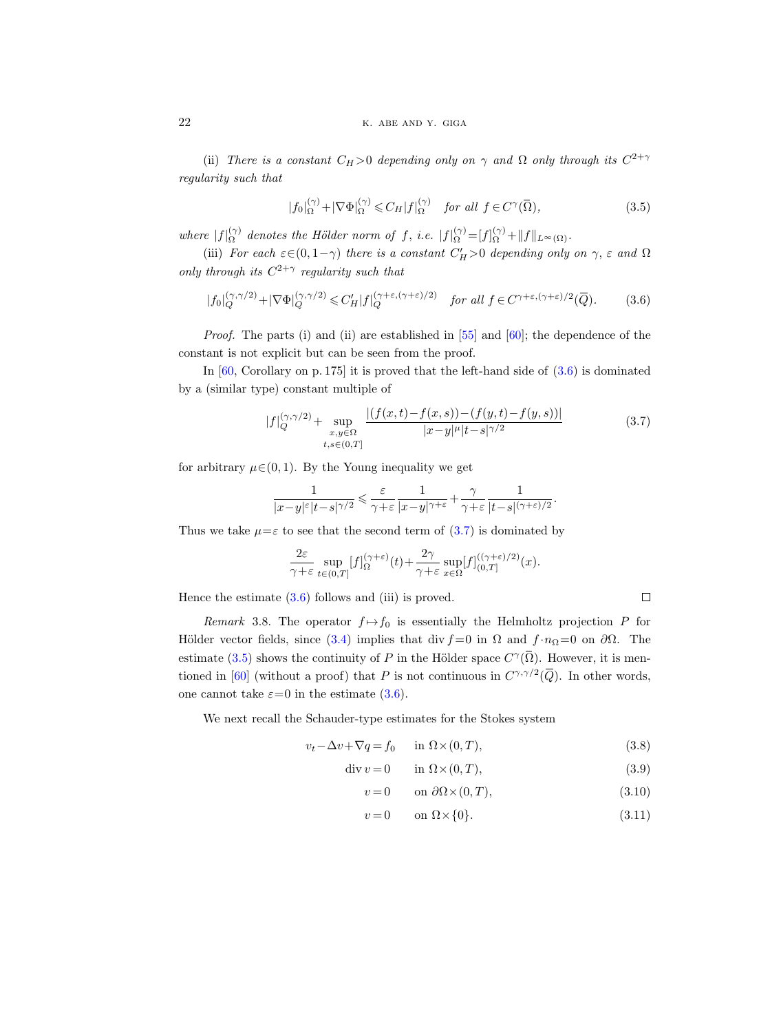(ii) There is a constant  $C_H > 0$  depending only on  $\gamma$  and  $\Omega$  only through its  $C^{2+\gamma}$ regularity such that

<span id="page-21-2"></span>
$$
|f_0|_{\Omega}^{(\gamma)} + |\nabla \Phi|_{\Omega}^{(\gamma)} \leq C_H |f|_{\Omega}^{(\gamma)} \quad \text{for all } f \in C^{\gamma}(\overline{\Omega}), \tag{3.5}
$$

where  $|f|_{\Omega}^{(\gamma)}$  $\Omega_{\Omega}^{(\gamma)}$  denotes the Hölder norm of f, i.e.  $|f|_{\Omega}^{(\gamma)} = [f]_{\Omega}^{(\gamma)} + ||f||_{L^{\infty}(\Omega)}$ .

(iii) For each  $\varepsilon \in (0, 1-\gamma)$  there is a constant  $C_H' > 0$  depending only on  $\gamma$ ,  $\varepsilon$  and  $\Omega$ only through its  $C^{2+\gamma}$  regularity such that

<span id="page-21-0"></span>
$$
|f_0|_Q^{(\gamma,\gamma/2)} + |\nabla \Phi|_Q^{(\gamma,\gamma/2)} \leq C_H' |f|_Q^{(\gamma+\varepsilon,(\gamma+\varepsilon)/2)} \quad \text{for all } f \in C^{\gamma+\varepsilon,(\gamma+\varepsilon)/2}(\overline{Q}).\tag{3.6}
$$

Proof. The parts (i) and (ii) are established in [\[55\]](#page-44-0) and [\[60\]](#page-44-12); the dependence of the constant is not explicit but can be seen from the proof.

In  $[60,$  Corollary on p. 175 it is proved that the left-hand side of  $(3.6)$  is dominated by a (similar type) constant multiple of

<span id="page-21-1"></span>
$$
|f|_{Q}^{(\gamma,\gamma/2)} + \sup_{\substack{x,y \in \Omega \\ t,s \in (0,T]}} \frac{|(f(x,t) - f(x,s)) - (f(y,t) - f(y,s))|}{|x - y|^{\mu} |t - s|^{\gamma/2}}
$$
(3.7)

for arbitrary  $\mu \in (0, 1)$ . By the Young inequality we get

$$
\frac{1}{|x-y|^{\varepsilon}|t-s|^{\gamma/2}}\leqslant \frac{\varepsilon}{\gamma+\varepsilon}\frac{1}{|x-y|^{\gamma+\varepsilon}}+\frac{\gamma}{\gamma+\varepsilon}\frac{1}{|t-s|^{(\gamma+\varepsilon)/2}}.
$$

Thus we take  $\mu = \varepsilon$  to see that the second term of  $(3.7)$  is dominated by

$$
\frac{2\varepsilon}{\gamma+\varepsilon}\sup_{t\in(0,T]}[f]^{(\gamma+\varepsilon)}_\Omega(t)+\frac{2\gamma}{\gamma+\varepsilon}\sup_{x\in\Omega}[f]^{((\gamma+\varepsilon)/2)}_{(0,T]}(x).
$$

Hence the estimate  $(3.6)$  follows and (iii) is proved.

Remark 3.8. The operator  $f \mapsto f_0$  is essentially the Helmholtz projection P for Hölder vector fields, since [\(3.4\)](#page-20-0) implies that div  $f = 0$  in  $\Omega$  and  $f \cdot n_{\Omega} = 0$  on  $\partial \Omega$ . The estimate [\(3.5\)](#page-21-2) shows the continuity of P in the Hölder space  $C^{\gamma}(\overline{\Omega})$ . However, it is men-tioned in [\[60\]](#page-44-12) (without a proof) that P is not continuous in  $C^{\gamma,\gamma/2}(\overline{Q})$ . In other words, one cannot take  $\varepsilon=0$  in the estimate [\(3.6\)](#page-21-0).

<span id="page-21-5"></span>We next recall the Schauder-type estimates for the Stokes system

$$
v_t - \Delta v + \nabla q = f_0 \quad \text{in } \Omega \times (0, T), \tag{3.8}
$$

$$
\operatorname{div} v = 0 \qquad \text{in } \Omega \times (0, T), \tag{3.9}
$$

$$
v = 0 \qquad \text{on } \partial\Omega \times (0, T), \tag{3.10}
$$

<span id="page-21-4"></span><span id="page-21-3"></span> $\Box$ 

$$
v = 0 \qquad \text{on } \Omega \times \{0\}. \tag{3.11}
$$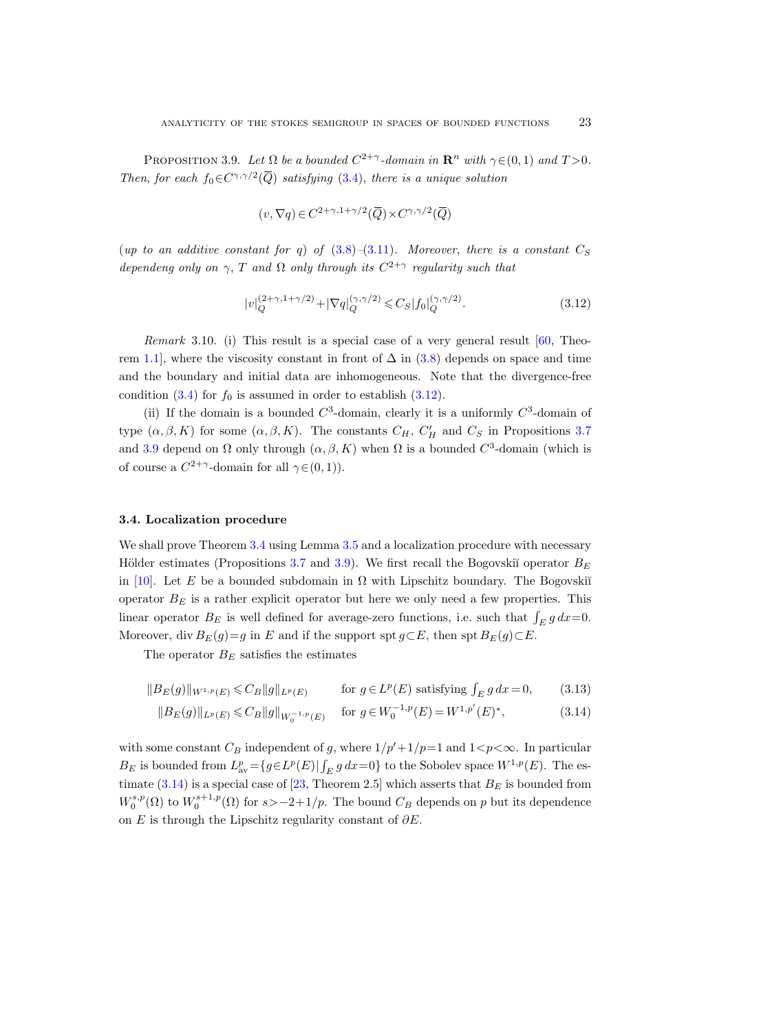PROPOSITION 3.9. Let  $\Omega$  be a bounded  $C^{2+\gamma}$ -domain in  $\mathbb{R}^n$  with  $\gamma \in (0,1)$  and  $T > 0$ . Then, for each  $f_0 \in C^{\gamma, \gamma/2}(\overline{Q})$  satisfying [\(3.4\)](#page-20-0), there is a unique solution

$$
(v, \nabla q) \in C^{2+\gamma, 1+\gamma/2}(\overline{Q}) \times C^{\gamma, \gamma/2}(\overline{Q})
$$

(up to an additive constant for q) of  $(3.8)$ – $(3.11)$ . Moreover, there is a constant  $C_S$ dependeng only on  $\gamma$ , T and  $\Omega$  only through its  $C^{2+\gamma}$  regularity such that

<span id="page-22-0"></span>
$$
|v|_Q^{(2+\gamma, 1+\gamma/2)} + |\nabla q|_Q^{(\gamma, \gamma/2)} \leqslant C_S |f_0|_Q^{(\gamma, \gamma/2)}.
$$
\n(3.12)

*Remark* 3.10. (i) This result is a special case of a very general result  $[60,$  Theo-rem [1.1\]](#page-0-2), where the viscosity constant in front of  $\Delta$  in [\(3.8\)](#page-21-3) depends on space and time and the boundary and initial data are inhomogeneous. Note that the divergence-free condition [\(3.4\)](#page-20-0) for  $f_0$  is assumed in order to establish [\(3.12\)](#page-22-0).

(ii) If the domain is a bounded  $C^3$ -domain, clearly it is a uniformly  $C^3$ -domain of type  $(\alpha, \beta, K)$  for some  $(\alpha, \beta, K)$ . The constants  $C_H$ ,  $C'_H$  and  $C_S$  in Propositions [3.7](#page-20-1) and [3.9](#page-21-5) depend on  $\Omega$  only through  $(\alpha, \beta, K)$  when  $\Omega$  is a bounded  $C^3$ -domain (which is of course a  $C^{2+\gamma}$ -domain for all  $\gamma \in (0,1)$ ).

#### 3.4. Localization procedure

We shall prove Theorem [3.4](#page-18-2) using Lemma [3.5](#page-18-1) and a localization procedure with necessary Hölder estimates (Propositions [3.7](#page-20-1) and [3.9\)](#page-21-5). We first recall the Bogovskiĭ operator  $B_E$ in [\[10\]](#page-42-21). Let E be a bounded subdomain in  $\Omega$  with Lipschitz boundary. The Bogovski<sup>i</sup> operator  $B<sub>E</sub>$  is a rather explicit operator but here we only need a few properties. This linear operator  $B_E$  is well defined for average-zero functions, i.e. such that  $\int_E g\,dx=0$ . Moreover, div  $B_E(g)=g$  in E and if the support spt  $g\subset E$ , then spt  $B_E(g)\subset E$ .

The operator  $B_E$  satisfies the estimates

$$
||B_E(g)||_{W^{1,p}(E)} \leqslant C_B ||g||_{L^p(E)} \qquad \text{for } g \in L^p(E) \text{ satisfying } \int_E g dx = 0,
$$
 (3.13)

<span id="page-22-2"></span><span id="page-22-1"></span>
$$
||B_E(g)||_{L^p(E)} \leq C_B ||g||_{W_0^{-1,p}(E)} \quad \text{for } g \in W_0^{-1,p}(E) = W^{1,p'}(E)^*,
$$
 (3.14)

with some constant  $C_B$  independent of g, where  $1/p'+1/p=1$  and  $1 < p < \infty$ . In particular  $B_E$  is bounded from  $L_{av}^p = \{g \in L^p(E) | \int_E g dx = 0\}$  to the Sobolev space  $W^{1,p}(E)$ . The estimate  $(3.14)$  is a special case of [\[23,](#page-43-20) Theorem 2.5] which asserts that  $B_E$  is bounded from  $W_0^{s,p}(\Omega)$  to  $W_0^{s+1,p}(\Omega)$  for  $s > -2+1/p$ . The bound  $C_B$  depends on p but its dependence on E is through the Lipschitz regularity constant of  $\partial E$ .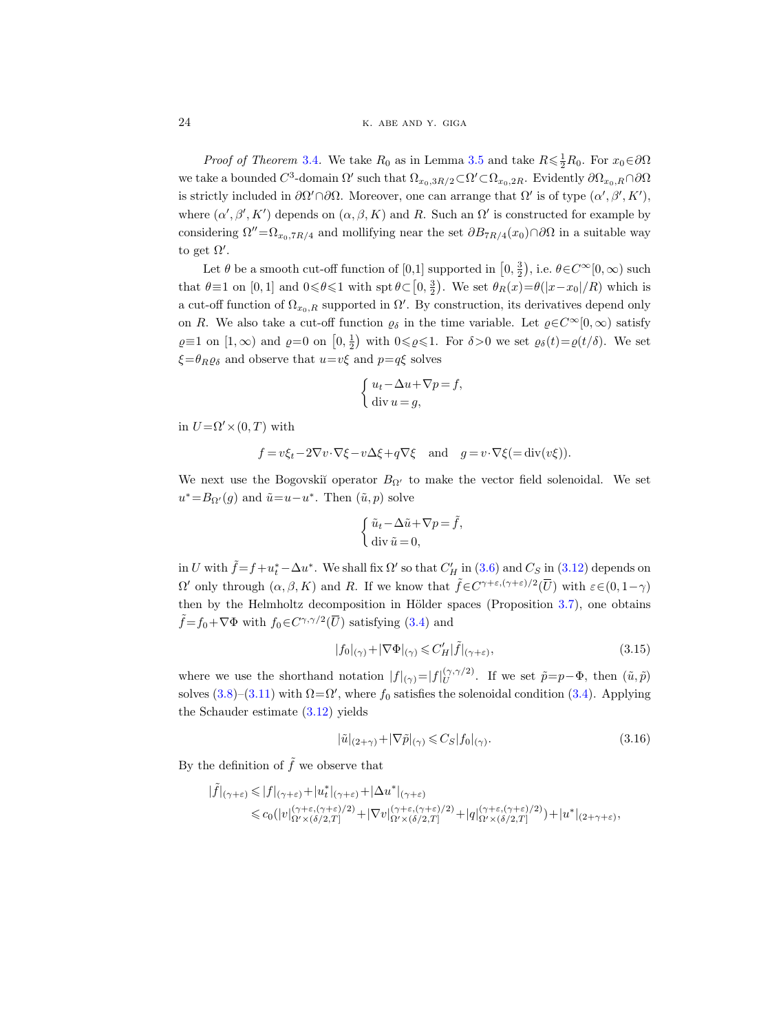24 K. ABE AND Y. GIGA

*Proof of Theorem* [3.4](#page-18-2). We take  $R_0$  as in Lemma [3.5](#page-18-1) and take  $R \le \frac{1}{2}R_0$ . For  $x_0 \in \partial\Omega$ we take a bounded  $C^3$ -domain  $\Omega'$  such that  $\Omega_{x_0,3R/2} \subset \Omega' \subset \Omega_{x_0,2R}$ . Evidently  $\partial \Omega_{x_0,R} \cap \partial \Omega$ is strictly included in  $\partial\Omega'\cap\partial\Omega$ . Moreover, one can arrange that  $\Omega'$  is of type  $(\alpha', \beta', K')$ , where  $(\alpha', \beta', K')$  depends on  $(\alpha, \beta, K)$  and R. Such an  $\Omega'$  is constructed for example by considering  $\Omega''=\Omega_{x_0,7R/4}$  and mollifying near the set  $\partial B_{7R/4}(x_0)\cap\partial\Omega$  in a suitable way to get  $\Omega'$ .

Let  $\theta$  be a smooth cut-off function of  $[0,1]$  supported in  $\left[0,\frac{3}{2}\right)$ , i.e.  $\theta \in C^{\infty}[0,\infty)$  such that  $\theta \equiv 1$  on  $[0, 1]$  and  $0 \le \theta \le 1$  with  $\text{spt } \theta \subset [0, \frac{3}{2})$ . We set  $\theta_R(x) = \theta(|x - x_0|/R)$  which is a cut-off function of  $\Omega_{x_0,R}$  supported in  $\Omega'$ . By construction, its derivatives depend only on R. We also take a cut-off function  $\varrho_{\delta}$  in the time variable. Let  $\varrho \in C^{\infty}[0,\infty)$  satisfy  $\varrho \equiv 1$  on  $[1, \infty)$  and  $\varrho = 0$  on  $[0, \frac{1}{2})$  with  $0 \le \varrho \le 1$ . For  $\delta > 0$  we set  $\varrho_{\delta}(t) = \varrho(t/\delta)$ . We set  $\xi = \theta_R \varrho_\delta$  and observe that  $u = v\xi$  and  $p = q\xi$  solves

$$
\begin{cases} u_t - \Delta u + \nabla p = f, \\ \text{div } u = g, \end{cases}
$$

in  $U = \Omega' \times (0, T)$  with

$$
f = v\xi_t - 2\nabla v \cdot \nabla \xi - v\Delta \xi + q\nabla \xi
$$
 and  $g = v \cdot \nabla \xi = \text{div}(v\xi)).$ 

We next use the Bogovskiĭ operator  $B_{\Omega'}$  to make the vector field solenoidal. We set  $u^* = B_{\Omega}(g)$  and  $\tilde{u} = u - u^*$ . Then  $(\tilde{u}, p)$  solve

$$
\begin{cases} \tilde{u}_t - \Delta \tilde{u} + \nabla p = \tilde{f}, \\ \operatorname{div} \tilde{u} = 0, \end{cases}
$$

in U with  $\tilde{f} = f + u_t^* - \Delta u^*$ . We shall fix  $\Omega'$  so that  $C'_H$  in [\(3.6\)](#page-21-0) and  $C_S$  in [\(3.12\)](#page-22-0) depends on  $\Omega'$  only through  $(\alpha, \beta, K)$  and R. If we know that  $\tilde{f} \in C^{\gamma + \varepsilon, (\gamma + \varepsilon)/2}(\overline{U})$  with  $\varepsilon \in (0, 1 - \gamma)$ then by the Helmholtz decomposition in Hölder spaces (Proposition  $3.7$ ), one obtains  $\tilde{f} = f_0 + \nabla \Phi$  with  $f_0 \in C^{\gamma, \gamma/2}(\overline{U})$  satisfying [\(3.4\)](#page-20-0) and

<span id="page-23-0"></span>
$$
|f_0|_{(\gamma)} + |\nabla \Phi|_{(\gamma)} \leqslant C_H' |\tilde{f}|_{(\gamma + \varepsilon)},\tag{3.15}
$$

where we use the shorthand notation  $|f|_{(\gamma)} = |f|_{U}^{(\gamma,\gamma/2)}$  $\tilde{v}^{(\gamma,\gamma/2)}$ . If we set  $\tilde{p}=p-\Phi$ , then  $(\tilde{u},\tilde{p})$ solves  $(3.8)$ – $(3.11)$  with  $\Omega = \Omega'$ , where  $f_0$  satisfies the solenoidal condition  $(3.4)$ . Applying the Schauder estimate [\(3.12\)](#page-22-0) yields

$$
|\tilde{u}|_{(2+\gamma)} + |\nabla \tilde{p}|_{(\gamma)} \leqslant C_S |f_0|_{(\gamma)}.
$$
\n(3.16)

By the definition of  $\tilde{f}$  we observe that

$$
\begin{aligned} |\tilde{f}|_{(\gamma+\varepsilon)} \leqslant |f|_{(\gamma+\varepsilon)}+|u_t^*|_{(\gamma+\varepsilon)}+|\Delta u^*|_{(\gamma+\varepsilon)}\\ \leqslant & c_0(|v|_{\Omega'\times(\delta/2,T]}^{(\gamma+\varepsilon,(\gamma+\varepsilon)/2)}+|\nabla v|_{\Omega'\times(\delta/2,T]}^{(\gamma+\varepsilon,(\gamma+\varepsilon)/2)}+|q|_{\Omega'\times(\delta/2,T]}^{(\gamma+\varepsilon,(\gamma+\varepsilon)/2)})+|u^*|_{(2+\gamma+\varepsilon)}, \end{aligned}
$$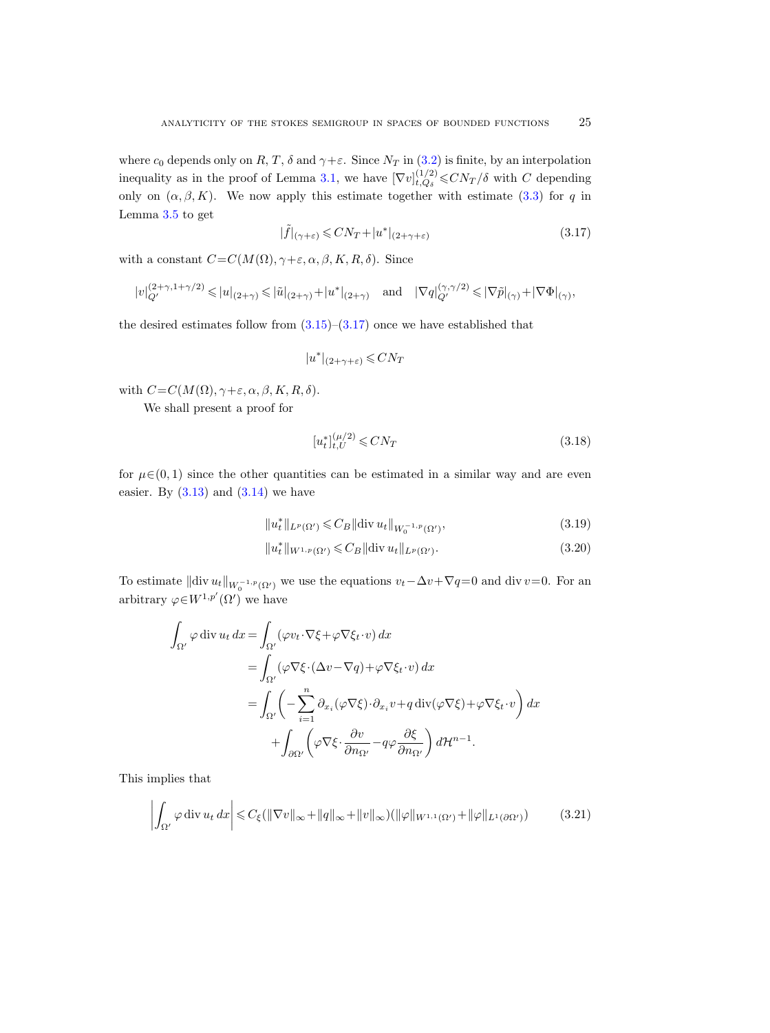where  $c_0$  depends only on  $R, T, \delta$  and  $\gamma + \varepsilon$ . Since  $N_T$  in [\(3.2\)](#page-17-2) is finite, by an interpolation inequality as in the proof of Lemma [3.1,](#page-16-0) we have  $[\nabla v]_{t, Q_s}^{(1/2)}$  $_{t,Q_\delta}^{(1/2)}$   $\leq$   $CN_T/\delta$  with C depending only on  $(\alpha, \beta, K)$ . We now apply this estimate together with estimate [\(3.3\)](#page-18-3) for q in Lemma [3.5](#page-18-1) to get

<span id="page-24-0"></span>
$$
|\tilde{f}|_{(\gamma+\varepsilon)} \leqslant CN_T + |u^*|_{(2+\gamma+\varepsilon)}
$$
\n(3.17)

with a constant  $C=C(M(\Omega), \gamma+\varepsilon, \alpha, \beta, K, R, \delta)$ . Since

$$
|v|_{Q'}^{(2+\gamma,1+\gamma/2)} \leqslant |u|_{(2+\gamma)} \leqslant |\tilde{u}|_{(2+\gamma)} + |u^*|_{(2+\gamma)} \quad \text{and} \quad |\nabla q|_{Q'}^{(\gamma,\gamma/2)} \leqslant |\nabla \tilde{p}|_{(\gamma)} + |\nabla \Phi|_{(\gamma)},
$$

the desired estimates follow from  $(3.15)-(3.17)$  $(3.15)-(3.17)$  once we have established that

$$
|u^*|_{(2+\gamma+\varepsilon)} \leqslant CN_T
$$

with  $C=C(M(\Omega), \gamma+\varepsilon, \alpha, \beta, K, R, \delta)$ .

We shall present a proof for

<span id="page-24-4"></span><span id="page-24-3"></span><span id="page-24-2"></span>
$$
[u_t^*]_{t,U}^{(\mu/2)} \leqslant CN_T \tag{3.18}
$$

for  $\mu \in (0, 1)$  since the other quantities can be estimated in a similar way and are even easier. By  $(3.13)$  and  $(3.14)$  we have

$$
||u_t^*||_{L^p(\Omega')} \leqslant C_B ||\text{div } u_t||_{W_0^{-1,p}(\Omega')},\tag{3.19}
$$

$$
||u_t^*||_{W^{1,p}(\Omega')} \leq C_B ||\text{div } u_t||_{L^p(\Omega')}.
$$
\n(3.20)

To estimate  $\|\text{div }u_t\|_{W_0^{-1,p}(\Omega')}$  we use the equations  $v_t-\Delta v+\nabla q=0$  and div  $v=0$ . For an arbitrary  $\varphi \in W^{1,p'}(\Omega')$  we have

$$
\int_{\Omega'} \varphi \operatorname{div} u_t \, dx = \int_{\Omega'} (\varphi v_t \cdot \nabla \xi + \varphi \nabla \xi_t \cdot v) \, dx
$$
\n
$$
= \int_{\Omega'} (\varphi \nabla \xi \cdot (\Delta v - \nabla q) + \varphi \nabla \xi_t \cdot v) \, dx
$$
\n
$$
= \int_{\Omega'} \left( -\sum_{i=1}^n \partial_{x_i} (\varphi \nabla \xi) \cdot \partial_{x_i} v + q \operatorname{div} (\varphi \nabla \xi) + \varphi \nabla \xi_t \cdot v \right) dx
$$
\n
$$
+ \int_{\partial \Omega'} \left( \varphi \nabla \xi \cdot \frac{\partial v}{\partial n_{\Omega'}} - q \varphi \frac{\partial \xi}{\partial n_{\Omega'}} \right) d\mathcal{H}^{n-1}.
$$

This implies that

<span id="page-24-1"></span>
$$
\left| \int_{\Omega'} \varphi \operatorname{div} u_t \, dx \right| \leqslant C_{\xi}(\|\nabla v\|_{\infty} + \|q\|_{\infty} + \|v\|_{\infty})(\|\varphi\|_{W^{1,1}(\Omega')} + \|\varphi\|_{L^1(\partial\Omega')}) \tag{3.21}
$$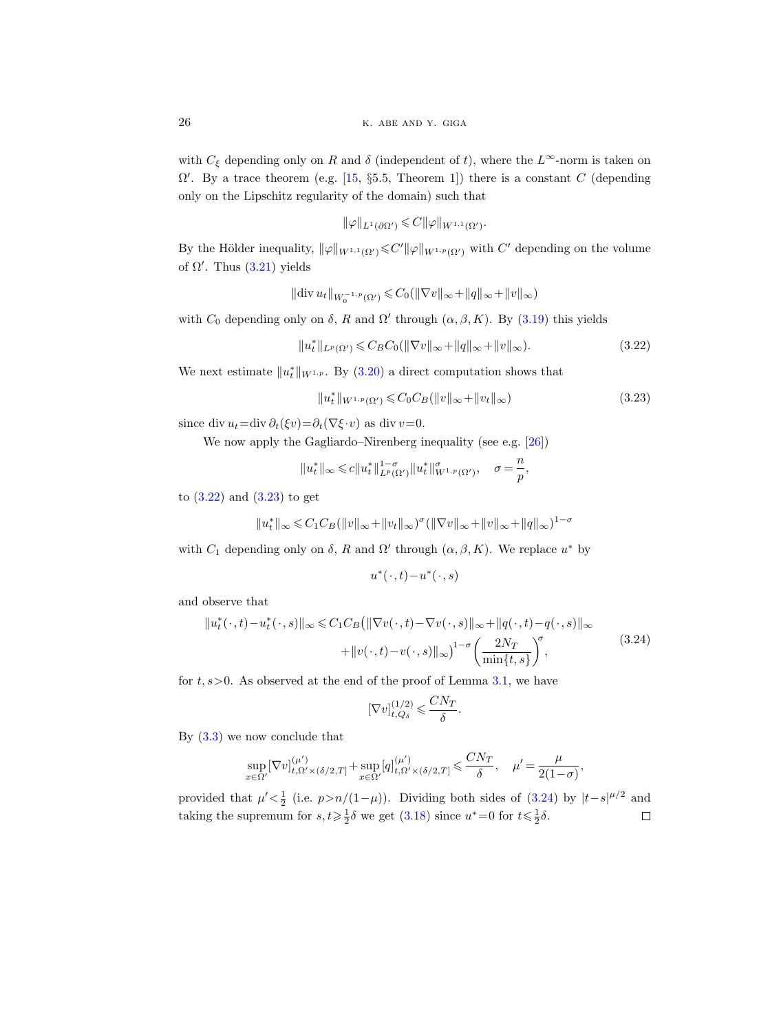with  $C_{\xi}$  depending only on R and  $\delta$  (independent of t), where the L<sup>∞</sup>-norm is taken on  $\Omega'$ . By a trace theorem (e.g. [\[15,](#page-42-20) §5.5, Theorem 1]) there is a constant C (depending only on the Lipschitz regularity of the domain) such that

$$
\|\varphi\|_{L^1(\partial\Omega')}\leqslant C\|\varphi\|_{W^{1,1}(\Omega')}.
$$

By the Hölder inequality,  $\|\varphi\|_{W^{1,1}(\Omega')}\leqslant C'\|\varphi\|_{W^{1,p}(\Omega')}$  with  $C'$  depending on the volume of  $\Omega'$ . Thus  $(3.21)$  yields

$$
\|\text{div}\,u_t\|_{W_0^{-1,p}(\Omega')}\leq C_0(\|\nabla v\|_{\infty}+\|q\|_{\infty}+\|v\|_{\infty})
$$

with  $C_0$  depending only on  $\delta$ , R and  $\Omega'$  through  $(\alpha, \beta, K)$ . By  $(3.19)$  this yields

<span id="page-25-0"></span>
$$
||u_t^*||_{L^p(\Omega')} \leqslant C_B C_0(||\nabla v||_{\infty} + ||q||_{\infty} + ||v||_{\infty}).
$$
\n(3.22)

We next estimate  $||u_t^*||_{W^{1,p}}$ . By [\(3.20\)](#page-24-3) a direct computation shows that

<span id="page-25-1"></span>
$$
||u_t^*||_{W^{1,p}(\Omega')} \leqslant C_0 C_B(||v||_{\infty} + ||v_t||_{\infty})
$$
\n(3.23)

since div  $u_t = \text{div} \partial_t (\xi v) = \partial_t (\nabla \xi \cdot v)$  as div  $v = 0$ .

We now apply the Gagliardo–Nirenberg inequality (see e.g. [\[26\]](#page-43-9))

$$
||u_t^*||_\infty \leqslant c||u_t^*||_{L^p(\Omega')}^{1-\sigma}||u_t^*||_{W^{1,p}(\Omega')}^\sigma, \quad \sigma=\frac{n}{p},
$$

to [\(3.22\)](#page-25-0) and [\(3.23\)](#page-25-1) to get

$$
||u_t^*||_{\infty} \leq C_1 C_B (||v||_{\infty} + ||v_t||_{\infty})^{\sigma} (||\nabla v||_{\infty} + ||v||_{\infty} + ||q||_{\infty})^{1-\sigma}
$$

with  $C_1$  depending only on  $\delta$ , R and  $\Omega'$  through  $(\alpha, \beta, K)$ . We replace  $u^*$  by

$$
u^*(\,\cdot\,,t)-u^*(\,\cdot\,,s)
$$

and observe that

<span id="page-25-2"></span>
$$
||u_t^*(\cdot, t) - u_t^*(\cdot, s)||_{\infty} \le C_1 C_B \left( ||\nabla v(\cdot, t) - \nabla v(\cdot, s)||_{\infty} + ||q(\cdot, t) - q(\cdot, s)||_{\infty} + ||v(\cdot, t) - v(\cdot, s)||_{\infty} \right)^{1-\sigma} \left( \frac{2N_T}{\min\{t, s\}} \right)^{\sigma},\tag{3.24}
$$

for  $t, s > 0$ . As observed at the end of the proof of Lemma [3.1,](#page-16-0) we have

$$
[\nabla v]_{t,Q_\delta}^{(1/2)} \leqslant \frac{CN_T}{\delta}.
$$

By [\(3.3\)](#page-18-3) we now conclude that

$$
\sup_{x \in \Omega'} [\nabla v]_{t,\Omega' \times (\delta/2,T]}^{(\mu')} + \sup_{x \in \Omega'} [q]_{t,\Omega' \times (\delta/2,T]}^{(\mu')} \leq \frac{CN_T}{\delta}, \quad \mu' = \frac{\mu}{2(1-\sigma)},
$$

provided that  $\mu' < \frac{1}{2}$  (i.e.  $p > n/(1-\mu)$ ). Dividing both sides of [\(3.24\)](#page-25-2) by  $|t-s|^{\mu/2}$  and taking the supremum for  $s, t \geq \frac{1}{2}\delta$  we get  $(3.18)$  since  $u^* = 0$  for  $t \leq \frac{1}{2}\delta$ .  $\Box$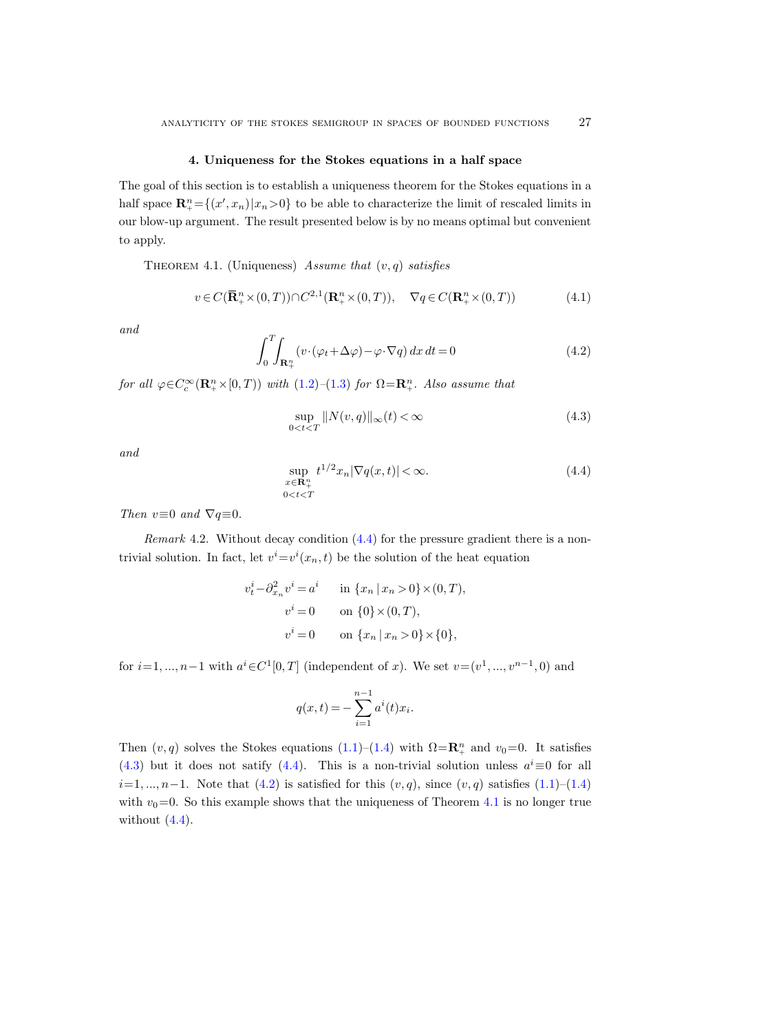#### 4. Uniqueness for the Stokes equations in a half space

<span id="page-26-1"></span>The goal of this section is to establish a uniqueness theorem for the Stokes equations in a half space  $\mathbf{R}_{+}^{n} = \{(x', x_n) | x_n > 0\}$  to be able to characterize the limit of rescaled limits in our blow-up argument. The result presented below is by no means optimal but convenient to apply.

<span id="page-26-5"></span>THEOREM 4.1. (Uniqueness) Assume that  $(v, q)$  satisfies

<span id="page-26-6"></span>
$$
v \in C(\mathbf{R}_+^n \times (0,T)) \cap C^{2,1}(\mathbf{R}_+^n \times (0,T)), \quad \nabla q \in C(\mathbf{R}_+^n \times (0,T))
$$
(4.1)

and

<span id="page-26-4"></span>
$$
\int_{0}^{T} \int_{\mathbf{R}_{+}^{n}} (v \cdot (\varphi_{t} + \Delta \varphi) - \varphi \cdot \nabla q) dx dt = 0
$$
\n(4.2)

for all  $\varphi \in C_c^{\infty}(\mathbf{R}_+^n \times [0, T))$  with  $(1.2)$ - $(1.3)$  for  $\Omega = \mathbf{R}_+^n$ . Also assume that

<span id="page-26-3"></span>
$$
\sup_{0
$$

and

<span id="page-26-2"></span>
$$
\sup_{x \in \mathbf{R}_{+}^{n}} t^{1/2} x_n |\nabla q(x, t)| < \infty.
$$
\n(4.4)

Then  $v \equiv 0$  and  $\nabla q \equiv 0$ .

<span id="page-26-0"></span>Remark 4.2. Without decay condition  $(4.4)$  for the pressure gradient there is a nontrivial solution. In fact, let  $v^i = v^i(x_n, t)$  be the solution of the heat equation

$$
v_t^i - \partial_{x_n}^2 v^i = a^i \quad \text{in } \{x_n \mid x_n > 0\} \times (0, T),
$$
  

$$
v^i = 0 \quad \text{on } \{0\} \times (0, T),
$$
  

$$
v^i = 0 \quad \text{on } \{x_n \mid x_n > 0\} \times \{0\},
$$

for  $i=1, ..., n-1$  with  $a^{i} \in C^{1}[0, T]$  (independent of x). We set  $v = (v^{1}, ..., v^{n-1}, 0)$  and

$$
q(x,t) = -\sum_{i=1}^{n-1} a^i(t)x_i.
$$

Then  $(v, q)$  solves the Stokes equations  $(1.1)$ – $(1.4)$  with  $\Omega = \mathbb{R}^n_+$  and  $v_0 = 0$ . It satisfies [\(4.3\)](#page-26-3) but it does not satify [\(4.4\)](#page-26-2). This is a non-trivial solution unless  $a^i \equiv 0$  for all  $i=1, ..., n-1$ . Note that  $(4.2)$  is satisfied for this  $(v, q)$ , since  $(v, q)$  satisfies  $(1.1)$ – $(1.4)$ with  $v_0=0$ . So this example shows that the uniqueness of Theorem [4.1](#page-26-5) is no longer true without  $(4.4)$ .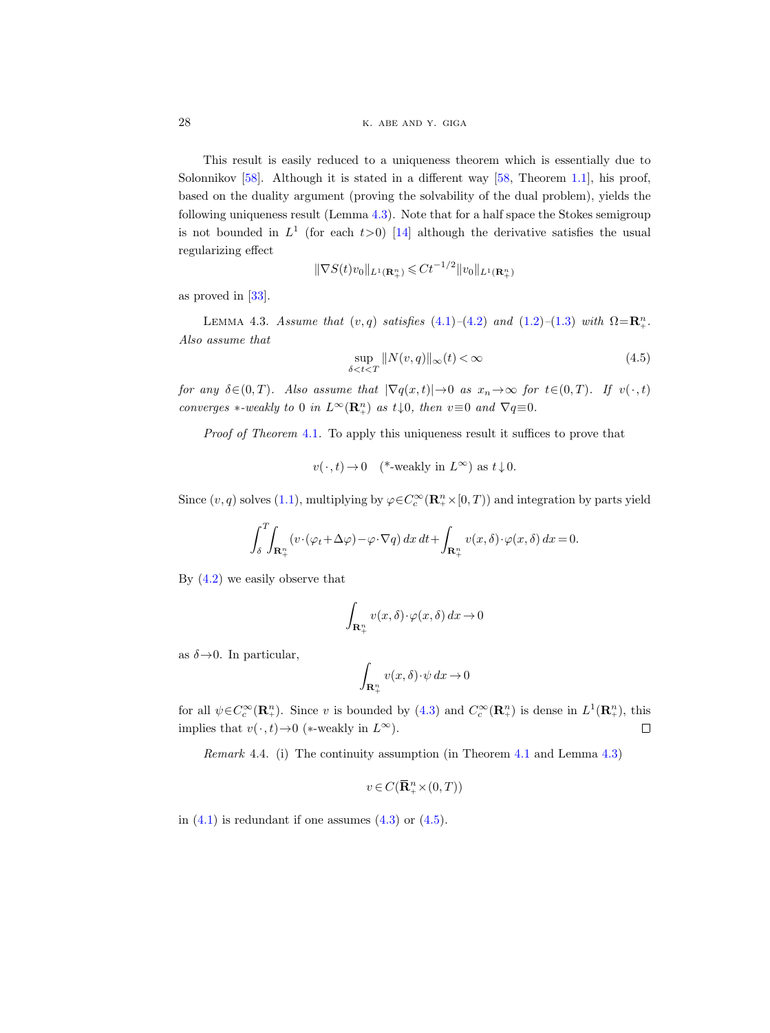28 k. ABE AND Y. GIGA

This result is easily reduced to a uniqueness theorem which is essentially due to Solonnikov [\[58\]](#page-44-2). Although it is stated in a different way [\[58,](#page-44-2) Theorem [1.1\]](#page-0-2), his proof, based on the duality argument (proving the solvability of the dual problem), yields the following uniqueness result (Lemma [4.3\)](#page-27-0). Note that for a half space the Stokes semigroup is not bounded in  $L^1$  (for each  $t>0$ ) [\[14\]](#page-42-0) although the derivative satisfies the usual regularizing effect

$$
\|\nabla S(t)v_0\|_{L^1(\mathbf{R}_+^n)} \leq C t^{-1/2} \|v_0\|_{L^1(\mathbf{R}_+^n)}
$$

as proved in [\[33\]](#page-43-21).

<span id="page-27-0"></span>LEMMA 4.3. Assume that  $(v, q)$  satisfies  $(4.1)$ - $(4.2)$  and  $(1.2)$ - $(1.3)$  with  $\Omega = \mathbb{R}^n_+$ . Also assume that

<span id="page-27-1"></span>
$$
\sup_{\delta < t < T} \|N(v, q)\|_{\infty}(t) < \infty \tag{4.5}
$$

for any  $\delta \in (0, T)$ . Also assume that  $|\nabla q(x, t)| \to 0$  as  $x_n \to \infty$  for  $t \in (0, T)$ . If  $v(\cdot, t)$ converges  $\ast$ -weakly to 0 in  $L^{\infty}(\mathbf{R}^n_+)$  as  $t\downarrow 0$ , then  $v\equiv 0$  and  $\nabla q\equiv 0$ .

Proof of Theorem [4.1](#page-26-5). To apply this uniqueness result it suffices to prove that

 $v(\cdot, t) \to 0$  (\*-weakly in  $L^{\infty}$ ) as  $t \downarrow 0$ .

Since  $(v, q)$  solves  $(1.1)$ , multiplying by  $\varphi \in C_c^{\infty}(\mathbb{R}^n_+ \times [0, T))$  and integration by parts yield

$$
\int_{\delta}^{T} \int_{\mathbf{R}_{+}^{n}} (v \cdot (\varphi_{t} + \Delta \varphi) - \varphi \cdot \nabla q) \, dx \, dt + \int_{\mathbf{R}_{+}^{n}} v(x, \delta) \cdot \varphi(x, \delta) \, dx = 0.
$$

By  $(4.2)$  we easily observe that

$$
\int_{\mathbf{R}_{+}^{n}} v(x,\delta) \cdot \varphi(x,\delta) dx \to 0
$$

as  $\delta \rightarrow 0$ . In particular,

$$
\int_{\mathbf{R}^n_+} v(x,\delta) \cdot \psi \, dx \to 0
$$

for all  $\psi \in C_c^{\infty}(\mathbf{R}_{+}^n)$ . Since v is bounded by  $(4.3)$  and  $C_c^{\infty}(\mathbf{R}_{+}^n)$  is dense in  $L^1(\mathbf{R}_{+}^n)$ , this implies that  $v(\cdot, t) \rightarrow 0$  (\*-weakly in  $L^{\infty}$ ).  $\Box$ 

Remark 4.4. (i) The continuity assumption (in Theorem [4.1](#page-26-5) and Lemma [4.3\)](#page-27-0)

$$
v \in C(\overline{\mathbf{R}}_+^n \times (0,T))
$$

in  $(4.1)$  is redundant if one assumes  $(4.3)$  or  $(4.5)$ .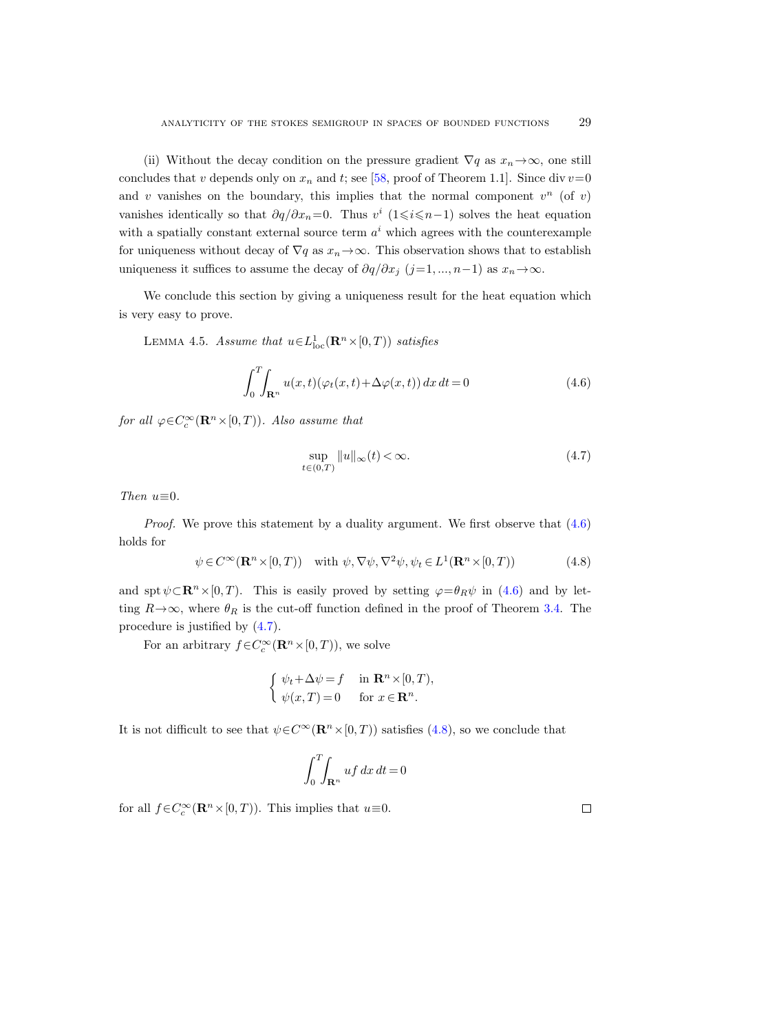(ii) Without the decay condition on the pressure gradient  $\nabla q$  as  $x_n \to \infty$ , one still concludes that v depends only on  $x_n$  and t; see [\[58,](#page-44-2) proof of Theorem 1.1]. Since div  $v=0$ and v vanishes on the boundary, this implies that the normal component  $v^n$  (of v) vanishes identically so that  $\partial q/\partial x_n = 0$ . Thus  $v^i$  (1≤i ≤n−1) solves the heat equation with a spatially constant external source term  $a^i$  which agrees with the counterexample for uniqueness without decay of  $\nabla q$  as  $x_n \to \infty$ . This observation shows that to establish uniqueness it suffices to assume the decay of  $\partial q/\partial x_j$  (j=1, ..., n−1) as  $x_n \to \infty$ .

We conclude this section by giving a uniqueness result for the heat equation which is very easy to prove.

<span id="page-28-3"></span>LEMMA 4.5. Assume that  $u \in L^1_{loc}(\mathbf{R}^n \times [0,T))$  satisfies

<span id="page-28-0"></span>
$$
\int_{0}^{T} \int_{\mathbf{R}^{n}} u(x,t) (\varphi_t(x,t) + \Delta \varphi(x,t)) dx dt = 0
$$
\n(4.6)

for all  $\varphi \in C_c^{\infty}(\mathbf{R}^n \times [0, T))$ . Also assume that

<span id="page-28-1"></span>
$$
\sup_{t\in(0,T)}\|u\|_{\infty}(t) < \infty.
$$
\n(4.7)

Then  $u \equiv 0$ .

*Proof.* We prove this statement by a duality argument. We first observe that  $(4.6)$ holds for

<span id="page-28-2"></span>
$$
\psi \in C^{\infty}(\mathbf{R}^n \times [0, T)) \quad \text{with } \psi, \nabla \psi, \nabla^2 \psi, \psi_t \in L^1(\mathbf{R}^n \times [0, T)) \tag{4.8}
$$

and spt  $\psi \subset \mathbb{R}^n \times [0, T)$ . This is easily proved by setting  $\varphi = \theta_R \psi$  in [\(4.6\)](#page-28-0) and by letting  $R\rightarrow\infty$ , where  $\theta_R$  is the cut-off function defined in the proof of Theorem [3.4.](#page-18-2) The procedure is justified by [\(4.7\)](#page-28-1).

For an arbitrary  $f \in C_c^{\infty}(\mathbf{R}^n \times [0, T))$ , we solve

$$
\begin{cases} \psi_t + \Delta \psi = f & \text{in } \mathbf{R}^n \times [0, T), \\ \psi(x, T) = 0 & \text{for } x \in \mathbf{R}^n. \end{cases}
$$

It is not difficult to see that  $\psi \in C^{\infty}(\mathbf{R}^n \times [0, T))$  satisfies [\(4.8\)](#page-28-2), so we conclude that

$$
\int_0^T\!\!\int_{\mathbf{R}^n} u f \, dx \, dt = 0
$$

for all  $f \in C_c^{\infty}(\mathbf{R}^n \times [0, T))$ . This implies that  $u \equiv 0$ .

 $\Box$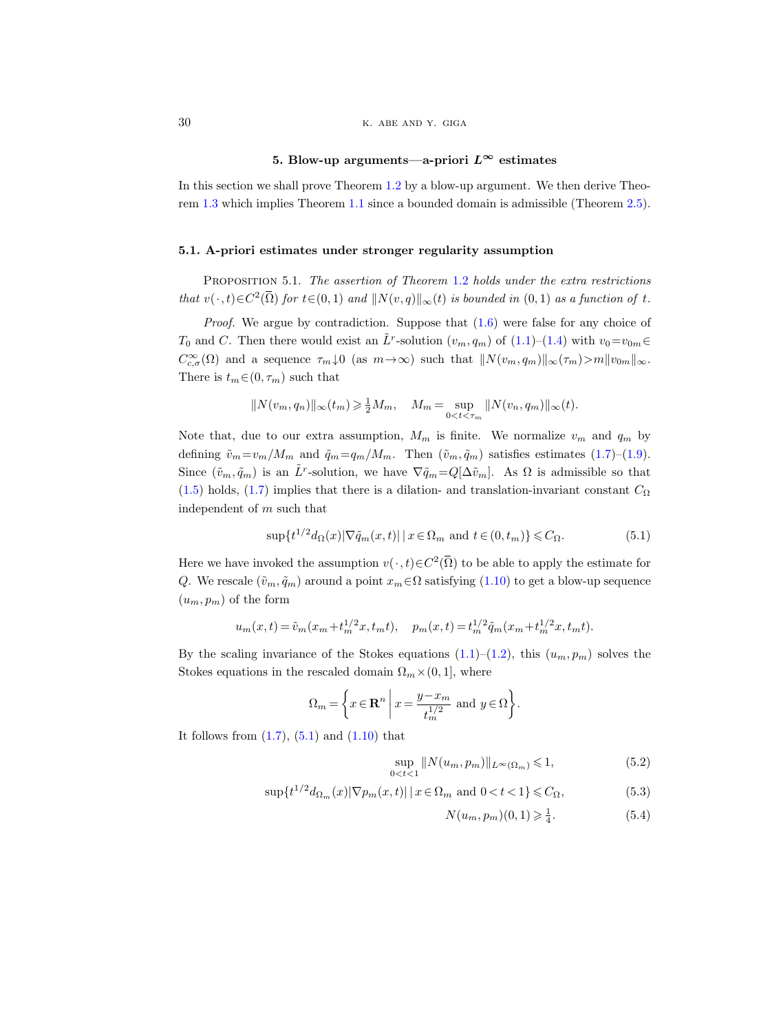# 5. Blow-up arguments—a-priori  $L^{\infty}$  estimates

<span id="page-29-0"></span>In this section we shall prove Theorem [1.2](#page-1-3) by a blow-up argument. We then derive Theorem [1.3](#page-1-2) which implies Theorem [1.1](#page-0-2) since a bounded domain is admissible (Theorem [2.5\)](#page-8-0).

## 5.1. A-priori estimates under stronger regularity assumption

<span id="page-29-5"></span>PROPOSITION 5.1. The assertion of Theorem [1.2](#page-1-3) holds under the extra restrictions that  $v(\cdot, t) \in C^2(\overline{\Omega})$  for  $t \in (0, 1)$  and  $||N(v, q)||_{\infty}(t)$  is bounded in  $(0, 1)$  as a function of t.

*Proof.* We argue by contradiction. Suppose that  $(1.6)$  were false for any choice of  $T_0$  and C. Then there would exist an  $\tilde{L}^r$ -solution  $(v_m, q_m)$  of  $(1.1)$ – $(1.4)$  with  $v_0 = v_{0m}$  $\in$  $C_{c,\sigma}^{\infty}(\Omega)$  and a sequence  $\tau_m\downarrow 0$  (as  $m\to\infty$ ) such that  $||N(v_m,q_m)||_{\infty}(\tau_m)>m||v_{0m}||_{\infty}$ . There is  $t_m \in (0, \tau_m)$  such that

$$
||N(v_m, q_n)||_{\infty}(t_m) \ge \frac{1}{2}M_m, \quad M_m = \sup_{0 < t < \tau_m} ||N(v_n, q_m)||_{\infty}(t).
$$

Note that, due to our extra assumption,  $M_m$  is finite. We normalize  $v_m$  and  $q_m$  by defining  $\tilde{v}_m=v_m/M_m$  and  $\tilde{q}_m=q_m/M_m$ . Then  $(\tilde{v}_m, \tilde{q}_m)$  satisfies estimates [\(1.7\)](#page-3-2)–[\(1.9\)](#page-3-3). Since  $(\tilde{v}_m, \tilde{q}_m)$  is an  $\tilde{L}^r$ -solution, we have  $\nabla \tilde{q}_m = Q[\Delta \tilde{v}_m]$ . As  $\Omega$  is admissible so that [\(1.5\)](#page-1-0) holds, [\(1.7\)](#page-3-2) implies that there is a dilation- and translation-invariant constant  $C_{\Omega}$ independent of m such that

<span id="page-29-1"></span>
$$
\sup\{t^{1/2}d_{\Omega}(x)|\nabla \tilde{q}_m(x,t)|\,|\,x\in\Omega_m\text{ and }t\in(0,t_m)\}\leq C_{\Omega}.\tag{5.1}
$$

Here we have invoked the assumption  $v(\cdot, t) \in C^2(\overline{\Omega})$  to be able to apply the estimate for Q. We rescale  $(\tilde{v}_m, \tilde{q}_m)$  around a point  $x_m \in \Omega$  satisfying  $(1.10)$  to get a blow-up sequence  $(u_m, p_m)$  of the form

$$
u_m(x,t) = \tilde{v}_m(x_m + t_m^{1/2}x, t_mt), \quad p_m(x,t) = t_m^{1/2} \tilde{q}_m(x_m + t_m^{1/2}x, t_mt).
$$

By the scaling invariance of the Stokes equations  $(1.1)$ – $(1.2)$ , this  $(u_m, p_m)$  solves the Stokes equations in the rescaled domain  $\Omega_m \times (0, 1]$ , where

$$
\Omega_m = \left\{ x \in \mathbf{R}^n \mid x = \frac{y - x_m}{t_m^{1/2}} \text{ and } y \in \Omega \right\}.
$$

It follows from  $(1.7)$ ,  $(5.1)$  and  $(1.10)$  that

$$
\sup_{0 < t < 1} \| N(u_m, p_m) \|_{L^\infty(\Omega_m)} \leq 1,\tag{5.2}
$$

$$
\sup\{t^{1/2}d_{\Omega_m}(x)|\nabla p_m(x,t)||\,x\in\Omega_m\text{ and }0
$$

<span id="page-29-4"></span><span id="page-29-3"></span><span id="page-29-2"></span>
$$
N(u_m, p_m)(0, 1) \geq \frac{1}{4}.\tag{5.4}
$$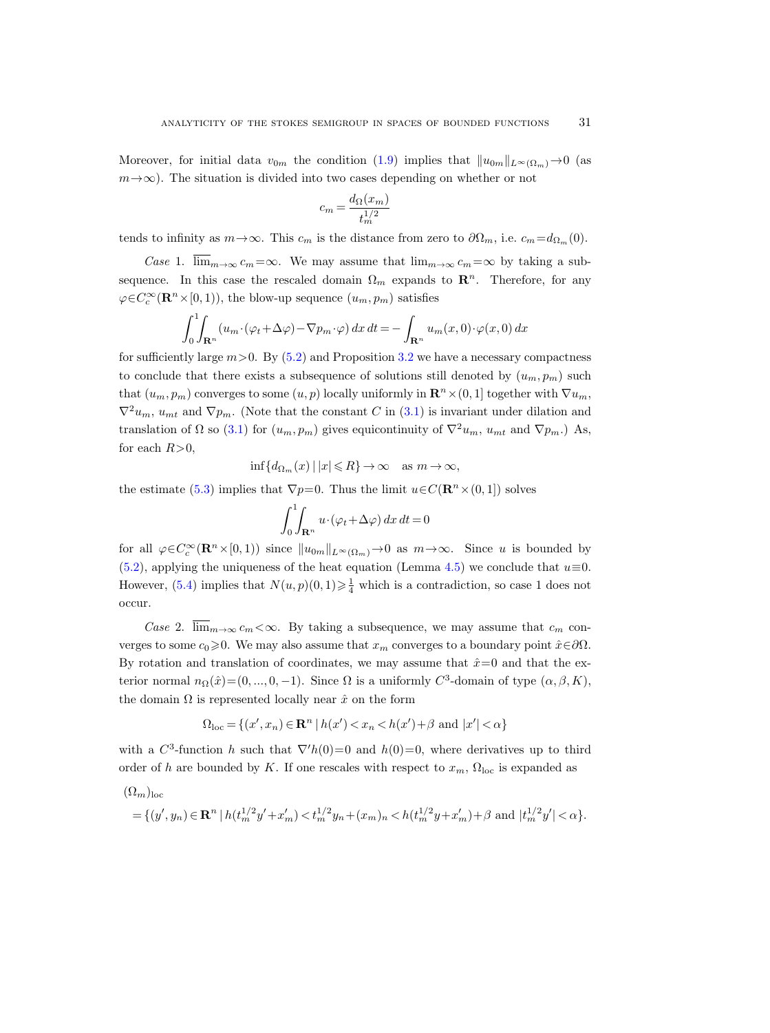Moreover, for initial data  $v_{0m}$  the condition [\(1.9\)](#page-3-3) implies that  $||u_{0m}||_{L^{\infty}(\Omega_m)} \to 0$  (as  $m \rightarrow \infty$ ). The situation is divided into two cases depending on whether or not

$$
c_m = \frac{d_{\Omega}(x_m)}{t_m^{1/2}}
$$

tends to infinity as  $m \to \infty$ . This  $c_m$  is the distance from zero to  $\partial \Omega_m$ , i.e.  $c_m = d_{\Omega_m}(0)$ .

Case 1.  $\overline{\lim}_{m\to\infty} c_m=\infty$ . We may assume that  $\lim_{m\to\infty} c_m=\infty$  by taking a subsequence. In this case the rescaled domain  $\Omega_m$  expands to  $\mathbb{R}^n$ . Therefore, for any  $\varphi \in C_c^{\infty}(\mathbf{R}^n \times [0,1)),$  the blow-up sequence  $(u_m, p_m)$  satisfies

$$
\int_0^1 \int_{\mathbf{R}^n} (u_m \cdot (\varphi_t + \Delta \varphi) - \nabla p_m \cdot \varphi) \, dx \, dt = - \int_{\mathbf{R}^n} u_m(x, 0) \cdot \varphi(x, 0) \, dx
$$

for sufficiently large  $m>0$ . By [\(5.2\)](#page-29-2) and Proposition [3.2](#page-17-3) we have a necessary compactness to conclude that there exists a subsequence of solutions still denoted by  $(u_m, p_m)$  such that  $(u_m, p_m)$  converges to some  $(u, p)$  locally uniformly in  $\mathbb{R}^n \times (0, 1]$  together with  $\nabla u_m$ ,  $\nabla^2 u_m$ ,  $u_{mt}$  and  $\nabla p_m$ . (Note that the constant C in [\(3.1\)](#page-17-1) is invariant under dilation and translation of  $\Omega$  so [\(3.1\)](#page-17-1) for  $(u_m, p_m)$  gives equicontinuity of  $\nabla^2 u_m$ ,  $u_{mt}$  and  $\nabla p_m$ .) As, for each  $R>0$ ,

$$
\inf\{d_{\Omega_m}(x) \,|\, |x| \leq R\} \to \infty \quad \text{as } m \to \infty,
$$

the estimate [\(5.3\)](#page-29-3) implies that  $\nabla p=0$ . Thus the limit  $u\in C(\mathbf{R}^n\times(0,1])$  solves

$$
\int_0^1\!\!\!\int_{{\bf R}^n}u\!\cdot\!(\varphi_t\!+\!\Delta\varphi)\,dx\,dt\!=\!0
$$

for all  $\varphi \in C_c^{\infty}(\mathbf{R}^n \times [0,1))$  since  $||u_{0m}||_{L^{\infty}(\Omega_m)} \to 0$  as  $m \to \infty$ . Since u is bounded by [\(5.2\)](#page-29-2), applying the uniqueness of the heat equation (Lemma [4.5\)](#page-28-3) we conclude that  $u\equiv 0$ . However, [\(5.4\)](#page-29-4) implies that  $N(u, p)(0, 1) \geq \frac{1}{4}$  which is a contradiction, so case 1 does not occur.

*Case 2.*  $\overline{\lim}_{m\to\infty} c_m < \infty$ . By taking a subsequence, we may assume that  $c_m$  converges to some  $c_0\geq 0$ . We may also assume that  $x_m$  converges to a boundary point  $\hat{x} \in \partial \Omega$ . By rotation and translation of coordinates, we may assume that  $\hat{x}=0$  and that the exterior normal  $n_{\Omega}(\hat{x}) = (0, ..., 0, -1)$ . Since  $\Omega$  is a uniformly  $C^3$ -domain of type  $(\alpha, \beta, K)$ , the domain  $\Omega$  is represented locally near  $\hat{x}$  on the form

$$
\Omega_{\text{loc}} = \{(x', x_n) \in \mathbf{R}^n \mid h(x') < x_n < h(x') + \beta \text{ and } |x'| < \alpha\}
$$

with a  $C^3$ -function h such that  $\nabla' h(0)=0$  and  $h(0)=0$ , where derivatives up to third order of h are bounded by K. If one rescales with respect to  $x_m$ ,  $\Omega_{\text{loc}}$  is expanded as

$$
\begin{aligned} &(\Omega_m)_{\rm loc}\\ &= \{(y',y_n)\in\mathbf{R}^n\,|\, h(t_m^{1/2}y'+x_m')
$$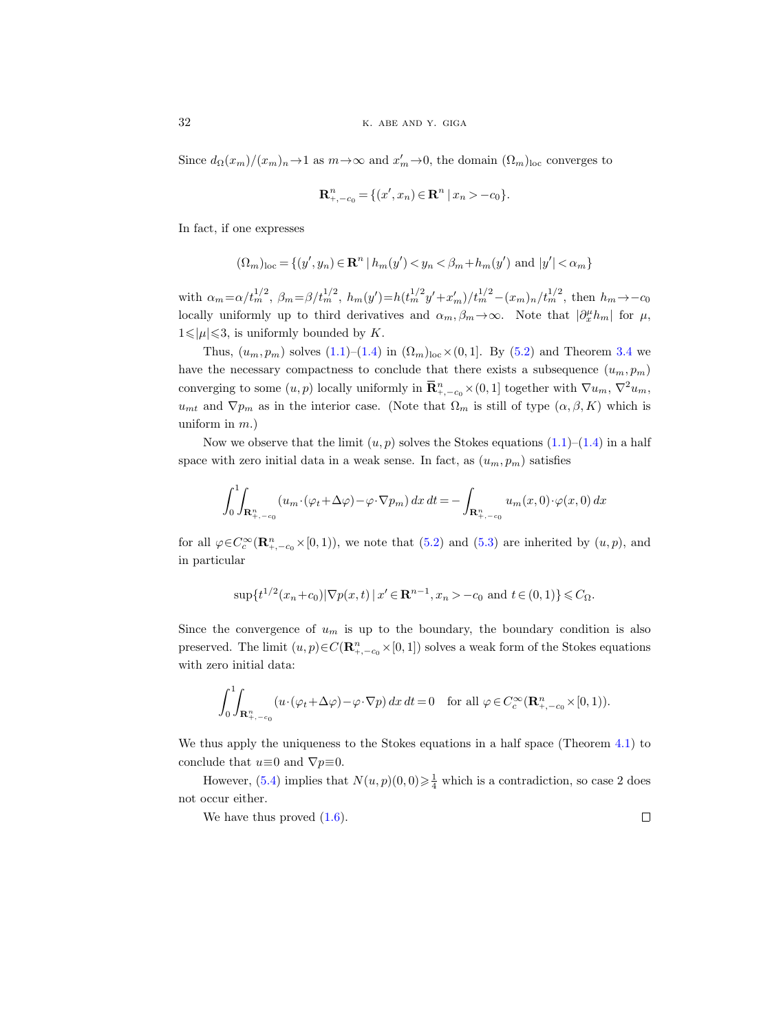Since  $d_{\Omega}(x_m)/(x_m)_n \to 1$  as  $m \to \infty$  and  $x'_m \to 0$ , the domain  $(\Omega_m)_{loc}$  converges to

$$
\mathbf{R}_{+,-c_0}^n = \{ (x', x_n) \in \mathbf{R}^n \mid x_n > -c_0 \}.
$$

In fact, if one expresses

$$
(\Omega_m)_{\text{loc}} = \{(y', y_n) \in \mathbf{R}^n \mid h_m(y') < y_n < \beta_m + h_m(y') \text{ and } |y'| < \alpha_m\}
$$

with  $\alpha_m = \alpha/t_m^{1/2}$ ,  $\beta_m = \beta/t_m^{1/2}$ ,  $h_m(y') = h(t_m^{1/2}y' + x'_m)/t_m^{1/2} - (x_m)_n/t_m^{1/2}$ , then  $h_m \to -c_0$ locally uniformly up to third derivatives and  $\alpha_m, \beta_m \to \infty$ . Note that  $|\partial_x^{\mu} h_m|$  for  $\mu$ ,  $1 \leq |\mu| \leq 3$ , is uniformly bounded by K.

Thus,  $(u_m, p_m)$  solves  $(1.1)$ – $(1.4)$  in  $(\Omega_m)_{\text{loc}} \times (0, 1]$ . By  $(5.2)$  and Theorem [3.4](#page-18-2) we have the necessary compactness to conclude that there exists a subsequence  $(u_m, p_m)$ converging to some  $(u, p)$  locally uniformly in  $\overline{\mathbf{R}}_{+,-c_0}^n \times (0, 1]$  together with  $\nabla u_m$ ,  $\nabla^2 u_m$ ,  $u_{mt}$  and  $\nabla p_m$  as in the interior case. (Note that  $\Omega_m$  is still of type  $(\alpha, \beta, K)$  which is uniform in  $m$ .)

Now we observe that the limit  $(u, p)$  solves the Stokes equations  $(1.1)$ – $(1.4)$  in a half space with zero initial data in a weak sense. In fact, as  $(u_m, p_m)$  satisfies

$$
\int_0^1 \int_{\mathbf{R}_{+,-c_0}^n} (u_m \cdot (\varphi_t + \Delta \varphi) - \varphi \cdot \nabla p_m) dx dt = - \int_{\mathbf{R}_{+,-c_0}^n} u_m(x,0) \cdot \varphi(x,0) dx
$$

for all  $\varphi \in C_c^{\infty}(\mathbf{R}_{+,-c_0}^n \times [0,1)),$  we note that [\(5.2\)](#page-29-2) and [\(5.3\)](#page-29-3) are inherited by  $(u, p)$ , and in particular

$$
\sup\{t^{1/2}(x_n+c_0)|\nabla p(x,t)|x'\in\mathbf{R}^{n-1}, x_n>-c_0 \text{ and } t\in(0,1)\}\leq C_{\Omega}.
$$

Since the convergence of  $u_m$  is up to the boundary, the boundary condition is also preserved. The limit  $(u, p) \in C(\mathbf{R}_{+,-c_0}^n \times [0,1])$  solves a weak form of the Stokes equations with zero initial data:

$$
\int_0^1 \int_{\mathbf{R}^n_{+,-c_0}} \left( u \cdot (\varphi_t + \Delta \varphi) - \varphi \cdot \nabla p \right) dx dt = 0 \quad \text{for all } \varphi \in C_c^\infty(\mathbf{R}^n_{+,-c_0} \times [0,1)).
$$

We thus apply the uniqueness to the Stokes equations in a half space (Theorem [4.1\)](#page-26-5) to conclude that  $u \equiv 0$  and  $\nabla p \equiv 0$ .

However, [\(5.4\)](#page-29-4) implies that  $N(u, p)(0, 0) \geq \frac{1}{4}$  which is a contradiction, so case 2 does not occur either.

We have thus proved  $(1.6)$ .  $\Box$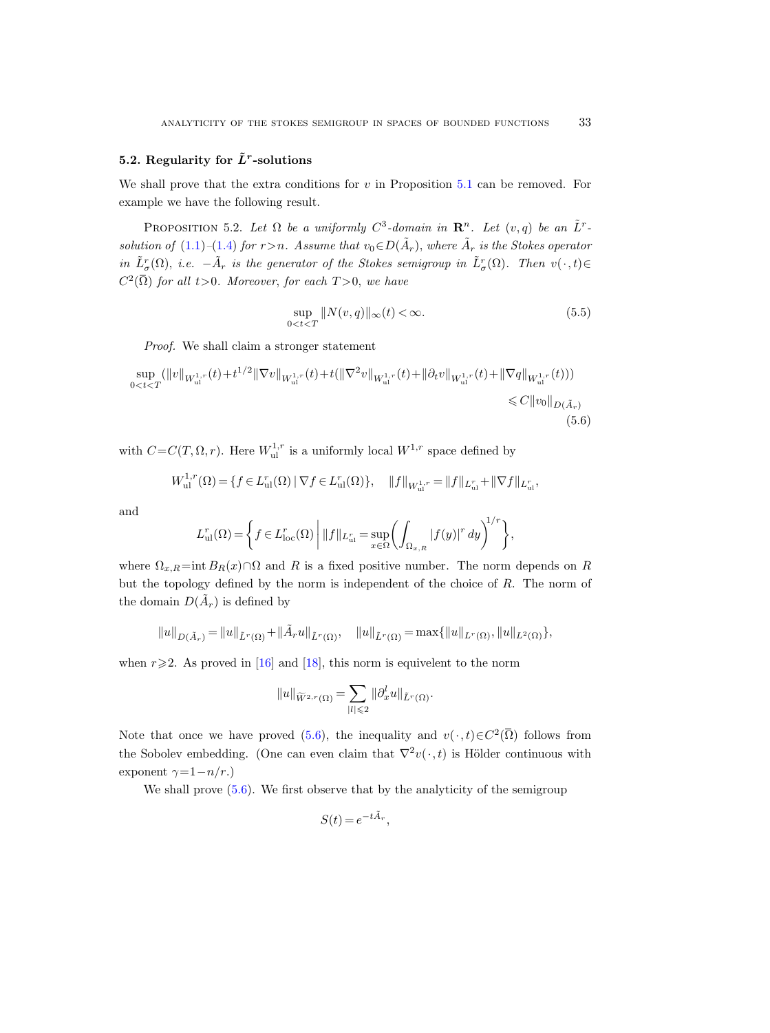# 5.2. Regularity for  $\tilde{L}^r$ -solutions

We shall prove that the extra conditions for  $v$  in Proposition [5.1](#page-29-5) can be removed. For example we have the following result.

<span id="page-32-1"></span>PROPOSITION 5.2. Let  $\Omega$  be a uniformly  $C^3$ -domain in  $\mathbb{R}^n$ . Let  $(v, q)$  be an  $\tilde{L}^r$ -solution of [\(1.1\)](#page-0-0)–[\(1.4\)](#page-0-1) for  $r > n$ . Assume that  $v_0 \in D(\tilde{A}_r)$ , where  $\tilde{A}_r$  is the Stokes operator in  $\tilde{L}^r_{\sigma}(\Omega)$ , i.e.  $-\tilde{A}_r$  is the generator of the Stokes semigroup in  $\tilde{L}^r_{\sigma}(\Omega)$ . Then  $v(\cdot,t) \in$  $C^2(\overline{\Omega})$  for all t>0. Moreover, for each  $T>0$ , we have

$$
\sup_{0 < t < T} \|N(v, q)\|_{\infty}(t) < \infty. \tag{5.5}
$$

Proof. We shall claim a stronger statement

<span id="page-32-0"></span>
$$
\sup_{0 < t < T} (\|v\|_{W_{\text{ul}}^{1,r}}(t) + t^{1/2} \|\nabla v\|_{W_{\text{ul}}^{1,r}}(t) + t(\|\nabla^2 v\|_{W_{\text{ul}}^{1,r}}(t) + \|\partial_t v\|_{W_{\text{ul}}^{1,r}}(t) + \|\nabla q\|_{W_{\text{ul}}^{1,r}}(t)))
$$
\n
$$
\leq C \|v_0\|_{D(\tilde{A}_r)}
$$
\n
$$
(5.6)
$$

with  $C = C(T, \Omega, r)$ . Here  $W_{ul}^{1,r}$  is a uniformly local  $W^{1,r}$  space defined by

$$
W_{\mathrm{ul}}^{1,r}(\Omega) = \{ f \in L_{\mathrm{ul}}^r(\Omega) \mid \nabla f \in L_{\mathrm{ul}}^r(\Omega) \}, \quad ||f||_{W_{\mathrm{ul}}^{1,r}} = ||f||_{L_{\mathrm{ul}}^r} + ||\nabla f||_{L_{\mathrm{ul}}^r},
$$

and

$$
L_{\mathrm{ul}}^r(\Omega) = \left\{ f \in L_{\mathrm{loc}}^r(\Omega) \mid ||f||_{L_{\mathrm{ul}}^r} = \sup_{x \in \Omega} \left( \int_{\Omega_{x,R}} |f(y)|^r dy \right)^{1/r} \right\},\,
$$

where  $\Omega_{x,R} = \text{int } B_R(x) \cap \Omega$  and R is a fixed positive number. The norm depends on R but the topology defined by the norm is independent of the choice of  $R$ . The norm of the domain  $D(\tilde{A}_r)$  is defined by

 $\|u\|_{D(\tilde{A}_r)} = \|u\|_{\tilde{L}^r(\Omega)} + \|\tilde{A}_ru\|_{\tilde{L}^r(\Omega)}, \quad \|u\|_{\tilde{L}^r(\Omega)} = \max\{\|u\|_{L^r(\Omega)}, \|u\|_{L^2(\Omega)}\},$ 

when  $r \geq 2$ . As proved in [\[16\]](#page-42-1) and [\[18\]](#page-42-3), this norm is equivelent to the norm

$$
\|u\|_{\widetilde{W}^{2,r}(\Omega)}=\sum_{|l|\leqslant 2}\|\partial_x^lu\|_{\tilde{L}^r(\Omega)}.
$$

Note that once we have proved [\(5.6\)](#page-32-0), the inequality and  $v(\cdot, t) \in C^2(\overline{\Omega})$  follows from the Sobolev embedding. (One can even claim that  $\nabla^2 v(\cdot, t)$  is Hölder continuous with exponent  $\gamma=1-n/r$ .)

We shall prove  $(5.6)$ . We first observe that by the analyticity of the semigroup

$$
S(t) = e^{-t\tilde{A}_r},
$$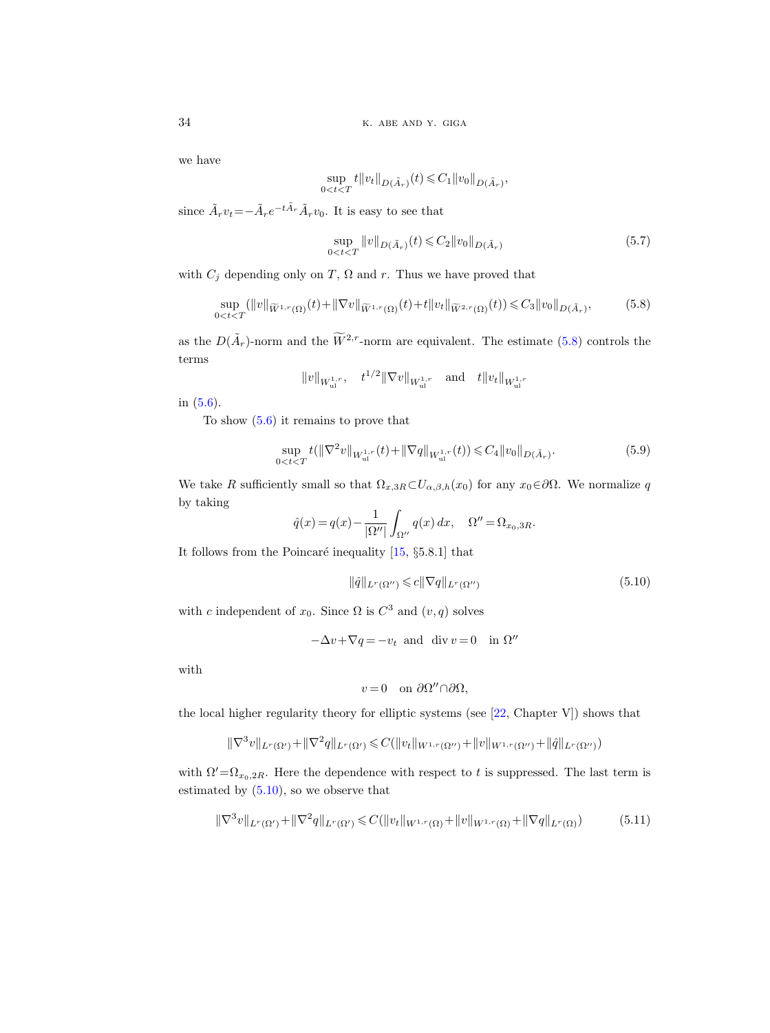we have

$$
\sup_{0
$$

since  $\tilde{A}_r v_t = -\tilde{A}_r e^{-t\tilde{A}_r} \tilde{A}_r v_0$ . It is easy to see that

<span id="page-33-4"></span>
$$
\sup_{0 < t < T} \|v\|_{D(\tilde{A}_r)}(t) \leq C_2 \|v_0\|_{D(\tilde{A}_r)} \tag{5.7}
$$

with  $C_i$  depending only on T,  $\Omega$  and r. Thus we have proved that

<span id="page-33-0"></span>
$$
\sup_{0(5.8)
$$

as the  $D(\tilde{A}_r)$ -norm and the  $\widetilde{W}^{2,r}$ -norm are equivalent. The estimate [\(5.8\)](#page-33-0) controls the terms

$$
||v||_{W_{ul}^{1,r}}, \quad t^{1/2}||\nabla v||_{W_{ul}^{1,r}} \quad \text{and} \quad t||v_t||_{W_{ul}^{1,r}}
$$

in [\(5.6\)](#page-32-0).

To show  $(5.6)$  it remains to prove that

<span id="page-33-3"></span>
$$
\sup_{0\n(5.9)
$$

We take R sufficiently small so that  $\Omega_{x,3R} \subset U_{\alpha,\beta,h}(x_0)$  for any  $x_0 \in \partial\Omega$ . We normalize q by taking

$$
\hat{q}(x) = q(x) - \frac{1}{|\Omega''|} \int_{\Omega''} q(x) dx, \quad \Omega'' = \Omega_{x_0, 3R}.
$$

It follows from the Poincaré inequality  $[15, §5.8.1]$  that

<span id="page-33-1"></span>
$$
\|\hat{q}\|_{L^r(\Omega'')} \leqslant c\|\nabla q\|_{L^r(\Omega'')} \tag{5.10}
$$

with c independent of  $x_0$ . Since  $\Omega$  is  $C^3$  and  $(v, q)$  solves

$$
-\Delta v + \nabla q = -v_t \text{ and } \text{div } v = 0 \text{ in } \Omega''
$$

with

$$
v=0 \quad \text{on } \partial\Omega'' \cap \partial\Omega,
$$

the local higher regularity theory for elliptic systems (see [\[22,](#page-42-19) Chapter V]) shows that

$$
\|\nabla^3 v\|_{L^r(\Omega')} + \|\nabla^2 q\|_{L^r(\Omega')} \leqslant C(\|v_t\|_{W^{1,r}(\Omega'')} + \|v\|_{W^{1,r}(\Omega'')} + \|\hat{q}\|_{L^r(\Omega'')})
$$

with  $\Omega'=\Omega_{x_0,2R}$ . Here the dependence with respect to t is suppressed. The last term is estimated by [\(5.10\)](#page-33-1), so we observe that

<span id="page-33-2"></span>
$$
\|\nabla^3 v\|_{L^r(\Omega')} + \|\nabla^2 q\|_{L^r(\Omega')} \leqslant C(\|v_t\|_{W^{1,r}(\Omega)} + \|v\|_{W^{1,r}(\Omega)} + \|\nabla q\|_{L^r(\Omega)})\tag{5.11}
$$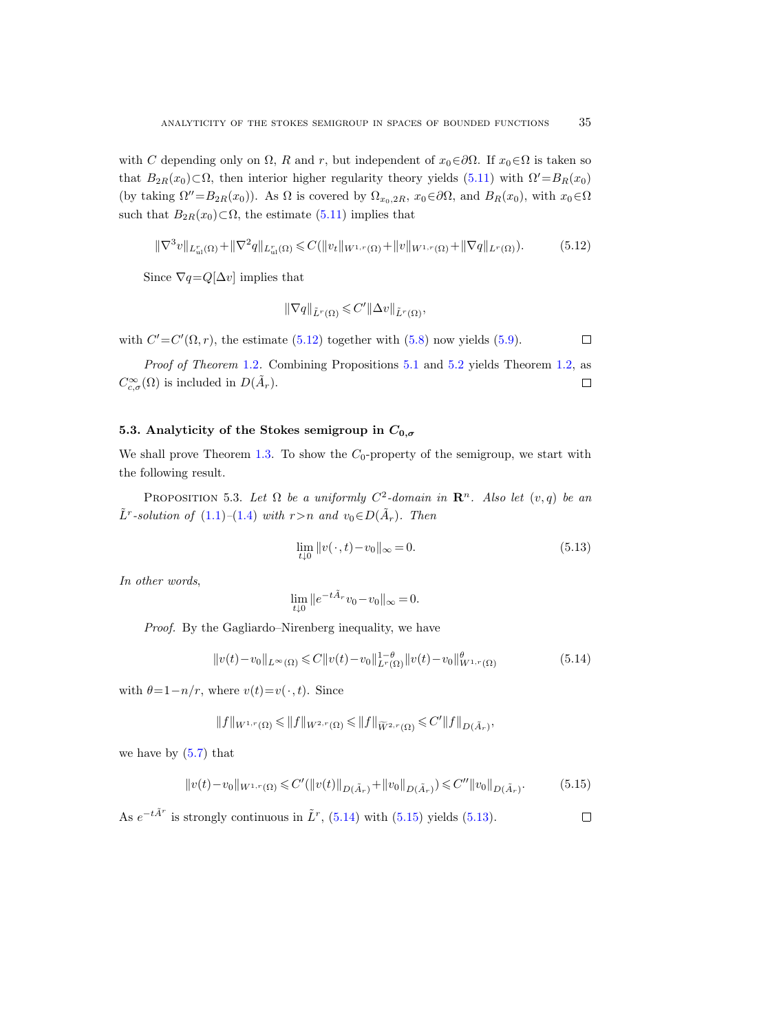with C depending only on  $\Omega$ , R and r, but independent of  $x_0 \in \partial \Omega$ . If  $x_0 \in \Omega$  is taken so that  $B_{2R}(x_0) \subset \Omega$ , then interior higher regularity theory yields [\(5.11\)](#page-33-2) with  $\Omega' = B_R(x_0)$ (by taking  $\Omega''=B_{2R}(x_0)$ ). As  $\Omega$  is covered by  $\Omega_{x_0,2R}$ ,  $x_0\in\partial\Omega$ , and  $B_R(x_0)$ , with  $x_0\in\Omega$ such that  $B_{2R}(x_0) \subset \Omega$ , the estimate [\(5.11\)](#page-33-2) implies that

<span id="page-34-0"></span>
$$
\|\nabla^3 v\|_{L^r_{ul}(\Omega)} + \|\nabla^2 q\|_{L^r_{ul}(\Omega)} \leqslant C(\|v_t\|_{W^{1,r}(\Omega)} + \|v\|_{W^{1,r}(\Omega)} + \|\nabla q\|_{L^r(\Omega)}).
$$
(5.12)

Since  $\nabla q = Q[\Delta v]$  implies that

$$
\|\nabla q\|_{\tilde{L}^r(\Omega)} \leqslant C' \|\Delta v\|_{\tilde{L}^r(\Omega)},
$$

with  $C' = C'(\Omega, r)$ , the estimate [\(5.12\)](#page-34-0) together with [\(5.8\)](#page-33-0) now yields [\(5.9\)](#page-33-3).  $\Box$ 

Proof of Theorem [1.2](#page-1-3). Combining Propositions [5.1](#page-29-5) and [5.2](#page-32-1) yields Theorem [1.2,](#page-1-3) as  $C_{c,\sigma}^{\infty}(\Omega)$  is included in  $D(\tilde{A}_r)$ .  $\Box$ 

# 5.3. Analyticity of the Stokes semigroup in  $C_{0,\sigma}$

We shall prove Theorem [1.3.](#page-1-2) To show the  $C_0$ -property of the semigroup, we start with the following result.

<span id="page-34-4"></span>PROPOSITION 5.3. Let  $\Omega$  be a uniformly  $C^2$ -domain in  $\mathbb{R}^n$ . Also let  $(v, q)$  be an  $\tilde{L}^r$ -solution of  $(1.1)$ - $(1.4)$  with  $r>n$  and  $v_0 \in D(\tilde{A}_r)$ . Then

<span id="page-34-3"></span>
$$
\lim_{t \downarrow 0} ||v(\cdot, t) - v_0||_{\infty} = 0.
$$
\n
$$
(5.13)
$$

In other words,

$$
\lim_{t \downarrow 0} \|e^{-t\tilde{A}_r} v_0 - v_0\|_{\infty} = 0.
$$

Proof. By the Gagliardo–Nirenberg inequality, we have

<span id="page-34-1"></span>
$$
||v(t) - v_0||_{L^{\infty}(\Omega)} \leq C||v(t) - v_0||_{L^r(\Omega)}^{1-\theta} ||v(t) - v_0||_{W^{1,r}(\Omega)}^{\theta}
$$
\n(5.14)

with  $\theta=1-n/r$ , where  $v(t)=v(\cdot, t)$ . Since

$$
||f||_{W^{1,r}(\Omega)} \leq ||f||_{W^{2,r}(\Omega)} \leq ||f||_{\widetilde{W}^{2,r}(\Omega)} \leq C'||f||_{D(\tilde{A}_r)},
$$

we have by  $(5.7)$  that

<span id="page-34-2"></span>
$$
||v(t) - v_0||_{W^{1,r}(\Omega)} \leq C'(||v(t)||_{D(\tilde{A}_r)} + ||v_0||_{D(\tilde{A}_r)}) \leq C''||v_0||_{D(\tilde{A}_r)}.
$$
 (5.15)

As  $e^{-t\tilde{A}^r}$  is strongly continuous in  $\tilde{L}^r$ , [\(5.14\)](#page-34-1) with [\(5.15\)](#page-34-2) yields [\(5.13\)](#page-34-3).  $\Box$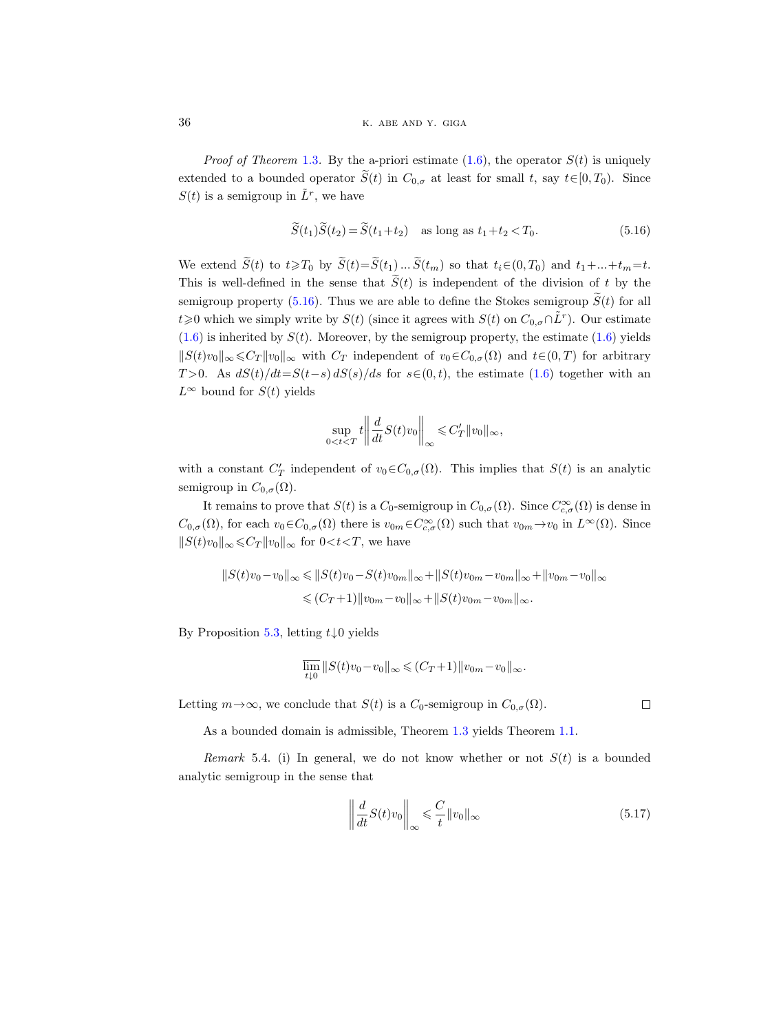*Proof of Theorem* [1.3](#page-1-2). By the a-priori estimate  $(1.6)$ , the operator  $S(t)$  is uniquely extended to a bounded operator  $\tilde{S}(t)$  in  $C_{0,\sigma}$  at least for small t, say  $t\in[0,T_0)$ . Since  $S(t)$  is a semigroup in  $\tilde{L}^r$ , we have

<span id="page-35-1"></span>
$$
\widetilde{S}(t_1)\widetilde{S}(t_2) = \widetilde{S}(t_1 + t_2) \quad \text{as long as } t_1 + t_2 < T_0. \tag{5.16}
$$

We extend  $\widetilde{S}(t)$  to  $t \geq T_0$  by  $\widetilde{S}(t) = \widetilde{S}(t_1) \dots \widetilde{S}(t_m)$  so that  $t_i \in (0, T_0)$  and  $t_1 + ... + t_m = t$ . This is well-defined in the sense that  $\tilde{S}(t)$  is independent of the division of t by the semigroup property [\(5.16\)](#page-35-1). Thus we are able to define the Stokes semigroup  $\widetilde{S}(t)$  for all  $t\geqslant0$  which we simply write by  $S(t)$  (since it agrees with  $S(t)$  on  $C_{0,\sigma} \cap \tilde{L}^r$ ). Our estimate  $(1.6)$  is inherited by  $S(t)$ . Moreover, by the semigroup property, the estimate  $(1.6)$  yields  $||S(t)v_0||_{\infty} \leq C_T ||v_0||_{\infty}$  with  $C_T$  independent of  $v_0 \in C_{0,\sigma}(\Omega)$  and  $t \in (0,T)$  for arbitrary T>0. As  $dS(t)/dt = S(t-s) dS(s)/ds$  for  $s \in (0, t)$ , the estimate [\(1.6\)](#page-1-1) together with an  $L^{\infty}$  bound for  $S(t)$  yields

$$
\sup_{0
$$

with a constant  $C'_T$  independent of  $v_0 \in C_{0,\sigma}(\Omega)$ . This implies that  $S(t)$  is an analytic semigroup in  $C_{0,\sigma}(\Omega)$ .

It remains to prove that  $S(t)$  is a  $C_0$ -semigroup in  $C_{0,\sigma}(\Omega)$ . Since  $C_{c,\sigma}^{\infty}(\Omega)$  is dense in  $C_{0,\sigma}(\Omega)$ , for each  $v_0 \in C_{0,\sigma}(\Omega)$  there is  $v_{0m} \in C_{c,\sigma}^{\infty}(\Omega)$  such that  $v_{0m} \to v_0$  in  $L^{\infty}(\Omega)$ . Since  $||S(t)v_0||_{\infty} \leq C_T ||v_0||_{\infty}$  for  $0 < t < T$ , we have

$$
||S(t)v_0 - v_0||_{\infty} \le ||S(t)v_0 - S(t)v_{0m}||_{\infty} + ||S(t)v_{0m} - v_{0m}||_{\infty} + ||v_{0m} - v_0||_{\infty}
$$
  

$$
\le (C_T + 1) ||v_{0m} - v_0||_{\infty} + ||S(t)v_{0m} - v_{0m}||_{\infty}.
$$

By Proposition [5.3,](#page-34-4) letting  $t\downarrow 0$  yields

$$
\overline{\lim_{t\downarrow 0}}\,\|S(t)v_0-v_0\|_\infty\leqslant (C_T+1)\|v_{0m}-v_0\|_\infty.
$$

Letting  $m \to \infty$ , we conclude that  $S(t)$  is a  $C_0$ -semigroup in  $C_{0,\sigma}(\Omega)$ .

As a bounded domain is admissible, Theorem [1.3](#page-1-2) yields Theorem [1.1.](#page-0-2)

<span id="page-35-0"></span>Remark 5.4. (i) In general, we do not know whether or not  $S(t)$  is a bounded analytic semigroup in the sense that

<span id="page-35-2"></span>
$$
\left\| \frac{d}{dt} S(t) v_0 \right\|_{\infty} \leqslant \frac{C}{t} \| v_0 \|_{\infty}
$$
\n(5.17)

 $\Box$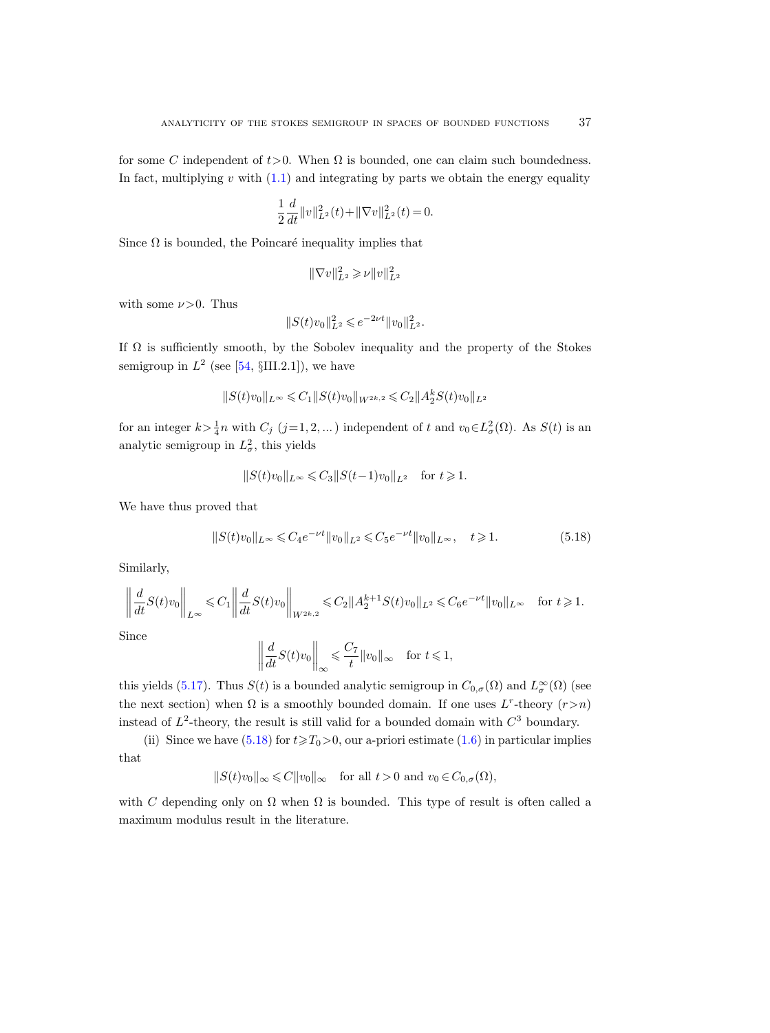for some C independent of  $t > 0$ . When  $\Omega$  is bounded, one can claim such boundedness. In fact, multiplying  $v$  with  $(1.1)$  and integrating by parts we obtain the energy equality

$$
\frac{1}{2}\frac{d}{dt}||v||_{L^2}^2(t) + ||\nabla v||_{L^2}^2(t) = 0.
$$

Since  $\Omega$  is bounded, the Poincaré inequality implies that

$$
\|\nabla v\|_{L^2}^2 \geqslant \nu \|v\|_{L^2}^2
$$

with some  $\nu > 0$ . Thus

$$
||S(t)v_0||_{L^2}^2 \leqslant e^{-2\nu t} ||v_0||_{L^2}^2.
$$

If  $\Omega$  is sufficiently smooth, by the Sobolev inequality and the property of the Stokes semigroup in  $L^2$  (see [\[54,](#page-44-16) §III.2.1]), we have

$$
||S(t)v_0||_{L^{\infty}} \leq C_1 ||S(t)v_0||_{W^{2k,2}} \leq C_2 ||A_2^k S(t)v_0||_{L^2}
$$

for an integer  $k > \frac{1}{4}n$  with  $C_j$   $(j=1,2,...)$  independent of t and  $v_0 \in L^2_{\sigma}(\Omega)$ . As  $S(t)$  is an analytic semigroup in  $L^2_{\sigma}$ , this yields

$$
||S(t)v_0||_{L^{\infty}} \leq C_3 ||S(t-1)v_0||_{L^2} \text{ for } t \geq 1.
$$

We have thus proved that

<span id="page-36-0"></span>
$$
||S(t)v_0||_{L^{\infty}} \leq C_4 e^{-\nu t} ||v_0||_{L^2} \leq C_5 e^{-\nu t} ||v_0||_{L^{\infty}}, \quad t \geq 1.
$$
 (5.18)

Similarly,

$$
\left\| \frac{d}{dt} S(t) v_0 \right\|_{L^{\infty}} \leq C_1 \left\| \frac{d}{dt} S(t) v_0 \right\|_{W^{2k,2}} \leq C_2 \| A_2^{k+1} S(t) v_0 \|_{L^2} \leq C_6 e^{-\nu t} \| v_0 \|_{L^{\infty}} \quad \text{for } t \geq 1.
$$

Since

$$
\left\| \frac{d}{dt} S(t) v_0 \right\|_{\infty} \leqslant \frac{C_7}{t} \| v_0 \|_{\infty} \quad \text{for } t \leqslant 1,
$$

this yields [\(5.17\)](#page-35-2). Thus  $S(t)$  is a bounded analytic semigroup in  $C_{0,\sigma}(\Omega)$  and  $L^{\infty}_{\sigma}(\Omega)$  (see the next section) when  $\Omega$  is a smoothly bounded domain. If one uses L<sup>r</sup>-theory  $(r > n)$ instead of  $L^2$ -theory, the result is still valid for a bounded domain with  $C^3$  boundary.

(ii) Since we have  $(5.18)$  for  $t \ge T_0 > 0$ , our a-priori estimate  $(1.6)$  in particular implies that

$$
||S(t)v_0||_{\infty} \leq C||v_0||_{\infty} \quad \text{for all } t > 0 \text{ and } v_0 \in C_{0,\sigma}(\Omega),
$$

with C depending only on  $\Omega$  when  $\Omega$  is bounded. This type of result is often called a maximum modulus result in the literature.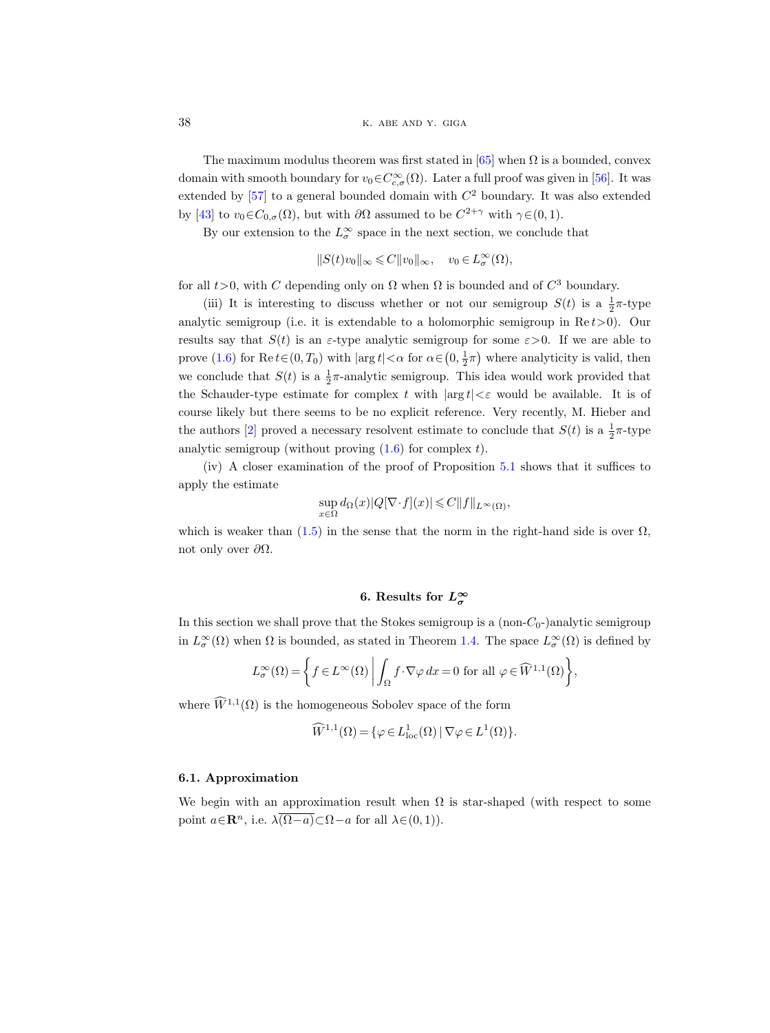38 K. ABE AND Y. GIGA

The maximum modulus theorem was first stated in  $[65]$  when  $\Omega$  is a bounded, convex domain with smooth boundary for  $v_0 \in C^{\infty}_{c,\sigma}(\Omega)$ . Later a full proof was given in [\[56\]](#page-44-10). It was extended by  $[57]$  to a general bounded domain with  $C<sup>2</sup>$  boundary. It was also extended by [\[43\]](#page-43-1) to  $v_0 \in C_{0,\sigma}(\Omega)$ , but with  $\partial\Omega$  assumed to be  $C^{2+\gamma}$  with  $\gamma \in (0,1)$ .

By our extension to the  $L^{\infty}_{\sigma}$  space in the next section, we conclude that

$$
||S(t)v_0||_{\infty} \leqslant C||v_0||_{\infty}, \quad v_0 \in L^{\infty}_{\sigma}(\Omega),
$$

for all  $t > 0$ , with C depending only on  $\Omega$  when  $\Omega$  is bounded and of  $C^3$  boundary.

(iii) It is interesting to discuss whether or not our semigroup  $S(t)$  is a  $\frac{1}{2}\pi$ -type analytic semigroup (i.e. it is extendable to a holomorphic semigroup in  $\text{Re } t > 0$ ). Our results say that  $S(t)$  is an  $\varepsilon$ -type analytic semigroup for some  $\varepsilon > 0$ . If we are able to prove [\(1.6\)](#page-1-1) for  $\text{Re } t \in (0, T_0)$  with  $|\arg t| < \alpha$  for  $\alpha \in (0, \frac{1}{2}\pi)$  where analyticity is valid, then we conclude that  $S(t)$  is a  $\frac{1}{2}\pi$ -analytic semigroup. This idea would work provided that the Schauder-type estimate for complex t with  $|\arg t| < \varepsilon$  would be available. It is of course likely but there seems to be no explicit reference. Very recently, M. Hieber and the authors [\[2\]](#page-42-8) proved a necessary resolvent estimate to conclude that  $S(t)$  is a  $\frac{1}{2}\pi$ -type analytic semigroup (without proving  $(1.6)$  for complex t).

(iv) A closer examination of the proof of Proposition [5.1](#page-29-5) shows that it suffices to apply the estimate

$$
\sup_{x\in\Omega} d_{\Omega}(x)|Q[\nabla\!\cdot\! f](x)|\leqslant C\|f\|_{L^\infty(\Omega)},
$$

which is weaker than [\(1.5\)](#page-1-0) in the sense that the norm in the right-hand side is over  $\Omega$ , not only over  $\partial Ω$ .

# 6. Results for  $L^{\infty}_{\sigma}$

<span id="page-37-0"></span>In this section we shall prove that the Stokes semigroup is a  $(non-C<sub>0</sub>-)$ analytic semigroup in  $L^{\infty}_{\sigma}(\Omega)$  when  $\Omega$  is bounded, as stated in Theorem [1.4.](#page-2-0) The space  $L^{\infty}_{\sigma}(\Omega)$  is defined by

$$
L^{\infty}_{\sigma}(\Omega) = \left\{ f \in L^{\infty}(\Omega) \mid \int_{\Omega} f \cdot \nabla \varphi \, dx = 0 \text{ for all } \varphi \in \widehat{W}^{1,1}(\Omega) \right\},\
$$

where  $\widetilde{W}^{1,1}(\Omega)$  is the homogeneous Sobolev space of the form

$$
\widehat{W}^{1,1}(\Omega) = \{ \varphi \in L^1_{\text{loc}}(\Omega) \mid \nabla \varphi \in L^1(\Omega) \}.
$$

## 6.1. Approximation

<span id="page-37-1"></span>We begin with an approximation result when  $\Omega$  is star-shaped (with respect to some point  $a \in \mathbb{R}^n$ , i.e.  $\lambda(\Omega - a) \subset \Omega - a$  for all  $\lambda \in (0, 1)$ ).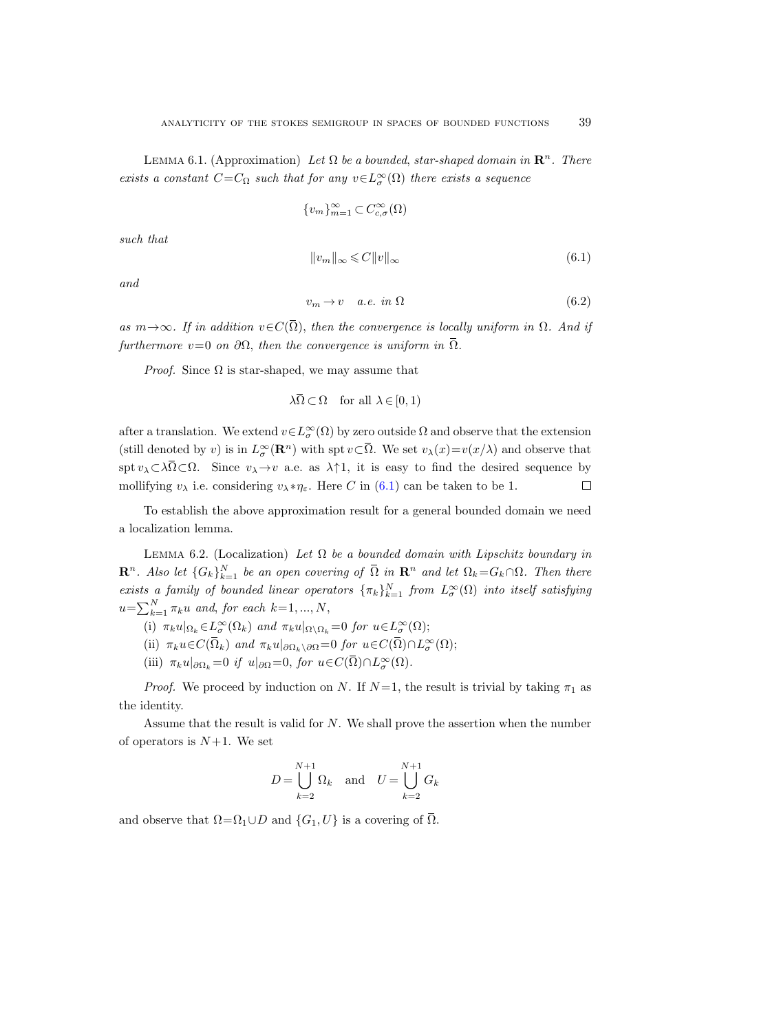LEMMA 6.1. (Approximation) Let  $\Omega$  be a bounded, star-shaped domain in  $\mathbb{R}^n$ . There exists a constant  $C=C_{\Omega}$  such that for any  $v \in L^{\infty}_{\sigma}(\Omega)$  there exists a sequence

$$
\{v_m\}_{m=1}^\infty\!\subset\!C_{c,\sigma}^\infty(\Omega)
$$

such that

<span id="page-38-0"></span>
$$
||v_m||_{\infty} \leqslant C||v||_{\infty} \tag{6.1}
$$

and

<span id="page-38-2"></span>
$$
v_m \to v \quad a.e. \in \Omega \tag{6.2}
$$

as  $m \rightarrow \infty$ . If in addition  $v \in C(\overline{\Omega})$ , then the convergence is locally uniform in  $\Omega$ . And if furthermore  $v=0$  on  $\partial\Omega$ , then the convergence is uniform in  $\Omega$ .

*Proof.* Since  $\Omega$  is star-shaped, we may assume that

 $\lambda \overline{\Omega} \subset \Omega$  for all  $\lambda \in [0, 1)$ 

after a translation. We extend  $v \in L^{\infty}_{\sigma}(\Omega)$  by zero outside  $\Omega$  and observe that the extension (still denoted by v) is in  $L^{\infty}_{\sigma}(\mathbf{R}^n)$  with spt  $v \subset \overline{\Omega}$ . We set  $v_{\lambda}(x)=v(x/\lambda)$  and observe that spt  $v_\lambda \subset \lambda \overline{\Omega} \subset \Omega$ . Since  $v_\lambda \to v$  a.e. as  $\lambda \uparrow 1$ , it is easy to find the desired sequence by mollifying  $v_{\lambda}$  i.e. considering  $v_{\lambda} * \eta_{\varepsilon}$ . Here C in [\(6.1\)](#page-38-0) can be taken to be 1.  $\Box$ 

To establish the above approximation result for a general bounded domain we need a localization lemma.

<span id="page-38-1"></span>LEMMA 6.2. (Localization) Let  $\Omega$  be a bounded domain with Lipschitz boundary in  $\mathbf{R}^n$ . Also let  $\{G_k\}_{k=1}^N$  be an open covering of  $\overline{\Omega}$  in  $\mathbf{R}^n$  and let  $\Omega_k = G_k \cap \Omega$ . Then there exists a family of bounded linear operators  $\{\pi_k\}_{k=1}^N$  from  $L^\infty_\sigma(\Omega)$  into itself satisfying  $u=\sum_{k=1}^N \pi_k u$  and, for each  $k=1, ..., N$ ,

- (i)  $\pi_k u|_{\Omega_k} \in L^{\infty}_{\sigma}(\Omega_k)$  and  $\pi_k u|_{\Omega \setminus \Omega_k} = 0$  for  $u \in L^{\infty}_{\sigma}(\Omega)$ ;
- (ii)  $\pi_k u \in C(\overline{\Omega}_k)$  and  $\pi_k u|_{\partial \Omega_k \setminus \partial \Omega} = 0$  for  $u \in C(\overline{\Omega}) \cap L^\infty_\sigma(\Omega);$
- (iii)  $\pi_k u|_{\partial \Omega_k} = 0$  if  $u|_{\partial \Omega} = 0$ , for  $u \in C(\overline{\Omega}) \cap L^\infty_\sigma(\Omega)$ .

*Proof.* We proceed by induction on N. If  $N=1$ , the result is trivial by taking  $\pi_1$  as the identity.

Assume that the result is valid for N. We shall prove the assertion when the number of operators is  $N+1$ . We set

$$
D = \bigcup_{k=2}^{N+1} \Omega_k \quad \text{and} \quad U = \bigcup_{k=2}^{N+1} G_k
$$

and observe that  $\Omega = \Omega_1 \cup D$  and  $\{G_1, U\}$  is a covering of  $\overline{\Omega}$ .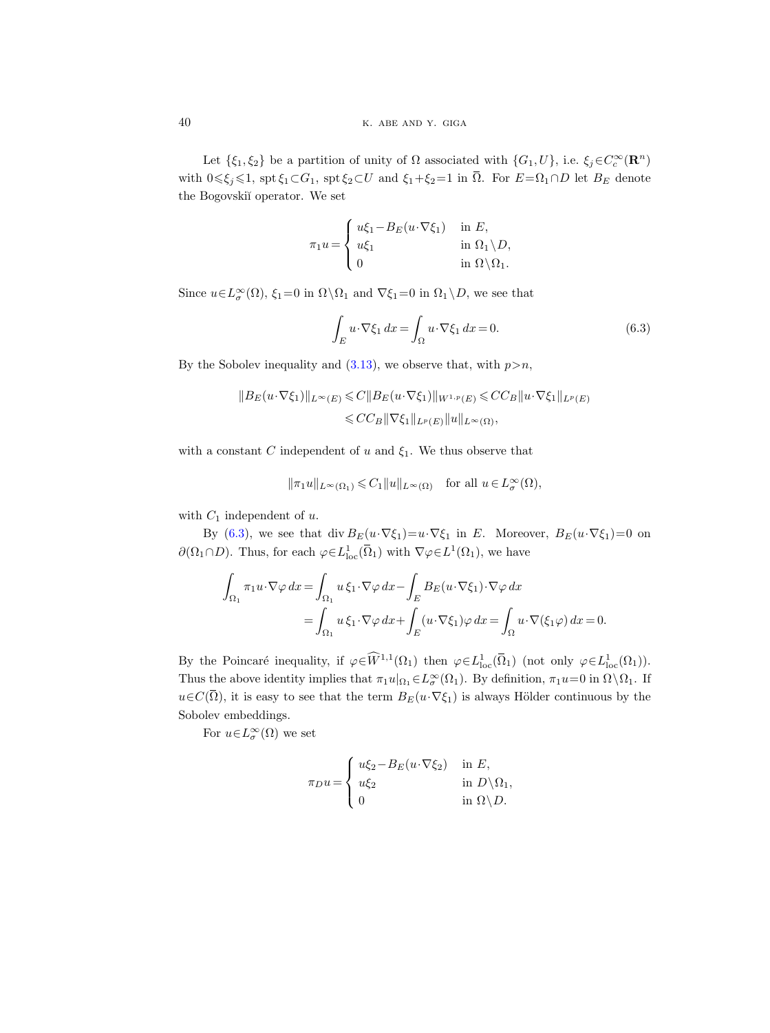Let  $\{\xi_1,\xi_2\}$  be a partition of unity of  $\Omega$  associated with  $\{G_1, U\}$ , i.e.  $\xi_j \in C_c^{\infty}(\mathbf{R}^n)$ with  $0 \le \xi_j \le 1$ , spt  $\xi_1 \subset G_1$ , spt  $\xi_2 \subset U$  and  $\xi_1 + \xi_2 = 1$  in  $\overline{\Omega}$ . For  $E = \Omega_1 \cap D$  let  $B_E$  denote the Bogovskiï operator. We set

$$
\pi_1 u = \begin{cases}\n u\xi_1 - B_E(u \cdot \nabla \xi_1) & \text{in } E, \\
 u\xi_1 & \text{in } \Omega_1 \setminus D, \\
 0 & \text{in } \Omega \setminus \Omega_1.\n\end{cases}
$$

Since  $u \in L^{\infty}_{\sigma}(\Omega)$ ,  $\xi_1 = 0$  in  $\Omega \setminus \Omega_1$  and  $\nabla \xi_1 = 0$  in  $\Omega_1 \setminus D$ , we see that

<span id="page-39-0"></span>
$$
\int_{E} u \cdot \nabla \xi_1 \, dx = \int_{\Omega} u \cdot \nabla \xi_1 \, dx = 0. \tag{6.3}
$$

By the Sobolev inequality and  $(3.13)$ , we observe that, with  $p>n$ ,

$$
||B_E(u \cdot \nabla \xi_1)||_{L^{\infty}(E)} \leq C||B_E(u \cdot \nabla \xi_1)||_{W^{1,p}(E)} \leq C C_B ||u \cdot \nabla \xi_1||_{L^p(E)}
$$
  

$$
\leq C C_B ||\nabla \xi_1||_{L^p(E)} ||u||_{L^{\infty}(\Omega)},
$$

with a constant C independent of u and  $\xi_1$ . We thus observe that

$$
\|\pi_1 u\|_{L^{\infty}(\Omega_1)} \leqslant C_1 \|u\|_{L^{\infty}(\Omega)} \quad \text{for all } u \in L^{\infty}_{\sigma}(\Omega),
$$

with  $C_1$  independent of u.

By [\(6.3\)](#page-39-0), we see that div  $B_E(u \cdot \nabla \xi_1) = u \cdot \nabla \xi_1$  in E. Moreover,  $B_E(u \cdot \nabla \xi_1) = 0$  on  $\partial(\Omega_1 \cap D)$ . Thus, for each  $\varphi \in L^1_{loc}(\overline{\Omega}_1)$  with  $\nabla \varphi \in L^1(\Omega_1)$ , we have

$$
\int_{\Omega_1} \pi_1 u \cdot \nabla \varphi \, dx = \int_{\Omega_1} u \, \xi_1 \cdot \nabla \varphi \, dx - \int_E B_E(u \cdot \nabla \xi_1) \cdot \nabla \varphi \, dx
$$
\n
$$
= \int_{\Omega_1} u \, \xi_1 \cdot \nabla \varphi \, dx + \int_E (u \cdot \nabla \xi_1) \varphi \, dx = \int_{\Omega} u \cdot \nabla (\xi_1 \varphi) \, dx = 0.
$$

By the Poincaré inequality, if  $\varphi \in \widehat{W}^{1,1}(\Omega_1)$  then  $\varphi \in L^1_{loc}(\overline{\Omega}_1)$  (not only  $\varphi \in L^1_{loc}(\Omega_1)$ ). Thus the above identity implies that  $\pi_1 u|_{\Omega_1} \in L^\infty_\sigma(\Omega_1)$ . By definition,  $\pi_1 u = 0$  in  $\Omega \setminus \Omega_1$ . If  $u\in C(\overline{\Omega})$ , it is easy to see that the term  $B_E(u\cdot \nabla \xi_1)$  is always Hölder continuous by the Sobolev embeddings.

For  $u \in L^{\infty}_{\sigma}(\Omega)$  we set

$$
\pi_D u = \begin{cases} u\xi_2 - B_E(u \cdot \nabla \xi_2) & \text{in } E, \\ u\xi_2 & \text{in } D \setminus \Omega_1, \\ 0 & \text{in } \Omega \setminus D. \end{cases}
$$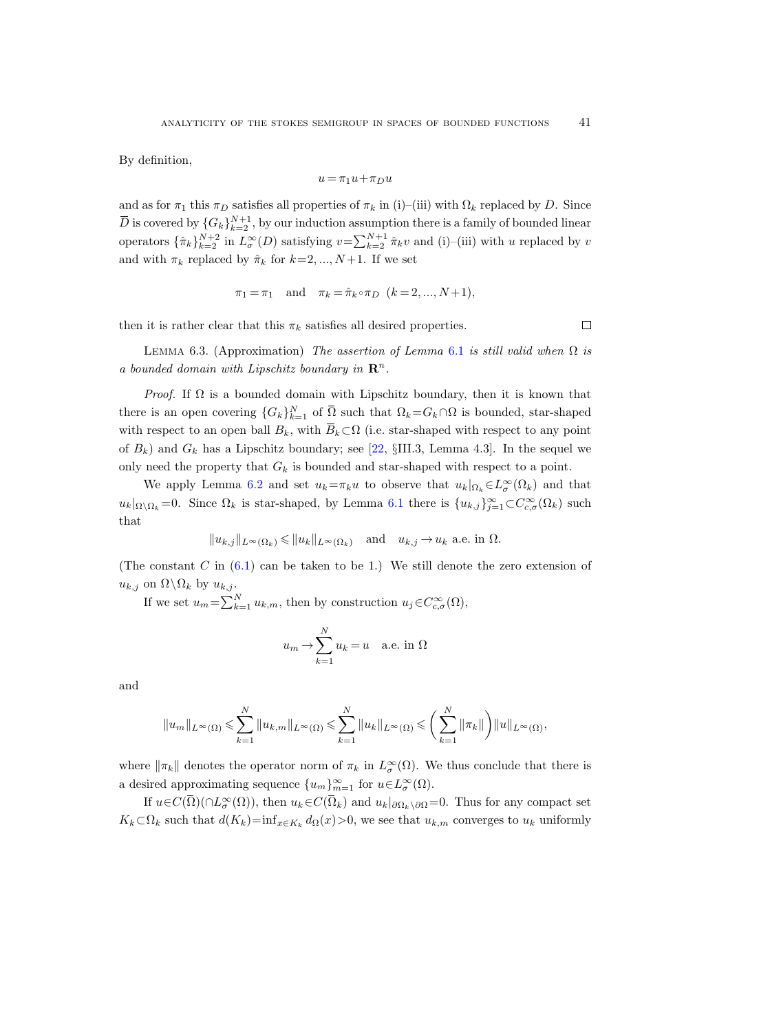By definition,

$$
u\,{=}\,\pi_1 u\,{+}\,\pi_D u
$$

and as for  $\pi_1$  this  $\pi_D$  satisfies all properties of  $\pi_k$  in (i)–(iii) with  $\Omega_k$  replaced by D. Since  $\overline{D}$  is covered by  $\{G_k\}_{k=2}^{N+1}$ , by our induction assumption there is a family of bounded linear operators  $\{\hat{\pi}_k\}_{k=2}^{N+2}$  in  $L^{\infty}_{\sigma}(D)$  satisfying  $v = \sum_{k=2}^{N+1} \hat{\pi}_k v$  and (i)–(iii) with u replaced by v and with  $\pi_k$  replaced by  $\hat{\pi}_k$  for  $k=2, ..., N+1$ . If we set

$$
\pi_1 = \pi_1
$$
 and  $\pi_k = \hat{\pi}_k \circ \pi_D$   $(k = 2, ..., N+1),$ 

then it is rather clear that this  $\pi_k$  satisfies all desired properties.

<span id="page-40-0"></span>LEMMA 6.3. (Approximation) The assertion of Lemma [6.1](#page-37-1) is still valid when  $\Omega$  is a bounded domain with Lipschitz boundary in  $\mathbb{R}^n$ .

*Proof.* If  $\Omega$  is a bounded domain with Lipschitz boundary, then it is known that there is an open covering  ${G_k}_{k=1}^N$  of  $\overline{\Omega}$  such that  $\Omega_k = G_k \cap \Omega$  is bounded, star-shaped with respect to an open ball  $B_k$ , with  $\overline{B}_k \subset \Omega$  (i.e. star-shaped with respect to any point of  $B_k$ ) and  $G_k$  has a Lipschitz boundary; see [\[22,](#page-42-19) §III.3, Lemma 4.3]. In the sequel we only need the property that  $G_k$  is bounded and star-shaped with respect to a point.

We apply Lemma [6.2](#page-38-1) and set  $u_k = \pi_k u$  to observe that  $u_k|_{\Omega_k} \in L^{\infty}_{\sigma}(\Omega_k)$  and that  $u_k|_{\Omega\setminus\Omega_k}=0$ . Since  $\Omega_k$  is star-shaped, by Lemma [6.1](#page-37-1) there is  $\{u_{k,j}\}_{j=1}^{\infty} \subset C^{\infty}_{c,\sigma}(\Omega_k)$  such that

$$
\|u_{k,j}\|_{L^\infty(\Omega_k)}\leqslant \|u_k\|_{L^\infty(\Omega_k)}\quad \text{and}\quad u_{k,j}\to u_k \text{ a.e. in }\Omega.
$$

(The constant  $C$  in  $(6.1)$  can be taken to be 1.) We still denote the zero extension of  $u_{k,j}$  on  $\Omega \backslash \Omega_k$  by  $u_{k,j}$ .

If we set  $u_m = \sum_{k=1}^{N} u_{k,m}$ , then by construction  $u_j \in C_{c,\sigma}^{\infty}(\Omega)$ ,

$$
u_m \to \sum_{k=1}^N u_k = u
$$
 a.e. in  $\Omega$ 

and

$$
||u_m||_{L^{\infty}(\Omega)} \leqslant \sum_{k=1}^N ||u_{k,m}||_{L^{\infty}(\Omega)} \leqslant \sum_{k=1}^N ||u_k||_{L^{\infty}(\Omega)} \leqslant \bigg(\sum_{k=1}^N ||\pi_k||\bigg) ||u||_{L^{\infty}(\Omega)},
$$

where  $\|\pi_k\|$  denotes the operator norm of  $\pi_k$  in  $L^\infty_\sigma(\Omega)$ . We thus conclude that there is a desired approximating sequence  ${u_m}_{m=1}^{\infty}$  for  $u \in L^{\infty}_{\sigma}(\Omega)$ .

If  $u \in C(\overline{\Omega})(\cap L^{\infty}_{\sigma}(\Omega))$ , then  $u_k \in C(\overline{\Omega}_k)$  and  $u_k|_{\partial \Omega_k\setminus\partial\Omega} = 0$ . Thus for any compact set  $K_k\subset\Omega_k$  such that  $d(K_k)=\inf_{x\in K_k}d_{\Omega}(x)>0$ , we see that  $u_{k,m}$  converges to  $u_k$  uniformly

 $\Box$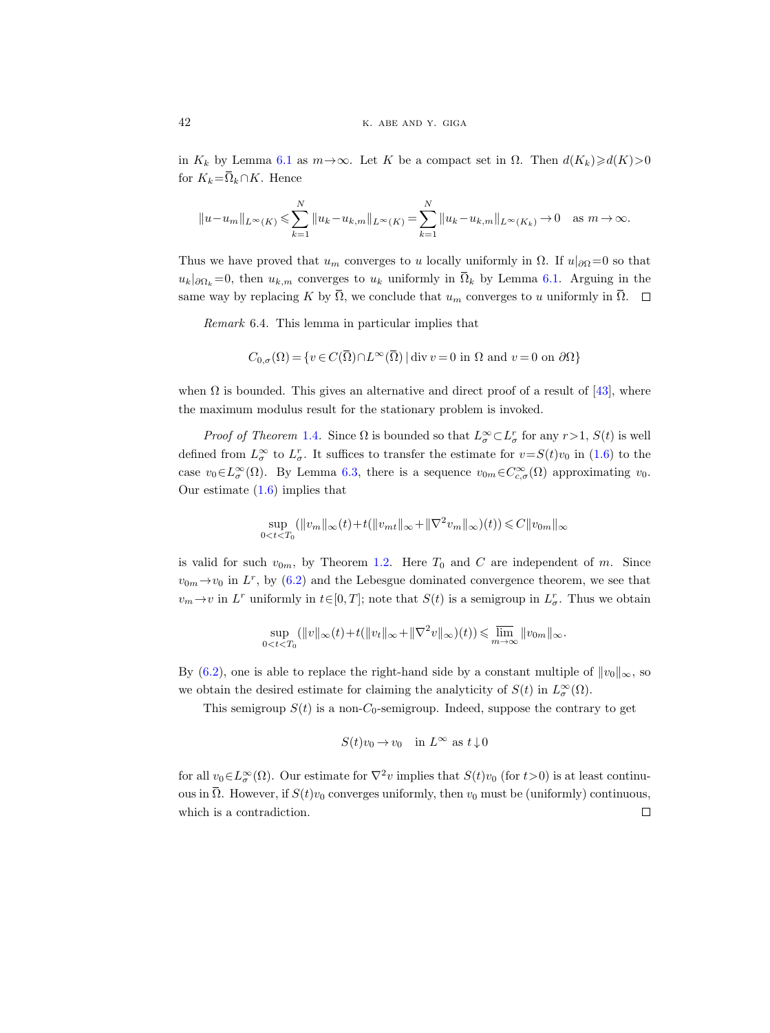in  $K_k$  by Lemma [6.1](#page-37-1) as  $m \rightarrow \infty$ . Let K be a compact set in  $\Omega$ . Then  $d(K_k) \geq d(K)>0$ for  $K_k = \overline{\Omega}_k \cap K$ . Hence

$$
||u - u_m||_{L^{\infty}(K)} \leq \sum_{k=1}^{N} ||u_k - u_{k,m}||_{L^{\infty}(K)} = \sum_{k=1}^{N} ||u_k - u_{k,m}||_{L^{\infty}(K_k)} \to 0 \quad \text{as } m \to \infty.
$$

Thus we have proved that  $u_m$  converges to u locally uniformly in  $\Omega$ . If  $u|_{\partial\Omega} = 0$  so that  $u_k|_{\partial\Omega_k} = 0$ , then  $u_{k,m}$  converges to  $u_k$  uniformly in  $\overline{\Omega}_k$  by Lemma [6.1.](#page-37-1) Arguing in the same way by replacing K by  $\overline{\Omega}$ , we conclude that  $u_m$  converges to u uniformly in  $\overline{\Omega}$ .  $\square$ 

Remark 6.4. This lemma in particular implies that

$$
C_{0,\sigma}(\Omega) = \{ v \in C(\overline{\Omega}) \cap L^{\infty}(\overline{\Omega}) \mid \text{div } v = 0 \text{ in } \Omega \text{ and } v = 0 \text{ on } \partial\Omega \}
$$

when  $\Omega$  is bounded. This gives an alternative and direct proof of a result of [\[43\]](#page-43-1), where the maximum modulus result for the stationary problem is invoked.

*Proof of Theorem* [1.4](#page-2-0). Since  $\Omega$  is bounded so that  $L^{\infty}_{\sigma} \subset L^{r}_{\sigma}$  for any  $r > 1$ ,  $S(t)$  is well defined from  $L^{\infty}_{\sigma}$  to  $L^{r}_{\sigma}$ . It suffices to transfer the estimate for  $v = S(t)v_0$  in [\(1.6\)](#page-1-1) to the case  $v_0 \in L^{\infty}_{\sigma}(\Omega)$ . By Lemma [6.3,](#page-40-0) there is a sequence  $v_{0m} \in C^{\infty}_{c,\sigma}(\Omega)$  approximating  $v_0$ . Our estimate [\(1.6\)](#page-1-1) implies that

$$
\sup_{0
$$

is valid for such  $v_{0m}$ , by Theorem [1.2.](#page-1-3) Here  $T_0$  and C are independent of m. Since  $v_{0m} \rightarrow v_0$  in  $L^r$ , by [\(6.2\)](#page-38-2) and the Lebesgue dominated convergence theorem, we see that  $v_m \to v$  in  $L^r$  uniformly in  $t \in [0, T]$ ; note that  $S(t)$  is a semigroup in  $L^r_\sigma$ . Thus we obtain

$$
\sup_{0
$$

By [\(6.2\)](#page-38-2), one is able to replace the right-hand side by a constant multiple of  $||v_0||_{\infty}$ , so we obtain the desired estimate for claiming the analyticity of  $S(t)$  in  $L^{\infty}_{\sigma}(\Omega)$ .

This semigroup  $S(t)$  is a non- $C_0$ -semigroup. Indeed, suppose the contrary to get

$$
S(t)v_0 \to v_0 \quad \text{in } L^{\infty} \text{ as } t \downarrow 0
$$

for all  $v_0 \in L^{\infty}_{\sigma}(\Omega)$ . Our estimate for  $\nabla^2 v$  implies that  $S(t)v_0$  (for  $t>0$ ) is at least continuous in  $\overline{\Omega}$ . However, if  $S(t)v_0$  converges uniformly, then  $v_0$  must be (uniformly) continuous, which is a contradiction. $\Box$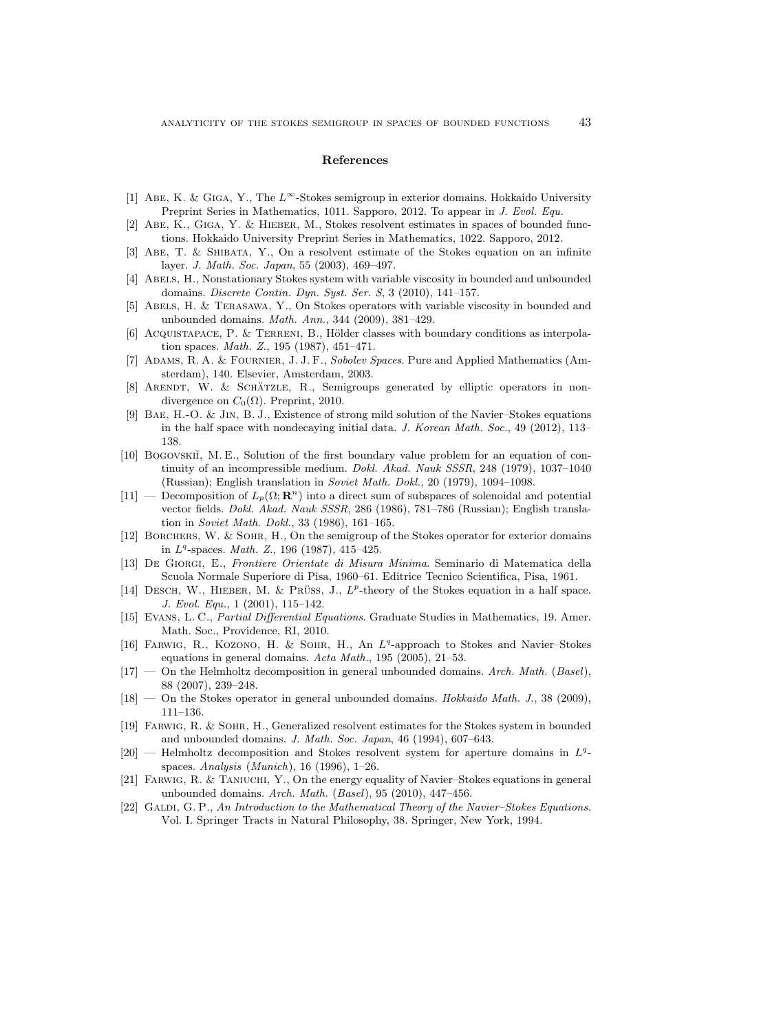#### References

- <span id="page-42-15"></span>[1] ABE, K. & GIGA, Y., The  $L^{\infty}$ -Stokes semigroup in exterior domains. Hokkaido University Preprint Series in Mathematics, 1011. Sapporo, 2012. To appear in J. Evol. Equ.
- <span id="page-42-8"></span>[2] Abe, K., Giga, Y. & Hieber, M., Stokes resolvent estimates in spaces of bounded functions. Hokkaido University Preprint Series in Mathematics, 1022. Sapporo, 2012.
- <span id="page-42-11"></span>[3] Abe, T. & Shibata, Y., On a resolvent estimate of the Stokes equation on an infinite layer. J. Math. Soc. Japan, 55 (2003), 469–497.
- <span id="page-42-13"></span>[4] ABELS, H., Nonstationary Stokes system with variable viscosity in bounded and unbounded domains. Discrete Contin. Dyn. Syst. Ser. S, 3 (2010), 141–157.
- <span id="page-42-14"></span>[5] Abels, H. & Terasawa, Y., On Stokes operators with variable viscosity in bounded and unbounded domains. Math. Ann., 344 (2009), 381–429.
- <span id="page-42-6"></span>[6] ACQUISTAPACE, P. & TERRENI, B., Hölder classes with boundary conditions as interpolation spaces. Math. Z., 195 (1987), 451–471.
- <span id="page-42-18"></span>[7] Adams, R. A. & Fournier, J. J. F., Sobolev Spaces. Pure and Applied Mathematics (Amsterdam), 140. Elsevier, Amsterdam, 2003.
- <span id="page-42-7"></span> $[8]$  ARENDT, W. & SCHÄTZLE, R., Semigroups generated by elliptic operators in nondivergence on  $C_0(\Omega)$ . Preprint, 2010.
- <span id="page-42-16"></span>[9] Bae, H.-O. & Jin, B. J., Existence of strong mild solution of the Navier–Stokes equations in the half space with nondecaying initial data. J. Korean Math. Soc., 49 (2012), 113– 138.
- <span id="page-42-21"></span>[10] BOGOVSKII, M. E., Solution of the first boundary value problem for an equation of continuity of an incompressible medium. Dokl. Akad. Nauk SSSR, 248 (1979), 1037–1040 (Russian); English translation in Soviet Math. Dokl., 20 (1979), 1094–1098.
- <span id="page-42-5"></span>[11] — Decomposition of  $L_p(\Omega; \mathbf{R}^n)$  into a direct sum of subspaces of solenoidal and potential vector fields. Dokl. Akad. Nauk SSSR, 286 (1986), 781–786 (Russian); English translation in Soviet Math. Dokl., 33 (1986), 161–165.
- <span id="page-42-9"></span>[12] Borchers, W. & Sohr, H., On the semigroup of the Stokes operator for exterior domains in  $L^q$ -spaces. *Math. Z.*, 196 (1987), 415-425.
- <span id="page-42-17"></span>[13] De Giorgi, E., Frontiere Orientate di Misura Minima. Seminario di Matematica della Scuola Normale Superiore di Pisa, 1960–61. Editrice Tecnico Scientifica, Pisa, 1961.
- <span id="page-42-0"></span>[14] DESCH, W., HIEBER, M. & PRÜSS, J.,  $L^p$ -theory of the Stokes equation in a half space. J. Evol. Equ., 1 (2001), 115–142.
- <span id="page-42-20"></span>[15] EVANS, L. C., Partial Differential Equations. Graduate Studies in Mathematics, 19. Amer. Math. Soc., Providence, RI, 2010.
- <span id="page-42-1"></span>[16] FARWIG, R., KOZONO, H. & SOHR, H., An  $L^q$ -approach to Stokes and Navier-Stokes equations in general domains. Acta Math., 195 (2005), 21–53.
- <span id="page-42-2"></span> $[17]$  — On the Helmholtz decomposition in general unbounded domains. Arch. Math. (Basel), 88 (2007), 239–248.
- <span id="page-42-3"></span> $[18]$  — On the Stokes operator in general unbounded domains. *Hokkaido Math. J.*, 38 (2009), 111–136.
- <span id="page-42-12"></span>[19] Farwig, R. & Sohr, H., Generalized resolvent estimates for the Stokes system in bounded and unbounded domains. J. Math. Soc. Japan, 46 (1994), 607–643.
- <span id="page-42-10"></span> $[20]$  — Helmholtz decomposition and Stokes resolvent system for aperture domains in  $L<sup>q</sup>$ . spaces. Analysis (Munich), 16 (1996), 1–26.
- <span id="page-42-4"></span>[21] FARWIG, R. & TANIUCHI, Y., On the energy equality of Navier–Stokes equations in general unbounded domains. Arch. Math.  $(Basel)$ , 95 (2010), 447-456.
- <span id="page-42-19"></span>[22] GALDI, G. P., An Introduction to the Mathematical Theory of the Navier–Stokes Equations. Vol. I. Springer Tracts in Natural Philosophy, 38. Springer, New York, 1994.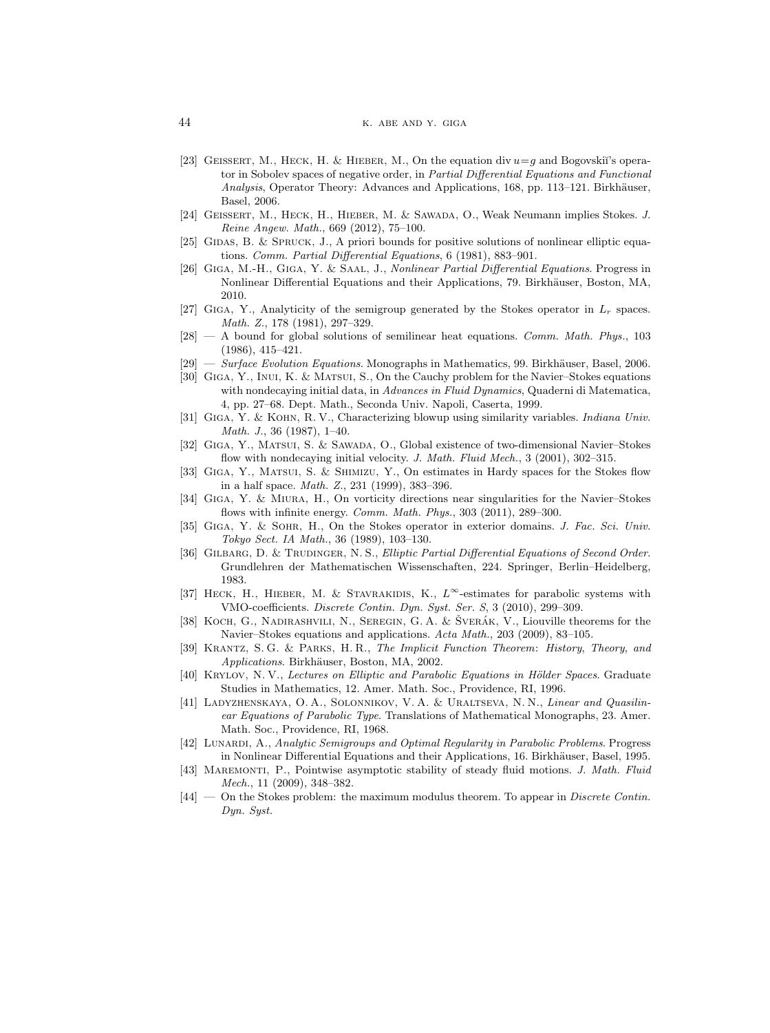- <span id="page-43-20"></span>[23] GEISSERT, M., HECK, H. & HIEBER, M., On the equation div  $u = g$  and Bogovskii's operator in Sobolev spaces of negative order, in Partial Differential Equations and Functional Analysis, Operator Theory: Advances and Applications, 168, pp. 113-121. Birkhäuser, Basel, 2006.
- <span id="page-43-2"></span>[24] Geissert, M., Heck, H., Hieber, M. & Sawada, O., Weak Neumann implies Stokes. J. Reine Angew. Math., 669 (2012), 75–100.
- <span id="page-43-11"></span>[25] GIDAS, B. & SPRUCK, J., A priori bounds for positive solutions of nonlinear elliptic equations. Comm. Partial Differential Equations, 6 (1981), 883–901.
- <span id="page-43-9"></span>[26] Giga, M.-H., Giga, Y. & Saal, J., Nonlinear Partial Differential Equations. Progress in Nonlinear Differential Equations and their Applications, 79. Birkhäuser, Boston, MA, 2010.
- <span id="page-43-0"></span>[27] GIGA, Y., Analyticity of the semigroup generated by the Stokes operator in  $L_r$  spaces. Math. Z., 178 (1981), 297–329.
- <span id="page-43-12"></span> $[28]$  — A bound for global solutions of semilinear heat equations. Comm. Math. Phys., 103 (1986), 415–421.
- <span id="page-43-16"></span> $[29]$  — Surface Evolution Equations. Monographs in Mathematics, 99. Birkhäuser, Basel, 2006.
- <span id="page-43-7"></span>[30] Giga, Y., Inui, K. & Matsui, S., On the Cauchy problem for the Navier–Stokes equations with nondecaying initial data, in *Advances in Fluid Dynamics*, Quaderni di Matematica, 4, pp. 27–68. Dept. Math., Seconda Univ. Napoli, Caserta, 1999.
- <span id="page-43-13"></span>[31] GIGA, Y. & KOHN, R. V., Characterizing blowup using similarity variables. Indiana Univ. Math. J., 36 (1987), 1–40.
- <span id="page-43-8"></span>[32] Giga, Y., Matsui, S. & Sawada, O., Global existence of two-dimensional Navier–Stokes flow with nondecaying initial velocity. J. Math. Fluid Mech., 3 (2001), 302-315.
- <span id="page-43-21"></span>[33] Giga, Y., Matsui, S. & Shimizu, Y., On estimates in Hardy spaces for the Stokes flow in a half space. Math. Z., 231 (1999), 383–396.
- <span id="page-43-15"></span>[34] Giga, Y. & Miura, H., On vorticity directions near singularities for the Navier–Stokes flows with infinite energy. Comm. Math. Phys., 303 (2011), 289-300.
- <span id="page-43-5"></span>[35] Giga, Y. & Sohr, H., On the Stokes operator in exterior domains. J. Fac. Sci. Univ. Tokyo Sect. IA Math., 36 (1989), 103–130.
- <span id="page-43-18"></span>[36] GILBARG, D. & TRUDINGER, N. S., Elliptic Partial Differential Equations of Second Order. Grundlehren der Mathematischen Wissenschaften, 224. Springer, Berlin–Heidelberg, 1983.
- <span id="page-43-4"></span>[37] HECK, H., HIEBER, M. & STAVRAKIDIS, K.,  $L^{\infty}$ -estimates for parabolic systems with VMO-coefficients. Discrete Contin. Dyn. Syst. Ser. S, 3 (2010), 299–309.
- <span id="page-43-14"></span>[38] KOCH, G., NADIRASHVILI, N., SEREGIN, G. A. & ŠVERÁK, V., Liouville theorems for the Navier–Stokes equations and applications. Acta Math., 203 (2009), 83–105.
- <span id="page-43-19"></span>[39] Krantz, S. G. & Parks, H. R., The Implicit Function Theorem: History, Theory, and Applications. Birkhäuser, Boston, MA, 2002.
- <span id="page-43-17"></span>[40] KRYLOV, N. V., Lectures on Elliptic and Parabolic Equations in Hölder Spaces. Graduate Studies in Mathematics, 12. Amer. Math. Soc., Providence, RI, 1996.
- <span id="page-43-10"></span>[41] Ladyzhenskaya, O. A., Solonnikov, V. A. & Uraltseva, N. N., Linear and Quasilinear Equations of Parabolic Type. Translations of Mathematical Monographs, 23. Amer. Math. Soc., Providence, RI, 1968.
- <span id="page-43-3"></span>[42] LUNARDI, A., Analytic Semigroups and Optimal Regularity in Parabolic Problems. Progress in Nonlinear Differential Equations and their Applications, 16. Birkhäuser, Basel, 1995.
- <span id="page-43-1"></span>[43] MAREMONTI, P., Pointwise asymptotic stability of steady fluid motions. J. Math. Fluid Mech., 11 (2009), 348–382.
- <span id="page-43-6"></span>[44] — On the Stokes problem: the maximum modulus theorem. To appear in *Discrete Contin.* Dyn. Syst.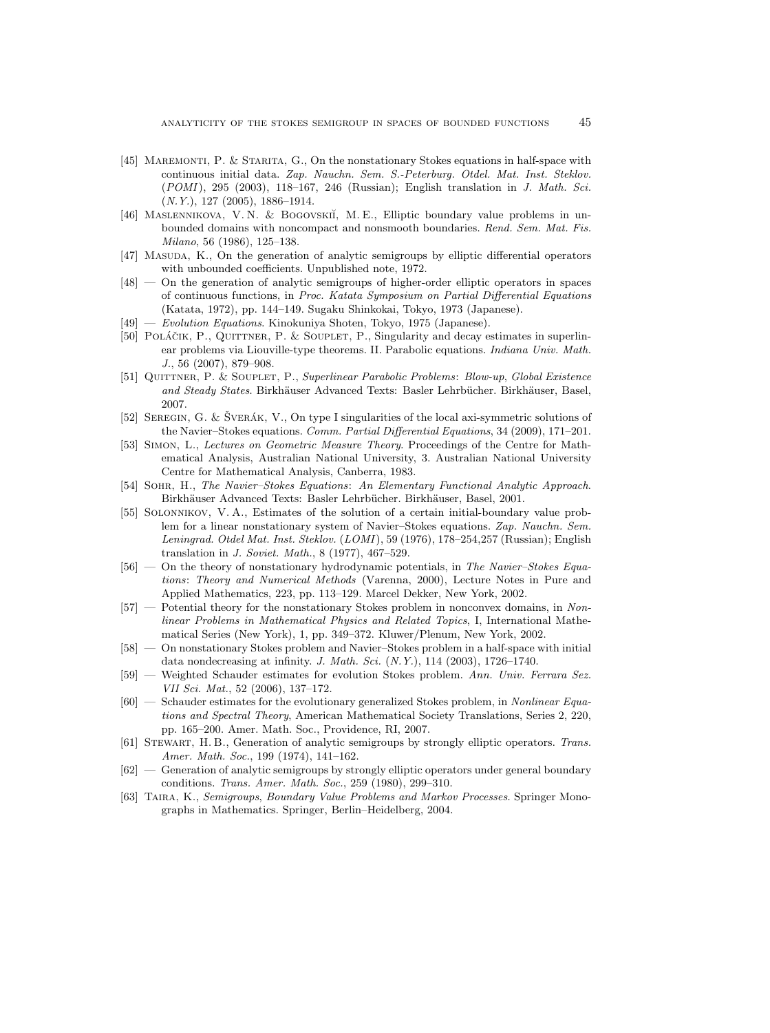- <span id="page-44-1"></span>[45] Maremonti, P. & Starita, G., On the nonstationary Stokes equations in half-space with continuous initial data. Zap. Nauchn. Sem. S.-Peterburg. Otdel. Mat. Inst. Steklov. (POMI), 295 (2003), 118-167, 246 (Russian); English translation in J. Math. Sci. (N.Y.), 127 (2005), 1886–1914.
- <span id="page-44-3"></span>[46] MASLENNIKOVA, V. N. & BOGOVSKII, M. E., Elliptic boundary value problems in unbounded domains with noncompact and nonsmooth boundaries. Rend. Sem. Mat. Fis. Milano, 56 (1986), 125–138.
- <span id="page-44-5"></span>[47] MASUDA, K., On the generation of analytic semigroups by elliptic differential operators with unbounded coefficients. Unpublished note, 1972.
- <span id="page-44-4"></span>[48] — On the generation of analytic semigroups of higher-order elliptic operators in spaces of continuous functions, in Proc. Katata Symposium on Partial Differential Equations (Katata, 1972), pp. 144–149. Sugaku Shinkokai, Tokyo, 1973 (Japanese).
- <span id="page-44-6"></span>[49] — Evolution Equations. Kinokuniya Shoten, Tokyo, 1975 (Japanese).
- <span id="page-44-13"></span>[50] POLÁČIK, P., QUITTNER, P. & SOUPLET, P., Singularity and decay estimates in superlinear problems via Liouville-type theorems. II. Parabolic equations. Indiana Univ. Math. J., 56 (2007), 879–908.
- <span id="page-44-14"></span>[51] Quittner, P. & Souplet, P., Superlinear Parabolic Problems: Blow-up, Global Existence and Steady States. Birkhäuser Advanced Texts: Basler Lehrbücher. Birkhäuser, Basel, 2007.
- <span id="page-44-15"></span>[52] SEREGIN, G. & SVERÁK, V., On type I singularities of the local axi-symmetric solutions of the Navier–Stokes equations. Comm. Partial Differential Equations, 34 (2009), 171–201.
- <span id="page-44-17"></span>[53] Simon, L., Lectures on Geometric Measure Theory. Proceedings of the Centre for Mathematical Analysis, Australian National University, 3. Australian National University Centre for Mathematical Analysis, Canberra, 1983.
- <span id="page-44-16"></span>[54] Sohr, H., The Navier–Stokes Equations: An Elementary Functional Analytic Approach. Birkhäuser Advanced Texts: Basler Lehrbücher. Birkhäuser, Basel, 2001.
- <span id="page-44-0"></span>[55] Solonnikov, V. A., Estimates of the solution of a certain initial-boundary value problem for a linear nonstationary system of Navier–Stokes equations. Zap. Nauchn. Sem. Leningrad. Otdel Mat. Inst. Steklov. (LOMI ), 59 (1976), 178–254,257 (Russian); English translation in J. Soviet. Math., 8 (1977), 467–529.
- <span id="page-44-10"></span> $[56]$  — On the theory of nonstationary hydrodynamic potentials, in The Navier–Stokes Equations: Theory and Numerical Methods (Varenna, 2000), Lecture Notes in Pure and Applied Mathematics, 223, pp. 113–129. Marcel Dekker, New York, 2002.
- <span id="page-44-11"></span>[57] — Potential theory for the nonstationary Stokes problem in nonconvex domains, in Nonlinear Problems in Mathematical Physics and Related Topics, I, International Mathematical Series (New York), 1, pp. 349–372. Kluwer/Plenum, New York, 2002.
- <span id="page-44-2"></span>[58] — On nonstationary Stokes problem and Navier–Stokes problem in a half-space with initial data nondecreasing at infinity. J. Math. Sci.  $(N. Y.), 114$   $(2003), 1726-1740.$
- <span id="page-44-18"></span>[59] — Weighted Schauder estimates for evolution Stokes problem. Ann. Univ. Ferrara Sez. VII Sci. Mat., 52 (2006), 137–172.
- <span id="page-44-12"></span>[60] — Schauder estimates for the evolutionary generalized Stokes problem, in Nonlinear Equations and Spectral Theory, American Mathematical Society Translations, Series 2, 220, pp. 165–200. Amer. Math. Soc., Providence, RI, 2007.
- <span id="page-44-7"></span>[61] Stewart, H. B., Generation of analytic semigroups by strongly elliptic operators. Trans. Amer. Math. Soc., 199 (1974), 141–162.
- <span id="page-44-8"></span>[62] — Generation of analytic semigroups by strongly elliptic operators under general boundary conditions. Trans. Amer. Math. Soc., 259 (1980), 299–310.
- <span id="page-44-9"></span>[63] Taira, K., Semigroups, Boundary Value Problems and Markov Processes. Springer Monographs in Mathematics. Springer, Berlin–Heidelberg, 2004.